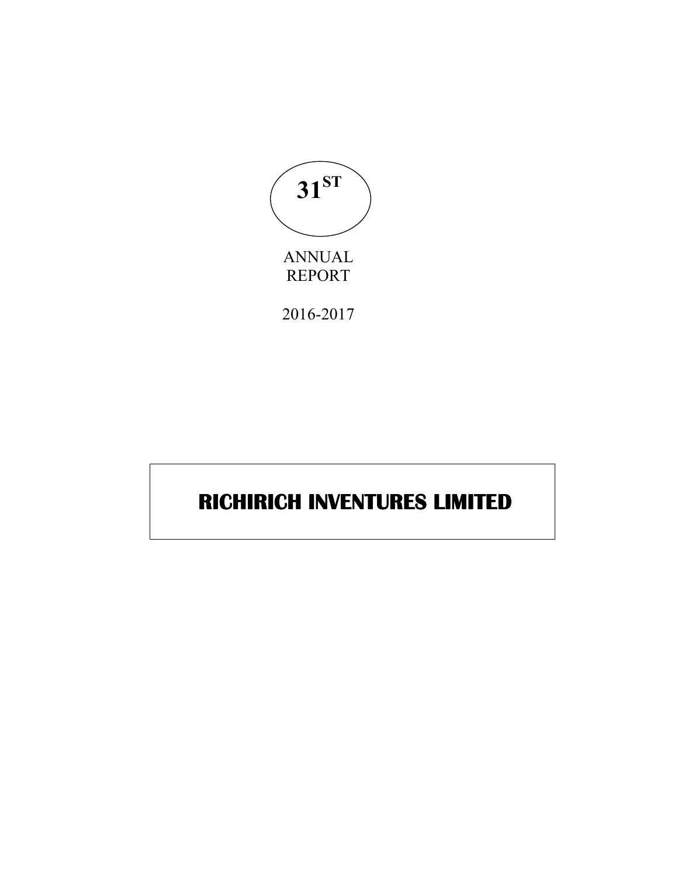

# **RICHIRICH INVENTURES LIMITED RICHIRICH INVENTURES**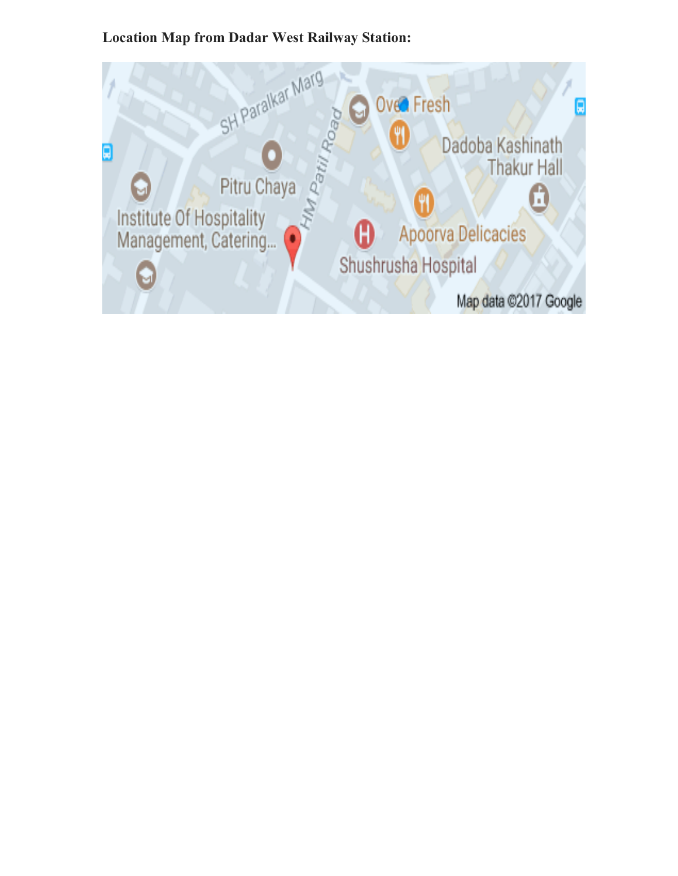## **Location Map from Dadar West Railway Station:**

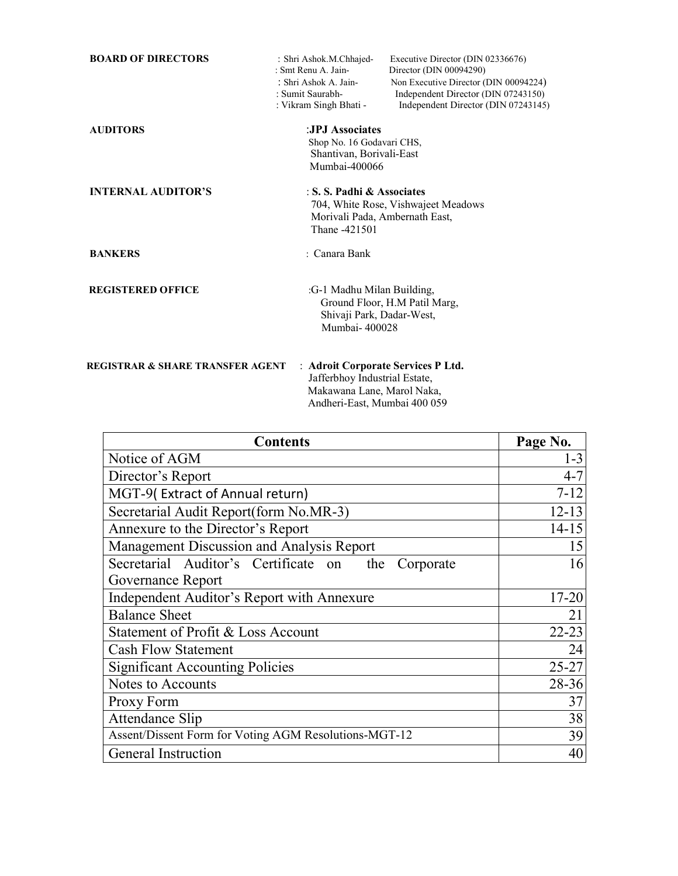| <b>BOARD OF DIRECTORS</b>                   | : Shri Ashok.M.Chhajed-<br>: Smt Renu A. Jain-<br>: Shri Ashok A. Jain-<br>: Sumit Saurabh-<br>: Vikram Singh Bhati - | Executive Director (DIN 02336676)<br>Director (DIN 00094290)<br>Non Executive Director (DIN 00094224)<br>Independent Director (DIN 07243150)<br>Independent Director (DIN 07243145) |
|---------------------------------------------|-----------------------------------------------------------------------------------------------------------------------|-------------------------------------------------------------------------------------------------------------------------------------------------------------------------------------|
| <b>AUDITORS</b>                             | :JPJ Associates<br>Shop No. 16 Godavari CHS,<br>Shantivan, Borivali-East<br>Mumbai-400066                             |                                                                                                                                                                                     |
| <b>INTERNAL AUDITOR'S</b>                   | : S. S. Padhi & Associates<br>Morivali Pada, Ambernath East,<br>Thane -421501                                         | 704, White Rose, Vishwajeet Meadows                                                                                                                                                 |
| <b>BANKERS</b>                              | · Canara Bank                                                                                                         |                                                                                                                                                                                     |
| <b>REGISTERED OFFICE</b>                    | :G-1 Madhu Milan Building,<br>Shivaji Park, Dadar-West,<br>Mumbai-400028                                              | Ground Floor, H.M Patil Marg,                                                                                                                                                       |
| <b>REGISTRAR &amp; SHARE TRANSFER AGENT</b> | : Adroit Corporate Services P Ltd.<br>Jafferbhoy Industrial Estate,<br>Makawana Lane, Marol Naka,                     |                                                                                                                                                                                     |

| <b>Contents</b>                                          | Page No.  |
|----------------------------------------------------------|-----------|
| Notice of AGM                                            | $1 - 3$   |
| Director's Report                                        | $4 - 7$   |
| MGT-9(Extract of Annual return)                          | $7 - 12$  |
| Secretarial Audit Report(form No.MR-3)                   | $12 - 13$ |
| Annexure to the Director's Report                        | $14 - 15$ |
| Management Discussion and Analysis Report                | 15        |
| Secretarial Auditor's Certificate on<br>the<br>Corporate | 16        |
| Governance Report                                        |           |
| Independent Auditor's Report with Annexure               | $17 - 20$ |
| <b>Balance Sheet</b>                                     | 21        |
| Statement of Profit & Loss Account                       | $22 - 23$ |
| <b>Cash Flow Statement</b>                               | 24        |
| <b>Significant Accounting Policies</b>                   | $25 - 27$ |
| Notes to Accounts                                        | 28-36     |
| Proxy Form                                               | 37        |
| <b>Attendance Slip</b>                                   | 38        |
| Assent/Dissent Form for Voting AGM Resolutions-MGT-12    | 39        |
| General Instruction                                      | 40        |

Andheri-East, Mumbai 400 059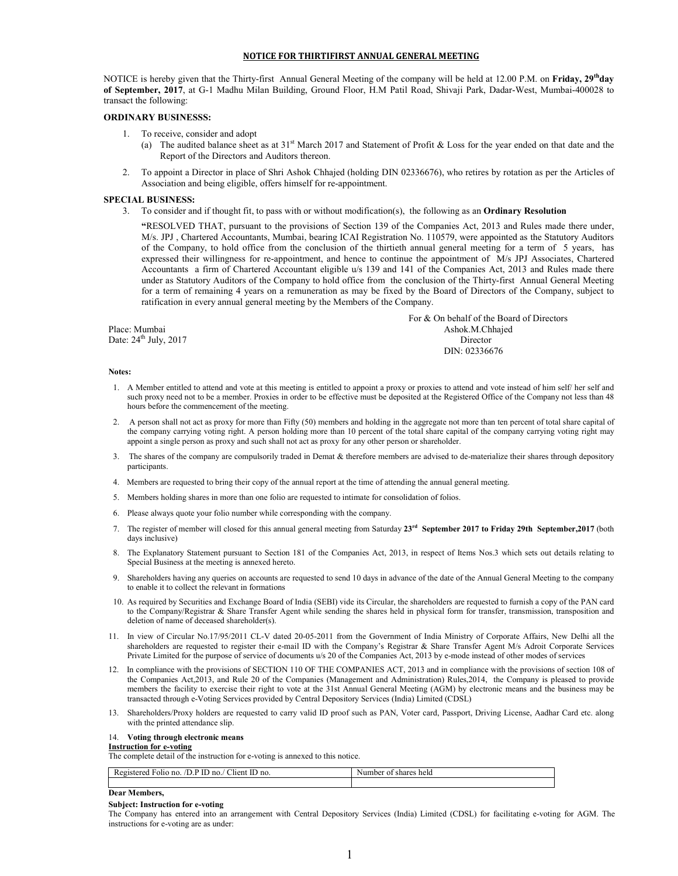#### **NOTICE FOR THIRTIFIRST ANNUAL GENERAL MEETING**

NOTICE is hereby given that the Thirty-first Annual General Meeting of the company will be held at 12.00 P.M. on **Friday, 29thday of September, 2017**, at G-1 Madhu Milan Building, Ground Floor, H.M Patil Road, Shivaji Park, Dadar-West, Mumbai-400028 to transact the following:

### **ORDINARY BUSINESSS:**

- 1. To receive, consider and adopt
	- (a) The audited balance sheet as at  $31<sup>st</sup>$  March 2017 and Statement of Profit & Loss for the year ended on that date and the Report of the Directors and Auditors thereon.
- 2. To appoint a Director in place of Shri Ashok Chhajed (holding DIN 02336676), who retires by rotation as per the Articles of Association and being eligible, offers himself for re-appointment.

### **SPECIAL BUSINESS:**

3. To consider and if thought fit, to pass with or without modification(s), the following as an **Ordinary Resolution**

**"**RESOLVED THAT, pursuant to the provisions of Section 139 of the Companies Act, 2013 and Rules made there under, M/s. JPJ , Chartered Accountants, Mumbai, bearing ICAI Registration No. 110579, were appointed as the Statutory Auditors of the Company, to hold office from the conclusion of the thirtieth annual general meeting for a term of 5 years, has expressed their willingness for re-appointment, and hence to continue the appointment of M/s JPJ Associates, Chartered Accountants a firm of Chartered Accountant eligible u/s 139 and 141 of the Companies Act, 2013 and Rules made there under as Statutory Auditors of the Company to hold office from the conclusion of the Thirty-first Annual General Meeting for a term of remaining 4 years on a remuneration as may be fixed by the Board of Directors of the Company, subject to ratification in every annual general meeting by the Members of the Company.

 For & On behalf of the Board of Directors Place: Mumbai Ashok.M.Chhajed Date:  $24<sup>th</sup>$  July, 2017 Director DIN: 02336676

#### **Notes:**

- 1. A Member entitled to attend and vote at this meeting is entitled to appoint a proxy or proxies to attend and vote instead of him self/ her self and such proxy need not to be a member. Proxies in order to be effective must be deposited at the Registered Office of the Company not less than 48 hours before the commencement of the meeting.
- 2. A person shall not act as proxy for more than Fifty (50) members and holding in the aggregate not more than ten percent of total share capital of the company carrying voting right. A person holding more than 10 percent of the total share capital of the company carrying voting right may appoint a single person as proxy and such shall not act as proxy for any other person or shareholder.
- 3. The shares of the company are compulsorily traded in Demat & therefore members are advised to de-materialize their shares through depository participants
- 4. Members are requested to bring their copy of the annual report at the time of attending the annual general meeting.
- 5. Members holding shares in more than one folio are requested to intimate for consolidation of folios.
- 6. Please always quote your folio number while corresponding with the company.
- 7. The register of member will closed for this annual general meeting from Saturday **23rd September 2017 to Friday 29th September,2017** (both days inclusive)
- 8. The Explanatory Statement pursuant to Section 181 of the Companies Act, 2013, in respect of Items Nos.3 which sets out details relating to Special Business at the meeting is annexed hereto.
- Shareholders having any queries on accounts are requested to send 10 days in advance of the date of the Annual General Meeting to the company to enable it to collect the relevant in formations
- 10. As required by Securities and Exchange Board of India (SEBI) vide its Circular, the shareholders are requested to furnish a copy of the PAN card to the Company/Registrar & Share Transfer Agent while sending the shares held in physical form for transfer, transmission, transposition and deletion of name of deceased shareholder(s).
- 11. In view of Circular No.17/95/2011 CL-V dated 20-05-2011 from the Government of India Ministry of Corporate Affairs, New Delhi all the shareholders are requested to register their e-mail ID with the Company's Registrar & Share Transfer Agent M/s Adroit Corporate Services Private Limited for the purpose of service of documents u/s 20 of the Companies Act, 2013 by e-mode instead of other modes of services
- 12.In compliance with the provisions of SECTION 110 OF THE COMPANIES ACT, 2013 and in compliance with the provisions of section 108 of the Companies Act,2013, and Rule 20 of the Companies (Management and Administration) Rules,2014, the Company is pleased to provide members the facility to exercise their right to vote at the 31st Annual General Meeting (AGM) by electronic means and the business may be transacted through e-Voting Services provided by Central Depository Services (India) Limited (CDSL)
- 13. Shareholders/Proxy holders are requested to carry valid ID proof such as PAN, Voter card, Passport, Driving License, Aadhar Card etc. along with the printed attendance slip.

#### 14. **Voting through electronic means**

#### **Instruction for e-voting**

The complete detail of the instruction for e-voting is annexed to this notice.

| $\sim$ $\sim$<br>$\mathbf{r}$<br>Registered<br>D.P<br>' Client<br>* ID no.<br>FOI10<br>ΊIJ<br>no.<br>$^{\circ}$ no. | held<br>shares<br>Number<br>01 |
|---------------------------------------------------------------------------------------------------------------------|--------------------------------|
|                                                                                                                     |                                |

#### **Dear Members,**

#### **Subject: Instruction for e-voting**

The Company has entered into an arrangement with Central Depository Services (India) Limited (CDSL) for facilitating e-voting for AGM. The instructions for e-voting are as under: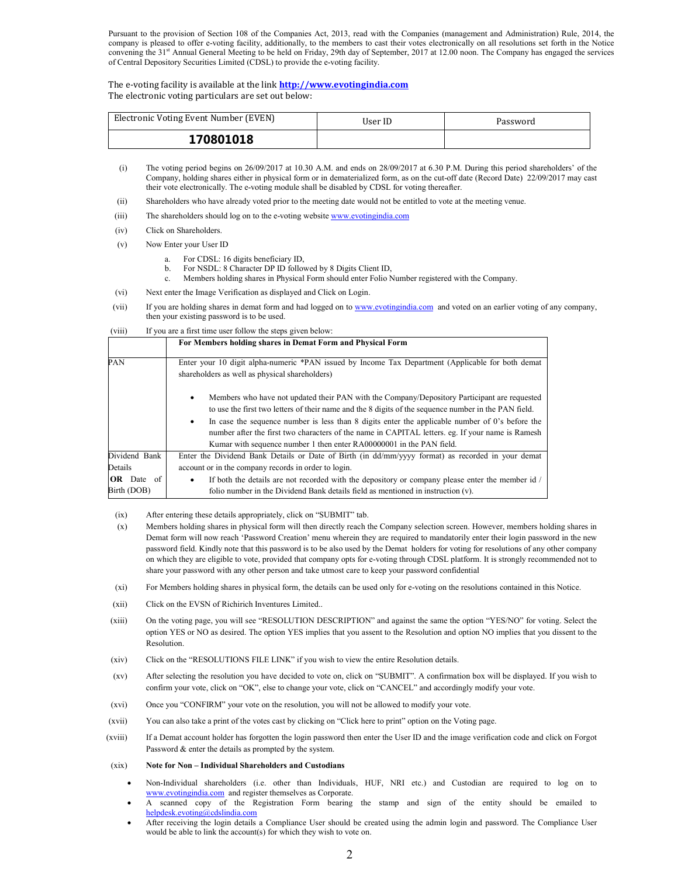Pursuant to the provision of Section 108 of the Companies Act, 2013, read with the Companies (management and Administration) Rule, 2014, the company is pleased to offer e-voting facility, additionally, to the members to cast their votes electronically on all resolutions set forth in the Notice convening the 31<sup>st</sup> Annual General Meeting to be held on Friday, 29th day of September, 2017 at 12.00 noon. The Company has engaged the services of Central Depository Securities Limited (CDSL) to provide the e-voting facility.

The e-voting facility is available at the link **http://www.evotingindia.com** The electronic voting particulars are set out below:

| Electronic Voting Event Number (EVEN) | User ID | Password |  |  |
|---------------------------------------|---------|----------|--|--|
| 170801018                             |         |          |  |  |

- (i) The voting period begins on 26/09/2017 at 10.30 A.M. and ends on 28/09/2017 at 6.30 P.M. During this period shareholders' of the Company, holding shares either in physical form or in dematerialized form, as on the cut-off date (Record Date) 22/09/2017 may cast their vote electronically. The e-voting module shall be disabled by CDSL for voting thereafter.
- (ii) Shareholders who have already voted prior to the meeting date would not be entitled to vote at the meeting venue.
- (iii) The shareholders should log on to the e-voting website www.evotingindia.com
- (iv) Click on Shareholders.
- (v) Now Enter your User ID
	- For CDSL: 16 digits beneficiary ID,
	- b. For NSDL: 8 Character DP ID followed by 8 Digits Client ID,
	- c. Members holding shares in Physical Form should enter Folio Number registered with the Company.
- (vi) Next enter the Image Verification as displayed and Click on Login.
- (vii) If you are holding shares in demat form and had logged on to www.evotingindia.com and voted on an earlier voting of any company, then your existing password is to be used.

#### (viii) If you are a first time user follow the steps given below:

|                                  | For Members holding shares in Demat Form and Physical Form                                                                                                                                                                                                                                                                                                                                                                                                                                            |
|----------------------------------|-------------------------------------------------------------------------------------------------------------------------------------------------------------------------------------------------------------------------------------------------------------------------------------------------------------------------------------------------------------------------------------------------------------------------------------------------------------------------------------------------------|
| PAN                              | Enter your 10 digit alpha-numeric *PAN issued by Income Tax Department (Applicable for both demat<br>shareholders as well as physical shareholders)                                                                                                                                                                                                                                                                                                                                                   |
|                                  | Members who have not updated their PAN with the Company/Depository Participant are requested<br>٠<br>to use the first two letters of their name and the 8 digits of the sequence number in the PAN field.<br>In case the sequence number is less than 8 digits enter the applicable number of 0's before the<br>$\bullet$<br>number after the first two characters of the name in CAPITAL letters, eg. If your name is Ramesh<br>Kumar with sequence number 1 then enter RA00000001 in the PAN field. |
| Dividend Bank                    | Enter the Dividend Bank Details or Date of Birth (in dd/mm/yyyy format) as recorded in your demat                                                                                                                                                                                                                                                                                                                                                                                                     |
| Details                          | account or in the company records in order to login.                                                                                                                                                                                                                                                                                                                                                                                                                                                  |
| <b>OR</b> Date of<br>Birth (DOB) | If both the details are not recorded with the depository or company please enter the member id /<br>٠<br>folio number in the Dividend Bank details field as mentioned in instruction (v).                                                                                                                                                                                                                                                                                                             |

- (ix) After entering these details appropriately, click on "SUBMIT" tab.
- (x) Members holding shares in physical form will then directly reach the Company selection screen. However, members holding shares in Demat form will now reach 'Password Creation' menu wherein they are required to mandatorily enter their login password in the new password field. Kindly note that this password is to be also used by the Demat holders for voting for resolutions of any other company on which they are eligible to vote, provided that company opts for e-voting through CDSL platform. It is strongly recommended not to share your password with any other person and take utmost care to keep your password confidential
- (xi) For Members holding shares in physical form, the details can be used only for e-voting on the resolutions contained in this Notice.
- (xii) Click on the EVSN of Richirich Inventures Limited..
- (xiii) On the voting page, you will see "RESOLUTION DESCRIPTION" and against the same the option "YES/NO" for voting. Select the option YES or NO as desired. The option YES implies that you assent to the Resolution and option NO implies that you dissent to the Resolution.
- (xiv) Click on the "RESOLUTIONS FILE LINK" if you wish to view the entire Resolution details.
- (xv) After selecting the resolution you have decided to vote on, click on "SUBMIT". A confirmation box will be displayed. If you wish to confirm your vote, click on "OK", else to change your vote, click on "CANCEL" and accordingly modify your vote.
- (xvi) Once you "CONFIRM" your vote on the resolution, you will not be allowed to modify your vote.
- (xvii) You can also take a print of the votes cast by clicking on "Click here to print" option on the Voting page.
- (xviii) If a Demat account holder has forgotten the login password then enter the User ID and the image verification code and click on Forgot Password & enter the details as prompted by the system.
- (xix) **Note for Non Individual Shareholders and Custodians** 
	- Non-Individual shareholders (i.e. other than Individuals, HUF, NRI etc.) and Custodian are required to log on to www.evotingindia.com and register themselves as Corporate.
	- A scanned copy of the Registration Form bearing the stamp and sign of the entity should be emailed to helpdesk.evoting@cdslindia.com
	- After receiving the login details a Compliance User should be created using the admin login and password. The Compliance User would be able to link the account(s) for which they wish to vote on.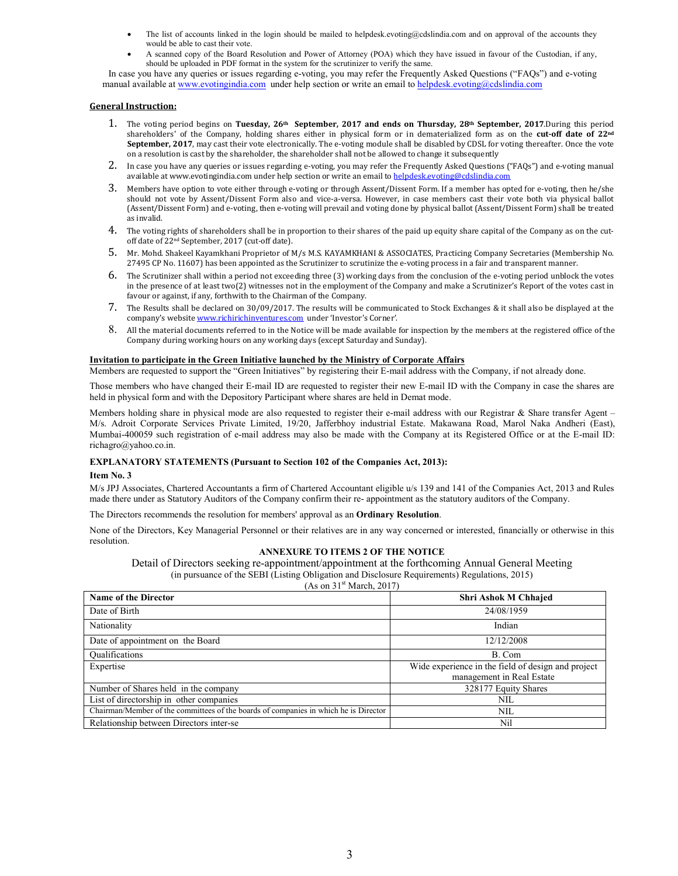- The list of accounts linked in the login should be mailed to helpdesk.evoting@cdslindia.com and on approval of the accounts they would be able to cast their vote.
- A scanned copy of the Board Resolution and Power of Attorney (POA) which they have issued in favour of the Custodian, if any, should be uploaded in PDF format in the system for the scrutinizer to verify the same.

 In case you have any queries or issues regarding e-voting, you may refer the Frequently Asked Questions ("FAQs") and e-voting manual available at www.evotingindia.com under help section or write an email to helpdesk.evoting@cdslindia.com

#### **General Instruction:**

- 1. The voting period begins on **Tuesday, 26th September, 2017 and ends on Thursday, 28th September, 2017**.During this period shareholders' of the Company, holding shares either in physical form or in dematerialized form as on the **cut-off date of 22nd**  September, 2017, may cast their vote electronically. The e-voting module shall be disabled by CDSL for voting thereafter. Once the vote on a resolution is cast by the shareholder, the shareholder shall not be allowed to change it subsequently
- 2. In case you have any queries or issues regarding e-voting, you may refer the Frequently Asked Questions ("FAQs") and e-voting manual available at www.evotingindia.com under help section or write an email to helpdesk.evoting@cdslindia.com
- 3. Members have option to vote either through e-voting or through Assent/Dissent Form. If a member has opted for e-voting, then he/she should not vote by Assent/Dissent Form also and vice-a-versa. However, in case members cast their vote both via physical ballot (Assent/Dissent Form) and e-voting, then e-voting will prevail and voting done by physical ballot (Assent/Dissent Form) shall be treated as invalid.
- 4. The voting rights of shareholders shall be in proportion to their shares of the paid up equity share capital of the Company as on the cutoff date of 22nd September, 2017 (cut-off date).
- 5. Mr. Mohd. Shakeel Kayamkhani Proprietor of M/s M.S. KAYAMKHANI & ASSOCIATES, Practicing Company Secretaries (Membership No. 27495 CP No. 11607) has been appointed as the Scrutinizer to scrutinize the e-voting process in a fair and transparent manner.
- 6. The Scrutinizer shall within a period not exceeding three (3) working days from the conclusion of the e-voting period unblock the votes in the presence of at least two(2) witnesses not in the employment of the Company and make a Scrutinizer's Report of the votes cast in favour or against, if any, forthwith to the Chairman of the Company.
- 7. The Results shall be declared on 30/09/2017. The results will be communicated to Stock Exchanges & it shall also be displayed at the company's website www.richirichinventures.com under 'Investor's Corner'.
- 8. All the material documents referred to in the Notice will be made available for inspection by the members at the registered office of the Company during working hours on any working days (except Saturday and Sunday).

#### **Invitation to participate in the Green Initiative launched by the Ministry of Corporate Affairs**

Members are requested to support the "Green Initiatives" by registering their E-mail address with the Company, if not already done.

Those members who have changed their E-mail ID are requested to register their new E-mail ID with the Company in case the shares are held in physical form and with the Depository Participant where shares are held in Demat mode.

Members holding share in physical mode are also requested to register their e-mail address with our Registrar & Share transfer Agent – M/s. Adroit Corporate Services Private Limited, 19/20, Jafferbhoy industrial Estate. Makawana Road, Marol Naka Andheri (East), Mumbai-400059 such registration of e-mail address may also be made with the Company at its Registered Office or at the E-mail ID: richagro@yahoo.co.in.

### **EXPLANATORY STATEMENTS (Pursuant to Section 102 of the Companies Act, 2013):**

#### **Item No. 3**

M/s JPJ Associates, Chartered Accountants a firm of Chartered Accountant eligible u/s 139 and 141 of the Companies Act, 2013 and Rules made there under as Statutory Auditors of the Company confirm their re- appointment as the statutory auditors of the Company.

The Directors recommends the resolution for members' approval as an **Ordinary Resolution**.

None of the Directors, Key Managerial Personnel or their relatives are in any way concerned or interested, financially or otherwise in this resolution.

### **ANNEXURE TO ITEMS 2 OF THE NOTICE**

Detail of Directors seeking re-appointment/appointment at the forthcoming Annual General Meeting (in pursuance of the SEBI (Listing Obligation and Disclosure Requirements) Regulations, 2015)

(As on  $31<sup>st</sup> March, 2017$ )

| <b>Name of the Director</b>                                                          | <b>Shri Ashok M Chhajed</b>                        |
|--------------------------------------------------------------------------------------|----------------------------------------------------|
| Date of Birth                                                                        | 24/08/1959                                         |
| Nationality                                                                          | Indian                                             |
| Date of appointment on the Board                                                     | 12/12/2008                                         |
| <b>Oualifications</b>                                                                | B. Com                                             |
| Expertise                                                                            | Wide experience in the field of design and project |
|                                                                                      | management in Real Estate                          |
| Number of Shares held in the company                                                 | 328177 Equity Shares                               |
| List of directorship in other companies                                              | NIL                                                |
| Chairman/Member of the committees of the boards of companies in which he is Director | NIL                                                |
| Relationship between Directors inter-se                                              | Nil                                                |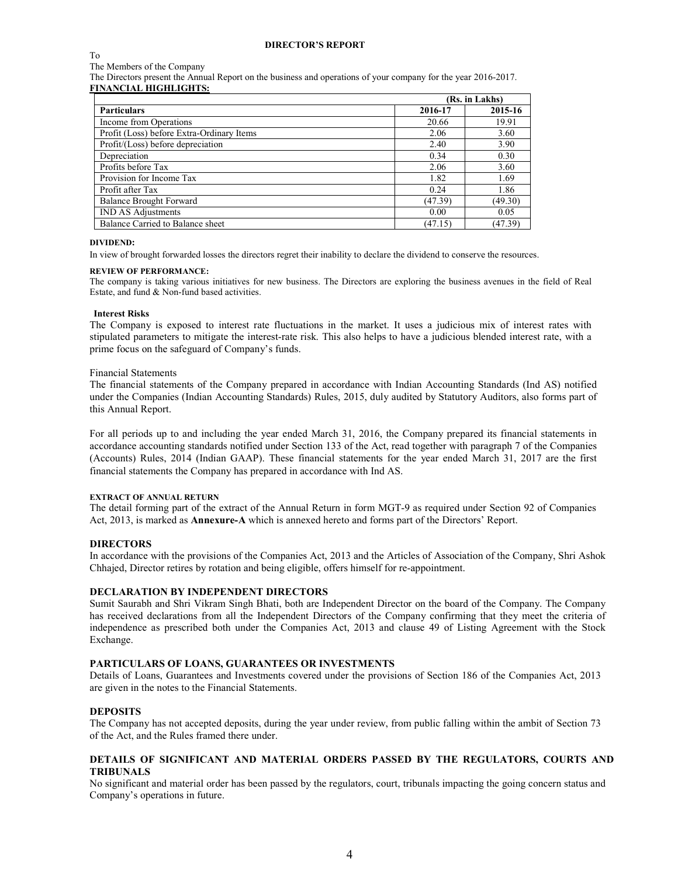#### **DIRECTOR'S REPORT**

To

#### The Members of the Company

The Directors present the Annual Report on the business and operations of your company for the year 2016-2017. **FINANCIAL HIGHLIGHTS:** 

### **(Rs. in Lakhs) Particulars 2016-17 2015-16**  Income from Operations 20.66 19.91 Profit (Loss) before Extra-Ordinary Items 2.06 3.60 Profit/(Loss) before depreciation 2.40 3.90 Depreciation 0.34 0.30 Profits before Tax  $\overline{a}$  2.06  $\overline{a}$  3.60 Provision for Income Tax 1.82 1.69 Profit after Tax 0.24 1.86 Balance Brought Forward (47.39) (49.30) (49.30) IND AS Adjustments 0.05 Balance Carried to Balance sheet (47.15) (47.15) (47.39)

### **DIVIDEND:**

In view of brought forwarded losses the directors regret their inability to declare the dividend to conserve the resources.

#### **REVIEW OF PERFORMANCE:**

The company is taking various initiatives for new business. The Directors are exploring the business avenues in the field of Real Estate, and fund & Non-fund based activities.

### **Interest Risks**

The Company is exposed to interest rate fluctuations in the market. It uses a judicious mix of interest rates with stipulated parameters to mitigate the interest-rate risk. This also helps to have a judicious blended interest rate, with a prime focus on the safeguard of Company's funds.

#### Financial Statements

The financial statements of the Company prepared in accordance with Indian Accounting Standards (Ind AS) notified under the Companies (Indian Accounting Standards) Rules, 2015, duly audited by Statutory Auditors, also forms part of this Annual Report.

For all periods up to and including the year ended March 31, 2016, the Company prepared its financial statements in accordance accounting standards notified under Section 133 of the Act, read together with paragraph 7 of the Companies (Accounts) Rules, 2014 (Indian GAAP). These financial statements for the year ended March 31, 2017 are the first financial statements the Company has prepared in accordance with Ind AS.

### **EXTRACT OF ANNUAL RETURN**

The detail forming part of the extract of the Annual Return in form MGT-9 as required under Section 92 of Companies Act, 2013, is marked as **Annexure-A** which is annexed hereto and forms part of the Directors' Report.

### **DIRECTORS**

In accordance with the provisions of the Companies Act, 2013 and the Articles of Association of the Company, Shri Ashok Chhajed, Director retires by rotation and being eligible, offers himself for re-appointment.

### **DECLARATION BY INDEPENDENT DIRECTORS**

Sumit Saurabh and Shri Vikram Singh Bhati, both are Independent Director on the board of the Company. The Company has received declarations from all the Independent Directors of the Company confirming that they meet the criteria of independence as prescribed both under the Companies Act, 2013 and clause 49 of Listing Agreement with the Stock Exchange.

### **PARTICULARS OF LOANS, GUARANTEES OR INVESTMENTS**

Details of Loans, Guarantees and Investments covered under the provisions of Section 186 of the Companies Act, 2013 are given in the notes to the Financial Statements.

### **DEPOSITS**

The Company has not accepted deposits, during the year under review, from public falling within the ambit of Section 73 of the Act, and the Rules framed there under.

### **DETAILS OF SIGNIFICANT AND MATERIAL ORDERS PASSED BY THE REGULATORS, COURTS AND TRIBUNALS**

No significant and material order has been passed by the regulators, court, tribunals impacting the going concern status and Company's operations in future.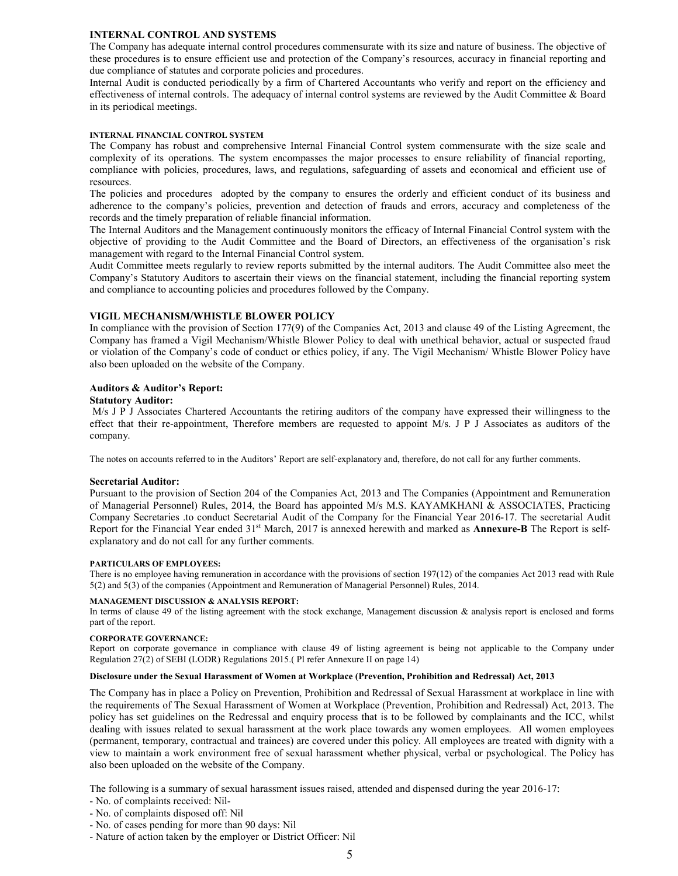### **INTERNAL CONTROL AND SYSTEMS**

The Company has adequate internal control procedures commensurate with its size and nature of business. The objective of these procedures is to ensure efficient use and protection of the Company's resources, accuracy in financial reporting and due compliance of statutes and corporate policies and procedures.

Internal Audit is conducted periodically by a firm of Chartered Accountants who verify and report on the efficiency and effectiveness of internal controls. The adequacy of internal control systems are reviewed by the Audit Committee & Board in its periodical meetings.

### **INTERNAL FINANCIAL CONTROL SYSTEM**

The Company has robust and comprehensive Internal Financial Control system commensurate with the size scale and complexity of its operations. The system encompasses the major processes to ensure reliability of financial reporting, compliance with policies, procedures, laws, and regulations, safeguarding of assets and economical and efficient use of resources.

The policies and procedures adopted by the company to ensures the orderly and efficient conduct of its business and adherence to the company's policies, prevention and detection of frauds and errors, accuracy and completeness of the records and the timely preparation of reliable financial information.

The Internal Auditors and the Management continuously monitors the efficacy of Internal Financial Control system with the objective of providing to the Audit Committee and the Board of Directors, an effectiveness of the organisation's risk management with regard to the Internal Financial Control system.

Audit Committee meets regularly to review reports submitted by the internal auditors. The Audit Committee also meet the Company's Statutory Auditors to ascertain their views on the financial statement, including the financial reporting system and compliance to accounting policies and procedures followed by the Company.

### **VIGIL MECHANISM/WHISTLE BLOWER POLICY**

In compliance with the provision of Section 177(9) of the Companies Act, 2013 and clause 49 of the Listing Agreement, the Company has framed a Vigil Mechanism/Whistle Blower Policy to deal with unethical behavior, actual or suspected fraud or violation of the Company's code of conduct or ethics policy, if any. The Vigil Mechanism/ Whistle Blower Policy have also been uploaded on the website of the Company.

### **Auditors & Auditor's Report:**

### **Statutory Auditor:**

M/s J P J Associates Chartered Accountants the retiring auditors of the company have expressed their willingness to the effect that their re-appointment, Therefore members are requested to appoint M/s. J P J Associates as auditors of the company.

The notes on accounts referred to in the Auditors' Report are self-explanatory and, therefore, do not call for any further comments.

### **Secretarial Auditor:**

Pursuant to the provision of Section 204 of the Companies Act, 2013 and The Companies (Appointment and Remuneration of Managerial Personnel) Rules, 2014, the Board has appointed M/s M.S. KAYAMKHANI & ASSOCIATES, Practicing Company Secretaries .to conduct Secretarial Audit of the Company for the Financial Year 2016-17. The secretarial Audit Report for the Financial Year ended 31st March, 2017 is annexed herewith and marked as **Annexure-B** The Report is selfexplanatory and do not call for any further comments.

### **PARTICULARS OF EMPLOYEES:**

There is no employee having remuneration in accordance with the provisions of section 197(12) of the companies Act 2013 read with Rule 5(2) and 5(3) of the companies (Appointment and Remuneration of Managerial Personnel) Rules, 2014.

### **MANAGEMENT DISCUSSION & ANALYSIS REPORT:**

In terms of clause 49 of the listing agreement with the stock exchange, Management discussion & analysis report is enclosed and forms part of the report.

### **CORPORATE GOVERNANCE:**

Report on corporate governance in compliance with clause 49 of listing agreement is being not applicable to the Company under Regulation 27(2) of SEBI (LODR) Regulations 2015.( Pl refer Annexure II on page 14)

### **Disclosure under the Sexual Harassment of Women at Workplace (Prevention, Prohibition and Redressal) Act, 2013**

The Company has in place a Policy on Prevention, Prohibition and Redressal of Sexual Harassment at workplace in line with the requirements of The Sexual Harassment of Women at Workplace (Prevention, Prohibition and Redressal) Act, 2013. The policy has set guidelines on the Redressal and enquiry process that is to be followed by complainants and the ICC, whilst dealing with issues related to sexual harassment at the work place towards any women employees. All women employees (permanent, temporary, contractual and trainees) are covered under this policy. All employees are treated with dignity with a view to maintain a work environment free of sexual harassment whether physical, verbal or psychological. The Policy has also been uploaded on the website of the Company.

The following is a summary of sexual harassment issues raised, attended and dispensed during the year 2016-17:

- No. of complaints received: Nil-
- No. of complaints disposed off: Nil
- No. of cases pending for more than 90 days: Nil
- Nature of action taken by the employer or District Officer: Nil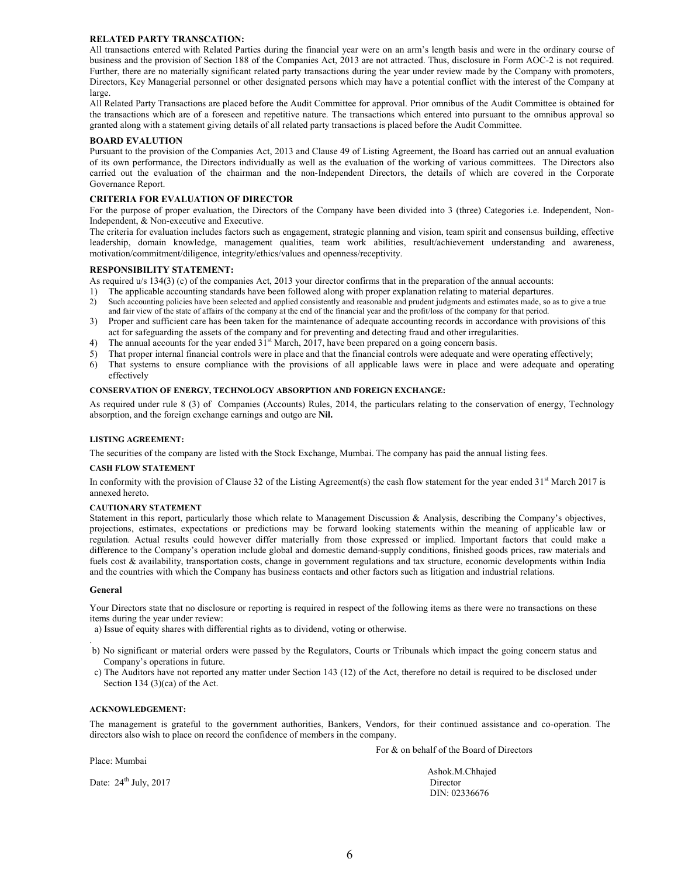### **RELATED PARTY TRANSCATION:**

All transactions entered with Related Parties during the financial year were on an arm's length basis and were in the ordinary course of business and the provision of Section 188 of the Companies Act, 2013 are not attracted. Thus, disclosure in Form AOC-2 is not required. Further, there are no materially significant related party transactions during the year under review made by the Company with promoters, Directors, Key Managerial personnel or other designated persons which may have a potential conflict with the interest of the Company at large.

All Related Party Transactions are placed before the Audit Committee for approval. Prior omnibus of the Audit Committee is obtained for the transactions which are of a foreseen and repetitive nature. The transactions which entered into pursuant to the omnibus approval so granted along with a statement giving details of all related party transactions is placed before the Audit Committee.

#### **BOARD EVALUTION**

Pursuant to the provision of the Companies Act, 2013 and Clause 49 of Listing Agreement, the Board has carried out an annual evaluation of its own performance, the Directors individually as well as the evaluation of the working of various committees. The Directors also carried out the evaluation of the chairman and the non-Independent Directors, the details of which are covered in the Corporate Governance Report.

### **CRITERIA FOR EVALUATION OF DIRECTOR**

For the purpose of proper evaluation, the Directors of the Company have been divided into 3 (three) Categories i.e. Independent, Non-Independent, & Non-executive and Executive.

The criteria for evaluation includes factors such as engagement, strategic planning and vision, team spirit and consensus building, effective leadership, domain knowledge, management qualities, team work abilities, result/achievement understanding and awareness, motivation/commitment/diligence, integrity/ethics/values and openness/receptivity.

#### **RESPONSIBILITY STATEMENT:**

As required  $u/s$  134(3) (c) of the companies Act, 2013 your director confirms that in the preparation of the annual accounts:

- 1) The applicable accounting standards have been followed along with proper explanation relating to material departures.
- 2) Such accounting policies have been selected and applied consistently and reasonable and prudent judgments and estimates made, so as to give a true and fair view of the state of affairs of the company at the end of the financial year and the profit/loss of the company for that period.
- 3) Proper and sufficient care has been taken for the maintenance of adequate accounting records in accordance with provisions of this act for safeguarding the assets of the company and for preventing and detecting fraud and other irregularities.
- The annual accounts for the year ended  $31<sup>st</sup>$  March, 2017, have been prepared on a going concern basis.
- 5) That proper internal financial controls were in place and that the financial controls were adequate and were operating effectively;
- 6) That systems to ensure compliance with the provisions of all applicable laws were in place and were adequate and operating effectively

#### **CONSERVATION OF ENERGY, TECHNOLOGY ABSORPTION AND FOREIGN EXCHANGE:**

As required under rule 8 (3) of Companies (Accounts) Rules, 2014, the particulars relating to the conservation of energy, Technology absorption, and the foreign exchange earnings and outgo are **Nil.**

#### **LISTING AGREEMENT:**

The securities of the company are listed with the Stock Exchange, Mumbai. The company has paid the annual listing fees.

#### **CASH FLOW STATEMENT**

In conformity with the provision of Clause 32 of the Listing Agreement(s) the cash flow statement for the year ended  $31<sup>st</sup>$  March 2017 is annexed hereto.

#### **CAUTIONARY STATEMENT**

Statement in this report, particularly those which relate to Management Discussion & Analysis, describing the Company's objectives, projections, estimates, expectations or predictions may be forward looking statements within the meaning of applicable law or regulation. Actual results could however differ materially from those expressed or implied. Important factors that could make a difference to the Company's operation include global and domestic demand-supply conditions, finished goods prices, raw materials and fuels cost & availability, transportation costs, change in government regulations and tax structure, economic developments within India and the countries with which the Company has business contacts and other factors such as litigation and industrial relations.

#### **General**

Your Directors state that no disclosure or reporting is required in respect of the following items as there were no transactions on these items during the year under review:

a) Issue of equity shares with differential rights as to dividend, voting or otherwise.

- . b) No significant or material orders were passed by the Regulators, Courts or Tribunals which impact the going concern status and Company's operations in future.
- c) The Auditors have not reported any matter under Section 143 (12) of the Act, therefore no detail is required to be disclosed under Section 134 (3)(ca) of the Act.

#### **ACKNOWLEDGEMENT:**

The management is grateful to the government authorities, Bankers, Vendors, for their continued assistance and co-operation. The directors also wish to place on record the confidence of members in the company.

Place: Mumbai

For & on behalf of the Board of Directors

 Ashok.M.Chhajed DIN: 02336676

Date:  $24<sup>th</sup> July, 2017$  Director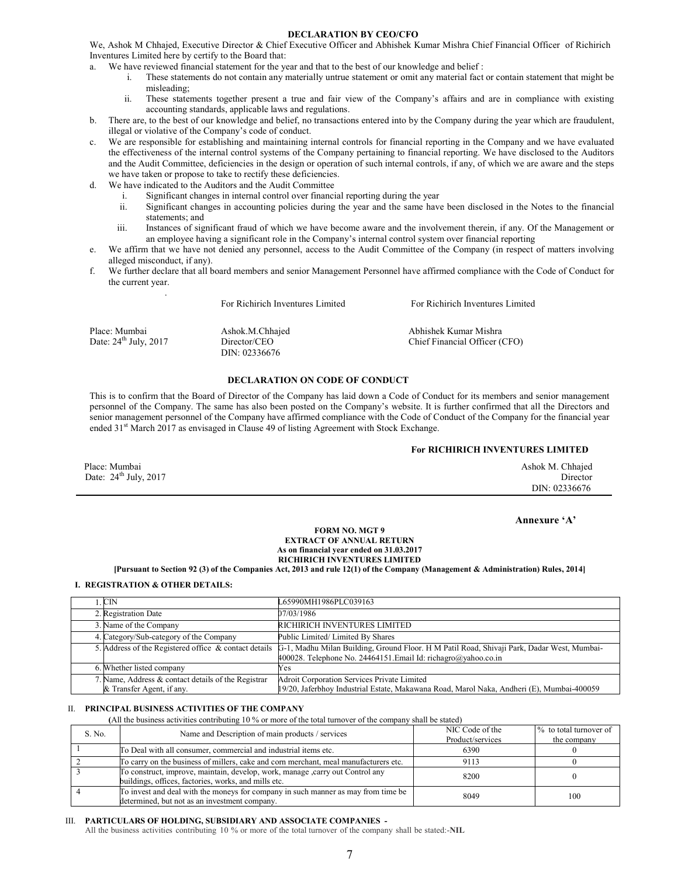#### **DECLARATION BY CEO/CFO**

We, Ashok M Chhajed, Executive Director & Chief Executive Officer and Abhishek Kumar Mishra Chief Financial Officer of Richirich Inventures Limited here by certify to the Board that:

- We have reviewed financial statement for the year and that to the best of our knowledge and belief :
	- i. These statements do not contain any materially untrue statement or omit any material fact or contain statement that might be misleading;
	- ii. These statements together present a true and fair view of the Company's affairs and are in compliance with existing accounting standards, applicable laws and regulations.
- b. There are, to the best of our knowledge and belief, no transactions entered into by the Company during the year which are fraudulent, illegal or violative of the Company's code of conduct.
- c. We are responsible for establishing and maintaining internal controls for financial reporting in the Company and we have evaluated the effectiveness of the internal control systems of the Company pertaining to financial reporting. We have disclosed to the Auditors and the Audit Committee, deficiencies in the design or operation of such internal controls, if any, of which we are aware and the steps we have taken or propose to take to rectify these deficiencies.
- d. We have indicated to the Auditors and the Audit Committee

.

- i. Significant changes in internal control over financial reporting during the year
- ii. Significant changes in accounting policies during the year and the same have been disclosed in the Notes to the financial statements; and
- iii. Instances of significant fraud of which we have become aware and the involvement therein, if any. Of the Management or an employee having a significant role in the Company's internal control system over financial reporting
- e. We affirm that we have not denied any personnel, access to the Audit Committee of the Company (in respect of matters involving alleged misconduct, if any).
- We further declare that all board members and senior Management Personnel have affirmed compliance with the Code of Conduct for the current year.

|                                          | For Richirich Inventures Limited                 | For Richirich Inventures Limited                       |
|------------------------------------------|--------------------------------------------------|--------------------------------------------------------|
| Place: Mumbai<br>Date: $24th$ July, 2017 | Ashok.M.Chhajed<br>Director/CEO<br>DIN: 02336676 | Abhishek Kumar Mishra<br>Chief Financial Officer (CFO) |

### **DECLARATION ON CODE OF CONDUCT**

This is to confirm that the Board of Director of the Company has laid down a Code of Conduct for its members and senior management personnel of the Company. The same has also been posted on the Company's website. It is further confirmed that all the Directors and senior management personnel of the Company have affirmed compliance with the Code of Conduct of the Company for the financial year ended  $31<sup>st</sup>$  March 2017 as envisaged in Clause 49 of listing Agreement with Stock Exchange.

### **For RICHIRICH INVENTURES LIMITED**

| Place: Mumbai                       | Ashok M. Chhajed |
|-------------------------------------|------------------|
| Date: $24^{\text{th}}$ July, $2017$ | Director         |
|                                     | DIN: 02336676    |

**Annexure 'A'** 

#### **FORM NO. MGT 9 EXTRACT OF ANNUAL RETURN As on financial year ended on 31.03.2017 RICHIRICH INVENTURES LIMITED**

**[Pursuant to Section 92 (3) of the Companies Act, 2013 and rule 12(1) of the Company (Management & Administration) Rules, 2014]** 

### **I. REGISTRATION & OTHER DETAILS:**

| 1. CIN                                                | L65990MH1986PLC039163                                                                      |
|-------------------------------------------------------|--------------------------------------------------------------------------------------------|
| 2. Registration Date                                  | 07/03/1986                                                                                 |
| 3. Name of the Company                                | RICHIRICH INVENTURES LIMITED                                                               |
| 4. Category/Sub-category of the Company               | Public Limited/Limited By Shares                                                           |
| 5. Address of the Registered office & contact details | G-1, Madhu Milan Building, Ground Floor. H M Patil Road, Shivaji Park, Dadar West, Mumbai- |
|                                                       | 400028. Telephone No. 24464151. Email Id: richagro@yahoo.co.in                             |
| 6. Whether listed company                             | Yes                                                                                        |
| 7. Name, Address & contact details of the Registrar   | <b>Adroit Corporation Services Private Limited</b>                                         |
| & Transfer Agent, if any.                             | 19/20, Jaferbhoy Industrial Estate, Makawana Road, Marol Naka, Andheri (E), Mumbai-400059  |

### II. **PRINCIPAL BUSINESS ACTIVITIES OF THE COMPANY**

**(**All the business activities contributing 10 % or more of the total turnover of the company shall be stated)

| S. No. | Name and Description of main products / services                                                                                      | NIC Code of the<br>Product/services | % to total turnover of<br>the company |
|--------|---------------------------------------------------------------------------------------------------------------------------------------|-------------------------------------|---------------------------------------|
|        | To Deal with all consumer, commercial and industrial items etc.                                                                       | 6390                                |                                       |
|        | To carry on the business of millers, cake and corn merchant, meal manufacturers etc.                                                  | 9113                                |                                       |
|        | To construct, improve, maintain, develop, work, manage, carry out Control any<br>buildings, offices, factories, works, and mills etc. | 8200                                |                                       |
|        | To invest and deal with the moneys for company in such manner as may from time be<br>determined, but not as an investment company.    | 8049                                | 100                                   |

#### III. **PARTICULARS OF HOLDING, SUBSIDIARY AND ASSOCIATE COMPANIES -**

All the business activities contributing 10 % or more of the total turnover of the company shall be stated:-**NIL**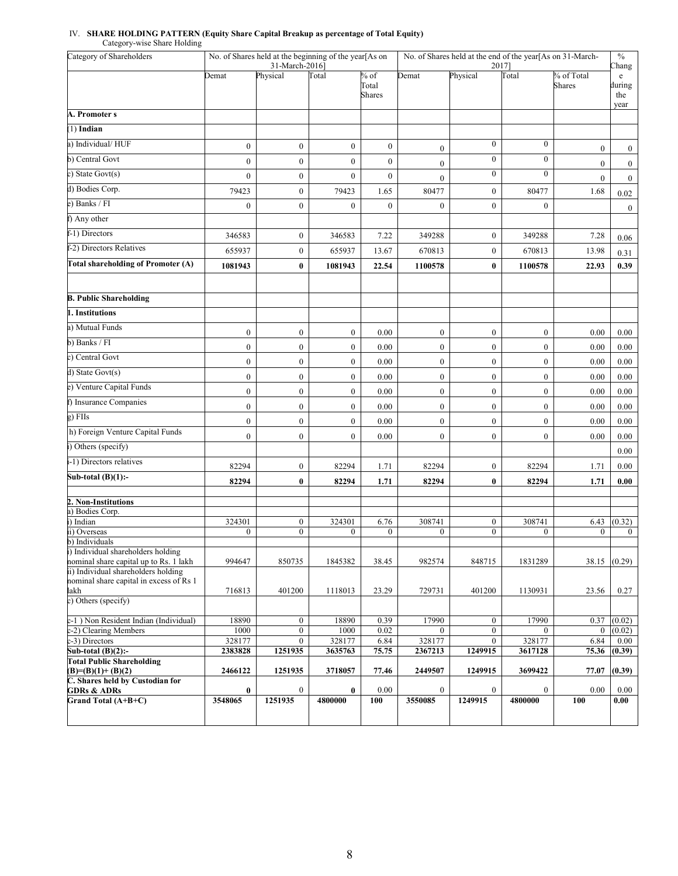#### IV. **SHARE HOLDING PATTERN (Equity Share Capital Breakup as percentage of Total Equity)** Category-wise Share Holding

| Category of Shareholders                                                       | No. of Shares held at the beginning of the year[As on<br>No. of Shares held at the end of the year[As on 31-March-<br>31-March-2016]<br>20171 |                                      |                  |                                  | $\%$<br>Chang             |                                  |                          |                             |                                    |
|--------------------------------------------------------------------------------|-----------------------------------------------------------------------------------------------------------------------------------------------|--------------------------------------|------------------|----------------------------------|---------------------------|----------------------------------|--------------------------|-----------------------------|------------------------------------|
|                                                                                | Demat                                                                                                                                         | Physical                             | Total            | $%$ of<br>Total<br><b>Shares</b> | Demat                     | Physical                         | <b>Total</b>             | % of Total<br><b>Shares</b> | e<br>during<br>the<br>year         |
| A. Promoter s                                                                  |                                                                                                                                               |                                      |                  |                                  |                           |                                  |                          |                             |                                    |
| $(1)$ Indian                                                                   |                                                                                                                                               |                                      |                  |                                  |                           |                                  |                          |                             |                                    |
| a) Individual/HUF                                                              | $\boldsymbol{0}$                                                                                                                              | $\boldsymbol{0}$                     | $\boldsymbol{0}$ | $\boldsymbol{0}$                 | $\boldsymbol{0}$          | $\boldsymbol{0}$                 | $\boldsymbol{0}$         | $\mathbf{0}$                |                                    |
| b) Central Govt                                                                | $\overline{0}$                                                                                                                                | $\boldsymbol{0}$                     | $\boldsymbol{0}$ | $\boldsymbol{0}$                 | $\overline{0}$            | $\mathbf{0}$                     | $\overline{0}$           | $\mathbf{0}$                | $\boldsymbol{0}$                   |
| c) State Govt(s)                                                               | $\overline{0}$                                                                                                                                | $\boldsymbol{0}$                     | $\mathbf{0}$     | $\boldsymbol{0}$                 |                           | $\overline{0}$                   | $\overline{0}$           | $\overline{0}$              | $\boldsymbol{0}$<br>$\overline{0}$ |
| d) Bodies Corp.                                                                | 79423                                                                                                                                         | $\boldsymbol{0}$                     | 79423            | 1.65                             | $\boldsymbol{0}$<br>80477 | $\boldsymbol{0}$                 | 80477                    | 1.68                        | 0.02                               |
| e) Banks / FI                                                                  | $\overline{0}$                                                                                                                                | $\boldsymbol{0}$                     | $\mathbf{0}$     | $\boldsymbol{0}$                 | $\boldsymbol{0}$          | $\mathbf{0}$                     | $\overline{0}$           |                             | $\mathbf{0}$                       |
| f) Any other                                                                   |                                                                                                                                               |                                      |                  |                                  |                           |                                  |                          |                             |                                    |
| f-1) Directors                                                                 | 346583                                                                                                                                        | $\boldsymbol{0}$                     | 346583           | 7.22                             | 349288                    | $\boldsymbol{0}$                 | 349288                   | 7.28                        |                                    |
| f-2) Directors Relatives                                                       | 655937                                                                                                                                        | $\boldsymbol{0}$                     | 655937           | 13.67                            | 670813                    | $\boldsymbol{0}$                 | 670813                   | 13.98                       | 0.06                               |
| <b>Total shareholding of Promoter (A)</b>                                      | 1081943                                                                                                                                       | $\bf{0}$                             | 1081943          | 22.54                            | 1100578                   | $\bf{0}$                         | 1100578                  | 22.93                       | 0.31<br>0.39                       |
| <b>B. Public Shareholding</b>                                                  |                                                                                                                                               |                                      |                  |                                  |                           |                                  |                          |                             |                                    |
| 1. Institutions                                                                |                                                                                                                                               |                                      |                  |                                  |                           |                                  |                          |                             |                                    |
|                                                                                |                                                                                                                                               |                                      |                  |                                  |                           |                                  |                          |                             |                                    |
| a) Mutual Funds                                                                | $\mathbf{0}$                                                                                                                                  | $\boldsymbol{0}$                     | $\boldsymbol{0}$ | 0.00                             | $\boldsymbol{0}$          | $\mathbf{0}$                     | $\boldsymbol{0}$         | 0.00                        | 0.00                               |
| b) Banks / FI<br>c) Central Govt                                               | $\boldsymbol{0}$                                                                                                                              | $\boldsymbol{0}$                     | $\boldsymbol{0}$ | 0.00                             | $\boldsymbol{0}$          | $\mathbf{0}$                     | $\boldsymbol{0}$         | $0.00\,$                    | 0.00                               |
|                                                                                | $\boldsymbol{0}$                                                                                                                              | $\boldsymbol{0}$                     | $\boldsymbol{0}$ | 0.00                             | $\overline{0}$            | $\boldsymbol{0}$                 | $\boldsymbol{0}$         | 0.00                        | 0.00                               |
| $d)$ State Govt(s)                                                             | $\boldsymbol{0}$                                                                                                                              | $\boldsymbol{0}$                     | $\boldsymbol{0}$ | 0.00                             | $\boldsymbol{0}$          | $\mathbf{0}$                     | $\boldsymbol{0}$         | 0.00                        | 0.00                               |
| e) Venture Capital Funds                                                       | $\boldsymbol{0}$                                                                                                                              | $\boldsymbol{0}$                     | $\mathbf{0}$     | 0.00                             | $\boldsymbol{0}$          | $\mathbf{0}$                     | $\boldsymbol{0}$         | 0.00                        | 0.00                               |
| f) Insurance Companies                                                         | $\boldsymbol{0}$                                                                                                                              | $\boldsymbol{0}$                     | $\boldsymbol{0}$ | 0.00                             | $\boldsymbol{0}$          | $\mathbf{0}$                     | $\boldsymbol{0}$         | 0.00                        | 0.00                               |
| g) FIIs                                                                        | $\overline{0}$                                                                                                                                | $\boldsymbol{0}$                     | $\mathbf{0}$     | 0.00                             | $\boldsymbol{0}$          | $\mathbf{0}$                     | $\boldsymbol{0}$         | 0.00                        | 0.00                               |
| h) Foreign Venture Capital Funds                                               | $\boldsymbol{0}$                                                                                                                              | $\boldsymbol{0}$                     | $\boldsymbol{0}$ | 0.00                             | $\boldsymbol{0}$          | $\mathbf{0}$                     | $\boldsymbol{0}$         | 0.00                        | 0.00                               |
| i) Others (specify)                                                            |                                                                                                                                               |                                      |                  |                                  |                           |                                  |                          |                             | 0.00                               |
| i-1) Directors relatives                                                       | 82294                                                                                                                                         | $\boldsymbol{0}$                     | 82294            | 1.71                             | 82294                     | $\boldsymbol{0}$                 | 82294                    | 1.71                        | 0.00                               |
| Sub-total $(B)(1)$ :-                                                          | 82294                                                                                                                                         | $\bf{0}$                             | 82294            | 1.71                             | 82294                     | $\bf{0}$                         | 82294                    | 1.71                        | 0.00                               |
| 2. Non-Institutions                                                            |                                                                                                                                               |                                      |                  |                                  |                           |                                  |                          |                             |                                    |
| a) Bodies Corp.<br>i) Indian                                                   | 324301                                                                                                                                        | $\boldsymbol{0}$                     | 324301           | 6.76                             | 308741                    | $\boldsymbol{0}$                 | 308741                   | 6.43                        | (0.32)                             |
| ii) Overseas                                                                   | $\overline{0}$                                                                                                                                | $\mathbf{0}$                         | $\mathbf{0}$     | $\overline{0}$                   | $\overline{0}$            | $\mathbf{0}$                     | $\overline{0}$           | $\overline{0}$              | $\overline{0}$                     |
| b) Individuals<br>i) Individual shareholders holding                           |                                                                                                                                               |                                      |                  |                                  |                           |                                  |                          |                             |                                    |
| nominal share capital up to Rs. 1 lakh                                         | 994647                                                                                                                                        | 850735                               | 1845382          | 38.45                            | 982574                    | 848715                           | 1831289                  | 38.15                       | (0.29)                             |
| ii) Individual shareholders holding<br>nominal share capital in excess of Rs 1 |                                                                                                                                               |                                      |                  |                                  |                           |                                  |                          |                             |                                    |
| lakh                                                                           | 716813                                                                                                                                        | 401200                               | 1118013          | 23.29                            | 729731                    | 401200                           | 1130931                  | 23.56                       | 0.27                               |
| c) Others (specify)                                                            |                                                                                                                                               |                                      |                  |                                  |                           |                                  |                          |                             |                                    |
| c-1) Non Resident Indian (Individual)                                          | 18890                                                                                                                                         | $\boldsymbol{0}$                     | 18890            | 0.39                             | 17990                     | $\mathbf{0}$                     | 17990                    | 0.37                        | (0.02)                             |
| c-2) Clearing Members<br>c-3) Directors                                        | 1000<br>328177                                                                                                                                | $\boldsymbol{0}$<br>$\boldsymbol{0}$ | 1000<br>328177   | 0.02<br>6.84                     | 0<br>328177               | $\mathbf{0}$<br>$\boldsymbol{0}$ | $\overline{0}$<br>328177 | $\overline{0}$<br>6.84      | (0.02)<br>0.00                     |
| Sub-total $(B)(2)$ :-                                                          | 2383828                                                                                                                                       | 1251935                              | 3635763          | 75.75                            | 2367213                   | 1249915                          | 3617128                  | 75.36                       | (0.39)                             |
| <b>Total Public Shareholding</b><br>$(B)= (B)(1)+(B)(2)$                       | 2466122                                                                                                                                       | 1251935                              | 3718057          | 77.46                            | 2449507                   | 1249915                          | 3699422                  | 77.07                       | (0.39)                             |
| C. Shares held by Custodian for<br><b>GDRs &amp; ADRs</b>                      | $\bf{0}$                                                                                                                                      | $\bf{0}$                             | $\bf{0}$         | 0.00                             | $\boldsymbol{0}$          | $\bf{0}$                         | $\boldsymbol{0}$         | 0.00                        | 0.00                               |
| Grand Total (A+B+C)                                                            | 3548065                                                                                                                                       | 1251935                              | 4800000          | 100                              | 3550085                   | 1249915                          | 4800000                  | 100                         | 0.00                               |
|                                                                                |                                                                                                                                               |                                      |                  |                                  |                           |                                  |                          |                             |                                    |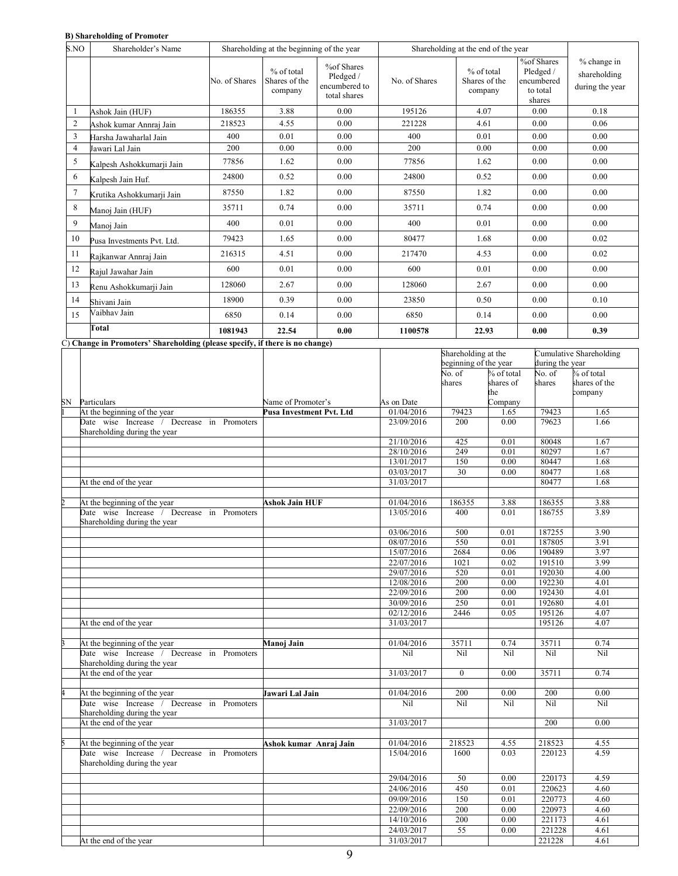### **B) Shareholding of Promoter**

| S.NO           | Shareholder's Name                                                                                                                                             | Shareholding at the beginning of the year |                                        |                                                          | Shareholding at the end of the year |                                        |                                                             |                                                |
|----------------|----------------------------------------------------------------------------------------------------------------------------------------------------------------|-------------------------------------------|----------------------------------------|----------------------------------------------------------|-------------------------------------|----------------------------------------|-------------------------------------------------------------|------------------------------------------------|
|                |                                                                                                                                                                | No. of Shares                             | % of total<br>Shares of the<br>company | %of Shares<br>Pledged /<br>encumbered to<br>total shares | No. of Shares                       | % of total<br>Shares of the<br>company | %of Shares<br>Pledged /<br>encumbered<br>to total<br>shares | % change in<br>shareholding<br>during the year |
|                | Ashok Jain (HUF)                                                                                                                                               | 186355                                    | 3.88                                   | 0.00                                                     | 195126                              | 4.07                                   | 0.00                                                        | 0.18                                           |
| $\overline{2}$ | Ashok kumar Annraj Jain                                                                                                                                        | 218523                                    | 4.55                                   | 0.00                                                     | 221228                              | 4.61                                   | 0.00                                                        | 0.06                                           |
| 3              | Harsha Jawaharlal Jain                                                                                                                                         | 400                                       | 0.01                                   | 0.00                                                     | 400                                 | 0.01                                   | 0.00                                                        | 0.00                                           |
| 4              | Jawari Lal Jain                                                                                                                                                | 200                                       | 0.00                                   | 0.00                                                     | 200                                 | 0.00                                   | 0.00                                                        | 0.00                                           |
| 5              | Kalpesh Ashokkumarji Jain                                                                                                                                      | 77856                                     | 1.62                                   | 0.00                                                     | 77856                               | 1.62                                   | 0.00                                                        | 0.00                                           |
| 6              | Kalpesh Jain Huf.                                                                                                                                              | 24800                                     | 0.52                                   | 0.00                                                     | 24800                               | 0.52                                   | 0.00                                                        | 0.00                                           |
| 7              | Krutika Ashokkumarji Jain                                                                                                                                      | 87550                                     | 1.82                                   | 0.00                                                     | 87550                               | 1.82                                   | 0.00                                                        | 0.00                                           |
| 8              | Manoj Jain (HUF)                                                                                                                                               | 35711                                     | 0.74                                   | 0.00                                                     | 35711                               | 0.74                                   | 0.00                                                        | 0.00                                           |
| 9              | Manoj Jain                                                                                                                                                     | 400                                       | 0.01                                   | 0.00                                                     | 400                                 | 0.01                                   | 0.00                                                        | 0.00                                           |
| 10             | Pusa Investments Pvt. Ltd.                                                                                                                                     | 79423                                     | 1.65                                   | 0.00                                                     | 80477                               | 1.68                                   | 0.00                                                        | 0.02                                           |
| 11             | Rajkanwar Annraj Jain                                                                                                                                          | 216315                                    | 4.51                                   | 0.00                                                     | 217470                              | 4.53                                   | 0.00                                                        | 0.02                                           |
| 12             | Rajul Jawahar Jain                                                                                                                                             | 600                                       | 0.01                                   | 0.00                                                     | 600                                 | 0.01                                   | 0.00                                                        | 0.00                                           |
| 13             | Renu Ashokkumarji Jain                                                                                                                                         | 128060                                    | 2.67                                   | 0.00                                                     | 128060                              | 2.67                                   | 0.00                                                        | 0.00                                           |
| 14             | Shivani Jain                                                                                                                                                   | 18900                                     | 0.39                                   | 0.00                                                     | 23850                               | 0.50                                   | 0.00                                                        | 0.10                                           |
| 15             | Vaibhav Jain                                                                                                                                                   | 6850                                      | 0.14                                   | 0.00                                                     | 6850                                | 0.14                                   | 0.00                                                        | 0.00                                           |
|                | Total<br>$\alpha$ and $\alpha$ is a set of $\alpha$ is a set of $\alpha$ in the set of $\alpha$ is a set of $\alpha$ is a set of $\alpha$ is a set of $\alpha$ | 1081943                                   | 22.54                                  | 0.00                                                     | 1100578                             | 22.93                                  | 0.00                                                        | 0.39                                           |

C) **Change in Promoters' Shareholding (please specify, if there is no change)** 

|                                               |                          |            | Shareholding at the   |            |                 | Cumulative Shareholding |
|-----------------------------------------------|--------------------------|------------|-----------------------|------------|-----------------|-------------------------|
|                                               |                          |            | beginning of the year |            | during the year |                         |
|                                               |                          |            | No. of                | % of total | No. of          | % of total              |
|                                               |                          |            | shares                | shares of  | shares          | shares of the           |
|                                               |                          |            |                       | the        |                 | company                 |
| SN Particulars                                | Name of Promoter's       | As on Date |                       | Company    |                 |                         |
| At the beginning of the year                  | Pusa Investment Pvt. Ltd | 01/04/2016 | 79423                 | 1.65       | 79423           | 1.65                    |
| Date wise Increase / Decrease in Promoters    |                          | 23/09/2016 | 200                   | 0.00       | 79623           | 1.66                    |
| Shareholding during the year                  |                          |            |                       |            |                 |                         |
|                                               |                          | 21/10/2016 | 425                   | 0.01       | 80048           | 1.67                    |
|                                               |                          | 28/10/2016 | 249                   | 0.01       | 80297           | 1.67                    |
|                                               |                          | 13/01/2017 | 150                   | 0.00       | 80447           | 1.68                    |
|                                               |                          | 03/03/2017 | 30                    | 0.00       | 80477           | 1.68                    |
| At the end of the year                        |                          | 31/03/2017 |                       |            | 80477           | 1.68                    |
|                                               |                          |            |                       |            |                 |                         |
| At the beginning of the year                  | Ashok Jain HUF           | 01/04/2016 | 186355                | 3.88       | 186355          | 3.88                    |
| Date wise Increase / Decrease in Promoters    |                          | 13/05/2016 | 400                   | 0.01       | 186755          | 3.89                    |
| Shareholding during the year                  |                          |            |                       |            |                 |                         |
|                                               |                          | 03/06/2016 | 500                   | 0.01       | 187255          | 3.90                    |
|                                               |                          | 08/07/2016 | 550                   | 0.01       | 187805          | 3.91                    |
|                                               |                          |            |                       |            | 190489          |                         |
|                                               |                          | 15/07/2016 | 2684                  | 0.06       |                 | 3.97                    |
|                                               |                          | 22/07/2016 | 1021                  | 0.02       | 191510          | 3.99                    |
|                                               |                          | 29/07/2016 | 520                   | 0.01       | 192030          | 4.00                    |
|                                               |                          | 12/08/2016 | 200                   | 0.00       | 192230          | 4.01                    |
|                                               |                          | 22/09/2016 | 200                   | 0.00       | 192430          | 4.01                    |
|                                               |                          | 30/09/2016 | 250                   | 0.01       | 192680          | 4.01                    |
|                                               |                          | 02/12/2016 | 2446                  | 0.05       | 195126          | 4.07                    |
| At the end of the year                        |                          | 31/03/2017 |                       |            | 195126          | 4.07                    |
|                                               |                          |            |                       |            |                 |                         |
| At the beginning of the year                  | Manoj Jain               | 01/04/2016 | 35711                 | 0.74       | 35711           | 0.74                    |
| Date wise Increase / Decrease in Promoters    |                          | Nil        | Nil                   | Nil        | Nil             | Nil                     |
| Shareholding during the year                  |                          |            |                       |            |                 |                         |
| At the end of the year                        |                          | 31/03/2017 | $\theta$              | 0.00       | 35711           | 0.74                    |
|                                               |                          |            |                       |            |                 |                         |
| At the beginning of the year                  | Jawari Lal Jain          | 01/04/2016 | 200                   | 0.00       | 200             | 0.00                    |
| Date wise Increase /<br>Decrease in Promoters |                          | Nil        | Nil                   | Nil        | Nil             | Nil                     |
| Shareholding during the year                  |                          |            |                       |            |                 |                         |
| At the end of the year                        |                          | 31/03/2017 |                       |            | 200             | 0.00                    |
|                                               |                          |            |                       |            |                 |                         |
| At the beginning of the year                  | Ashok kumar Anraj Jain   | 01/04/2016 | 218523                | 4.55       | 218523          | 4.55                    |
| Date wise Increase / Decrease in Promoters    |                          | 15/04/2016 | 1600                  | 0.03       | 220123          | 4.59                    |
| Shareholding during the year                  |                          |            |                       |            |                 |                         |
|                                               |                          |            |                       |            |                 |                         |
|                                               |                          | 29/04/2016 | 50                    | 0.00       | 220173          | 4.59                    |
|                                               |                          | 24/06/2016 | 450                   | 0.01       | 220623          | 4.60                    |
|                                               |                          | 09/09/2016 | 150                   | 0.01       | 220773          | 4.60                    |
|                                               |                          | 22/09/2016 | 200                   | 0.00       | 220973          | 4.60                    |
|                                               |                          | 14/10/2016 | 200                   | 0.00       | 221173          | 4.61                    |
|                                               |                          | 24/03/2017 | 55                    | 0.00       | 221228          | 4.61                    |
| At the end of the year                        |                          | 31/03/2017 |                       |            | 221228          | 4.61                    |
|                                               |                          |            |                       |            |                 |                         |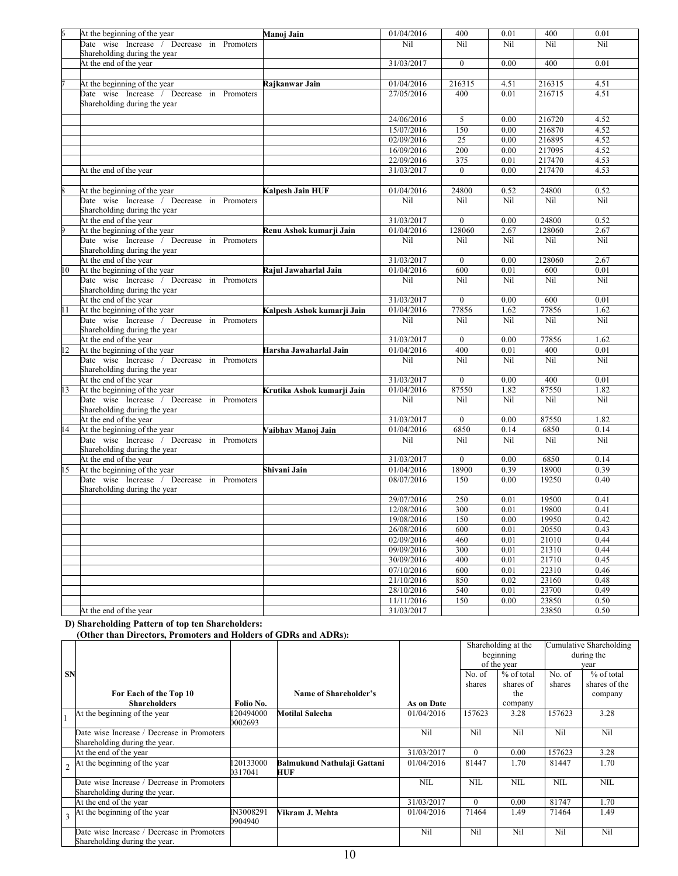|                | At the beginning of the year                                               | Manoj Jain                 | 01/04/2016 | 400             | 0.01 | 400              | 0.01 |
|----------------|----------------------------------------------------------------------------|----------------------------|------------|-----------------|------|------------------|------|
|                | Date wise Increase / Decrease in Promoters                                 |                            | Nil        | Nil             | Nil  | Nil              | Nil  |
|                | Shareholding during the year                                               |                            |            |                 |      |                  |      |
|                | At the end of the year                                                     |                            | 31/03/2017 | $\theta$        | 0.00 | 400              | 0.01 |
|                |                                                                            |                            |            |                 |      |                  |      |
|                | At the beginning of the year                                               | Rajkanwar Jain             | 01/04/2016 | 216315          | 4.51 | 216315           | 4.51 |
|                | Date wise Increase / Decrease in Promoters                                 |                            | 27/05/2016 | 400             | 0.01 | 216715           | 4.51 |
|                | Shareholding during the year                                               |                            |            |                 |      |                  |      |
|                |                                                                            |                            |            |                 |      |                  |      |
|                |                                                                            |                            | 24/06/2016 | 5               | 0.00 | 216720           | 4.52 |
|                |                                                                            |                            | 15/07/2016 | 150             | 0.00 | 216870           | 4.52 |
|                |                                                                            |                            | 02/09/2016 | 25              | 0.00 | 216895<br>217095 | 4.52 |
|                |                                                                            |                            | 16/09/2016 | 200             | 0.00 |                  | 4.52 |
|                |                                                                            |                            | 22/09/2016 | 375<br>$\theta$ | 0.01 | 217470           | 4.53 |
|                | At the end of the year                                                     |                            | 31/03/2017 |                 | 0.00 | 217470           | 4.53 |
|                |                                                                            |                            |            |                 |      |                  |      |
|                | At the beginning of the year<br>Date wise Increase / Decrease in Promoters | Kalpesh Jain HUF           | 01/04/2016 | 24800           | 0.52 | 24800<br>Nil     | 0.52 |
|                | Shareholding during the year                                               |                            | Nil        | Nil             | Nil  |                  | Nil  |
|                | At the end of the year                                                     |                            | 31/03/2017 | $\overline{0}$  | 0.00 | 24800            | 0.52 |
|                | At the beginning of the year                                               | Renu Ashok kumarji Jain    | 01/04/2016 | 128060          | 2.67 | 128060           | 2.67 |
|                | Date wise Increase / Decrease in Promoters                                 |                            | Nil        | Nil             | Nil  | Nil              | Nil  |
|                | Shareholding during the year                                               |                            |            |                 |      |                  |      |
|                | At the end of the year                                                     |                            | 31/03/2017 | $\overline{0}$  | 0.00 | 128060           | 2.67 |
| l0             | At the beginning of the year                                               | Rajul Jawaharlal Jain      | 01/04/2016 | 600             | 0.01 | 600              | 0.01 |
|                | Date wise Increase / Decrease in Promoters                                 |                            | Nil        | Nil             | Nil  | Nil              | Nil  |
|                | Shareholding during the year                                               |                            |            |                 |      |                  |      |
|                | At the end of the year                                                     |                            | 31/03/2017 | $\theta$        | 0.00 | 600              | 0.01 |
| 11             | At the beginning of the year                                               | Kalpesh Ashok kumarji Jain | 01/04/2016 | 77856           | 1.62 | 77856            | 1.62 |
|                | Date wise Increase / Decrease in Promoters                                 |                            | Nil        | Nil             | Nil  | Nil              | Nil  |
|                | Shareholding during the year                                               |                            |            |                 |      |                  |      |
|                | At the end of the year                                                     |                            | 31/03/2017 | $\overline{0}$  | 0.00 | 77856            | 1.62 |
| $\overline{2}$ | At the beginning of the year                                               | Harsha Jawaharlal Jain     | 01/04/2016 | 400             | 0.01 | 400              | 0.01 |
|                | Date wise Increase / Decrease in Promoters                                 |                            | Nil        | Nil             | Nil  | Nil              | Nil  |
|                | Shareholding during the year                                               |                            |            |                 |      |                  |      |
|                | At the end of the year                                                     |                            | 31/03/2017 | $\overline{0}$  | 0.00 | 400              | 0.01 |
| 13             | At the beginning of the year                                               | Krutika Ashok kumarji Jain | 01/04/2016 | 87550           | 1.82 | 87550            | 1.82 |
|                | Date wise Increase / Decrease in Promoters                                 |                            | Nil        | Nil             | Nil  | Nil              | Nil  |
|                | Shareholding during the year                                               |                            |            |                 |      |                  |      |
|                | At the end of the year                                                     |                            | 31/03/2017 | $\overline{0}$  | 0.00 | 87550            | 1.82 |
| 14             | At the beginning of the year                                               | Vaibhav Manoj Jain         | 01/04/2016 | 6850            | 0.14 | 6850             | 0.14 |
|                | Date wise Increase / Decrease in Promoters<br>Shareholding during the year |                            | Nil        | Nil             | Nil  | Nil              | Nil  |
|                | At the end of the year                                                     |                            | 31/03/2017 | $\overline{0}$  | 0.00 | 6850             | 0.14 |
| 15             | At the beginning of the year                                               | Shivani Jain               | 01/04/2016 | 18900           | 0.39 | 18900            | 0.39 |
|                | Date wise Increase / Decrease in Promoters<br>Shareholding during the year |                            | 08/07/2016 | 150             | 0.00 | 19250            | 0.40 |
|                |                                                                            |                            | 29/07/2016 | 250             | 0.01 | 19500            | 0.41 |
|                |                                                                            |                            | 12/08/2016 | 300             | 0.01 | 19800            | 0.41 |
|                |                                                                            |                            | 19/08/2016 | 150             | 0.00 | 19950            | 0.42 |
|                |                                                                            |                            | 26/08/2016 | 600             | 0.01 | 20550            | 0.43 |
|                |                                                                            |                            | 02/09/2016 | 460             | 0.01 | 21010            | 0.44 |
|                |                                                                            |                            | 09/09/2016 | 300             | 0.01 | 21310            | 0.44 |
|                |                                                                            |                            | 30/09/2016 | 400             | 0.01 | 21710            | 0.45 |
|                |                                                                            |                            | 07/10/2016 | 600             | 0.01 | 22310            | 0.46 |
|                |                                                                            |                            | 21/10/2016 | 850             | 0.02 | 23160            | 0.48 |
|                |                                                                            |                            | 28/10/2016 | 540             | 0.01 | 23700            | 0.49 |
|                |                                                                            |                            | 11/11/2016 | 150             | 0.00 | 23850            | 0.50 |
|                | At the end of the year                                                     |                            | 31/03/2017 |                 |      | 23850            | 0.50 |

#### **D) Shareholding Pattern of top ten Shareholders:**

 **(Other than Directors, Promoters and Holders of GDRs and ADRs):** 

|           |                                                                             |                      |                                    |            | Shareholding at the |             | Cumulative Shareholding |               |
|-----------|-----------------------------------------------------------------------------|----------------------|------------------------------------|------------|---------------------|-------------|-------------------------|---------------|
|           |                                                                             |                      |                                    |            | beginning           |             |                         | during the    |
|           |                                                                             |                      |                                    |            |                     | of the year | vear                    |               |
| <b>SN</b> |                                                                             |                      |                                    |            | No. of              | % of total  | No. of                  | % of total    |
|           |                                                                             |                      |                                    |            | shares              | shares of   | shares                  | shares of the |
|           | For Each of the Top 10                                                      |                      | Name of Shareholder's              |            |                     | the         |                         | company       |
|           | <b>Shareholders</b>                                                         | Folio No.            |                                    | As on Date |                     | company     |                         |               |
|           | At the beginning of the year                                                | 20494000<br>0002693  | <b>Motilal Salecha</b>             | 01/04/2016 | 157623              | 3.28        | 157623                  | 3.28          |
|           | Date wise Increase / Decrease in Promoters<br>Shareholding during the year. |                      |                                    | Nil        | Nil                 | Nil         | Nil                     | Nil           |
|           |                                                                             |                      |                                    |            | $\Omega$            |             | 157623                  |               |
|           | At the end of the year                                                      |                      |                                    | 31/03/2017 |                     | 0.00        |                         | 3.28          |
|           | At the beginning of the year                                                | 120133000<br>0317041 | Balmukund Nathulaji Gattani<br>HUF | 01/04/2016 | 81447               | 1.70        | 81447                   | 1.70          |
|           | Date wise Increase / Decrease in Promoters<br>Shareholding during the year. |                      |                                    | <b>NIL</b> | NIL                 | NIL.        | <b>NIL</b>              | <b>NIL</b>    |
|           | At the end of the year                                                      |                      |                                    | 31/03/2017 | $\Omega$            | 0.00        | 81747                   | 1.70          |
|           | At the beginning of the year                                                | N3008291<br>0904940  | Vikram J. Mehta                    | 01/04/2016 | 71464               | 1.49        | 71464                   | 1.49          |
|           | Date wise Increase / Decrease in Promoters                                  |                      |                                    | Nil        | Nil                 | Nil         | Nil                     | Nil           |
|           | Shareholding during the year.                                               |                      |                                    |            |                     |             |                         |               |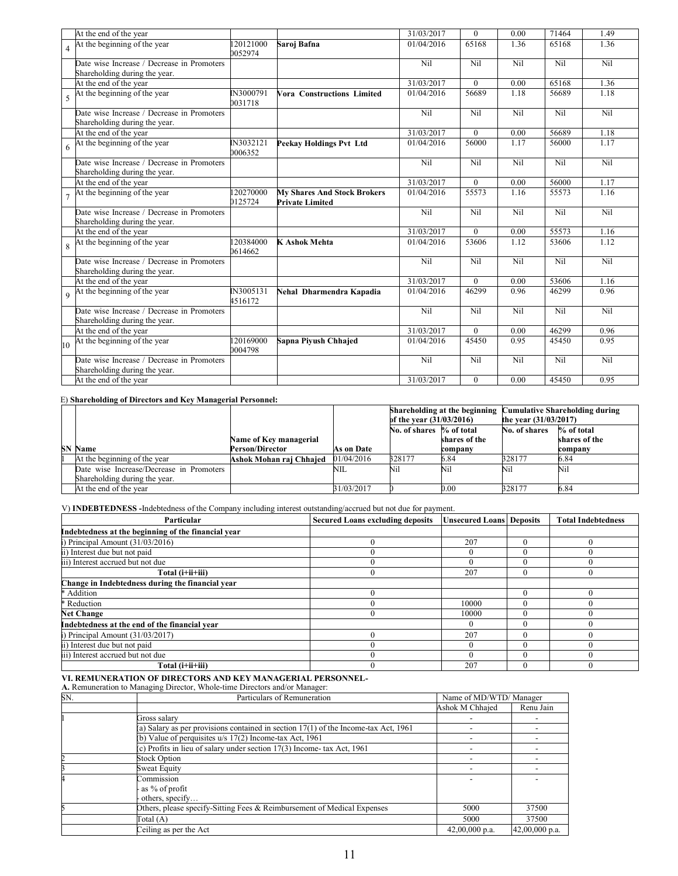|                 | At the end of the year                                                      |                      |                                                              | 31/03/2017 | $\Omega$ | 0.00 | 71464 | 1.49 |
|-----------------|-----------------------------------------------------------------------------|----------------------|--------------------------------------------------------------|------------|----------|------|-------|------|
| $\overline{4}$  | At the beginning of the year                                                | 20121000<br>0052974  | Saroj Bafna                                                  | 01/04/2016 | 65168    | 1.36 | 65168 | 1.36 |
|                 | Date wise Increase / Decrease in Promoters<br>Shareholding during the year. |                      |                                                              | Nil        | Nil      | Nil  | Nil   | Nil  |
|                 | At the end of the year                                                      |                      |                                                              | 31/03/2017 | $\Omega$ | 0.00 | 65168 | 1.36 |
|                 | At the beginning of the year                                                | N3000791<br>0031718  | <b>Vora Constructions Limited</b>                            | 01/04/2016 | 56689    | 1.18 | 56689 | 1.18 |
|                 | Date wise Increase / Decrease in Promoters<br>Shareholding during the year. |                      |                                                              | Nil        | Nil      | Nil  | Nil   | Nil  |
|                 | At the end of the year                                                      |                      |                                                              | 31/03/2017 | $\Omega$ | 0.00 | 56689 | 1.18 |
|                 | $6h$ At the beginning of the year                                           | IN3032121<br>0006352 | <b>Peekay Holdings Pvt Ltd</b>                               | 01/04/2016 | 56000    | 1.17 | 56000 | 1.17 |
|                 | Date wise Increase / Decrease in Promoters<br>Shareholding during the year. |                      |                                                              | Nil        | Nil      | Nil  | Nil   | Nil  |
|                 | At the end of the year                                                      |                      |                                                              | 31/03/2017 | $\theta$ | 0.00 | 56000 | 1.17 |
|                 | At the beginning of the year                                                | 20270000<br>0125724  | <b>My Shares And Stock Brokers</b><br><b>Private Limited</b> | 01/04/2016 | 55573    | 1.16 | 55573 | 1.16 |
|                 | Date wise Increase / Decrease in Promoters<br>Shareholding during the year. |                      |                                                              | Nil        | Nil      | Nil  | Nil   | Nil  |
|                 | At the end of the year                                                      |                      |                                                              | 31/03/2017 | $\theta$ | 0.00 | 55573 | 1.16 |
| $\overline{8}$  | At the beginning of the year                                                | 120384000<br>0614662 | <b>K Ashok Mehta</b>                                         | 01/04/2016 | 53606    | 1.12 | 53606 | 1.12 |
|                 | Date wise Increase / Decrease in Promoters<br>Shareholding during the year. |                      |                                                              | Nil        | Nil      | Nil  | Nil   | Nil  |
|                 | At the end of the year                                                      |                      |                                                              | 31/03/2017 | $\Omega$ | 0.00 | 53606 | 1.16 |
|                 | 9 At the beginning of the year                                              | IN3005131<br>4516172 | Nehal Dharmendra Kapadia                                     | 01/04/2016 | 46299    | 0.96 | 46299 | 0.96 |
|                 | Date wise Increase / Decrease in Promoters<br>Shareholding during the year. |                      |                                                              | Nil        | Nil      | Nil  | Nil   | Nil  |
|                 | At the end of the year                                                      |                      |                                                              | 31/03/2017 | $\Omega$ | 0.00 | 46299 | 0.96 |
| 10 <sup>1</sup> | At the beginning of the year                                                | 120169000<br>0004798 | Sapna Piyush Chhajed                                         | 01/04/2016 | 45450    | 0.95 | 45450 | 0.95 |
|                 | Date wise Increase / Decrease in Promoters<br>Shareholding during the year. |                      |                                                              | Nil        | Nil      | Nil  | Nil   | Nil  |
|                 | At the end of the year                                                      |                      |                                                              | 31/03/2017 | $\theta$ | 0.00 | 45450 | 0.95 |

#### E) **Shareholding of Directors and Key Managerial Personnel:**

|                                          |                         |            |        |                                           | Shareholding at the beginning Cumulative Shareholding during |                         |
|------------------------------------------|-------------------------|------------|--------|-------------------------------------------|--------------------------------------------------------------|-------------------------|
|                                          |                         |            |        | of the year $(31/03/2016)$                |                                                              | the year $(31/03/2017)$ |
|                                          |                         |            |        | No. of shares % of total<br>No. of shares |                                                              | $%$ of total            |
|                                          | Name of Key managerial  |            |        | shares of the                             |                                                              | shares of the           |
| <b>SN Name</b>                           | Person/Director         | As on Date |        | company                                   |                                                              | company                 |
| At the beginning of the year             | Ashok Mohan raj Chhajed | 01/04/2016 | 328177 | 6.84                                      | 328177                                                       | 5.84                    |
| Date wise Increase/Decrease in Promoters |                         | NIL        | Nil    | Nil                                       | Nil                                                          | Nil                     |
| Shareholding during the year.            |                         |            |        |                                           |                                                              |                         |
| At the end of the year                   |                         | 31/03/2017 |        | 0.00                                      | 328177                                                       | 6.84                    |

### V) **INDEBTEDNESS -**Indebtedness of the Company including interest outstanding/accrued but not due for payment.

| Particular                                          | <b>Secured Loans excluding deposits</b> | <b>Unsecured Loans Deposits</b> |          | <b>Total Indebtedness</b> |
|-----------------------------------------------------|-----------------------------------------|---------------------------------|----------|---------------------------|
| Indebtedness at the beginning of the financial year |                                         |                                 |          |                           |
| $)$ Principal Amount $(31/03/2016)$                 |                                         | 207                             | $\Omega$ |                           |
| i) Interest due but not paid                        |                                         |                                 | u        |                           |
| iii) Interest accrued but not due                   |                                         |                                 | u        |                           |
| Total (i+ii+iii)                                    |                                         | 207                             | 0        |                           |
| Change in Indebtedness during the financial year    |                                         |                                 |          |                           |
| * Addition                                          |                                         |                                 | 0        |                           |
| * Reduction                                         |                                         | 10000                           |          |                           |
| <b>Net Change</b>                                   |                                         | 10000                           | 0        |                           |
| Indebtedness at the end of the financial year       |                                         |                                 | 0        |                           |
| $)$ Principal Amount $(31/03/2017)$                 |                                         | 207                             | 0        |                           |
| i) Interest due but not paid                        |                                         |                                 | u        |                           |
| iii) Interest accrued but not due                   |                                         |                                 | 0        |                           |
| Total (i+ii+iii)                                    |                                         | 207                             | 0        |                           |

**VI. REMUNERATION OF DIRECTORS AND KEY MANAGERIAL PERSONNEL-**

#### **A.** Remuneration to Managing Director, Whole-time Directors and/or Manager:

| SN. | Particulars of Remuneration                                                           |                  | Name of MD/WTD/ Manager |  |  |
|-----|---------------------------------------------------------------------------------------|------------------|-------------------------|--|--|
|     |                                                                                       | Ashok M Chhajed  | Renu Jain               |  |  |
|     | Gross salarv                                                                          |                  |                         |  |  |
|     | (a) Salary as per provisions contained in section $17(1)$ of the Income-tax Act, 1961 |                  |                         |  |  |
|     | (b) Value of perquisites $u/s$ 17(2) Income-tax Act, 1961                             |                  |                         |  |  |
|     | (c) Profits in lieu of salary under section 17(3) Income- tax Act, 1961               |                  |                         |  |  |
|     | <b>Stock Option</b>                                                                   |                  |                         |  |  |
|     | Sweat Equity                                                                          |                  |                         |  |  |
|     | Commission<br>as % of profit<br>others, specify                                       |                  |                         |  |  |
|     | Others, please specify-Sitting Fees & Reimbursement of Medical Expenses               | 5000             | 37500                   |  |  |
|     | Total (A)                                                                             | 5000             | 37500                   |  |  |
|     | Ceiling as per the Act                                                                | $42,00,000$ p.a. | 42,00,000 p.a.          |  |  |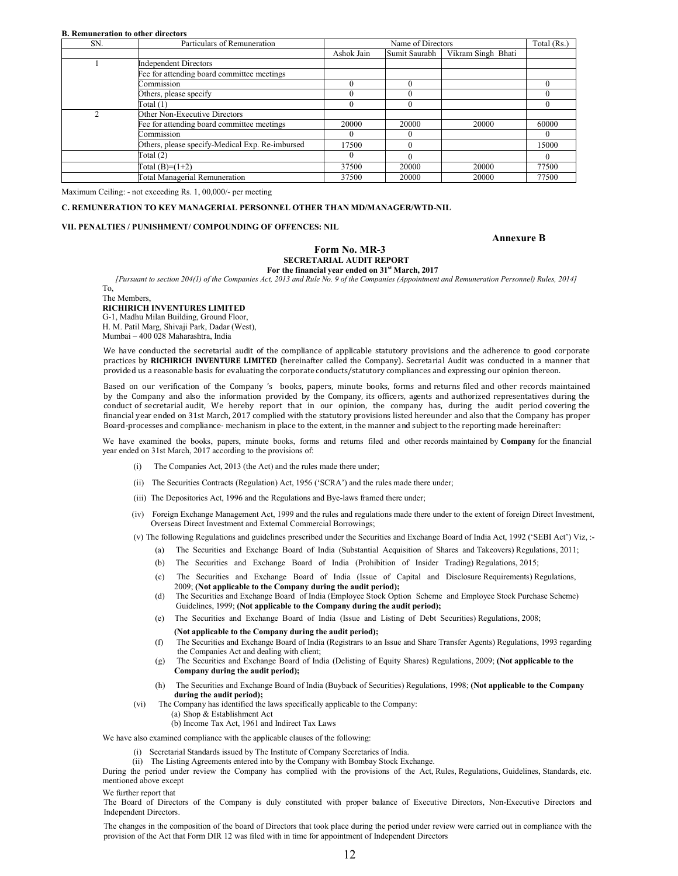#### **B. Remuneration to other directors**

| SN. | Particulars of Remuneration                     |            | Name of Directors |                    | Total (Rs.) |
|-----|-------------------------------------------------|------------|-------------------|--------------------|-------------|
|     |                                                 | Ashok Jain | Sumit Saurabh     | Vikram Singh Bhati |             |
|     | <b>Independent Directors</b>                    |            |                   |                    |             |
|     | Fee for attending board committee meetings      |            |                   |                    |             |
|     | Commission                                      |            | $\Omega$          |                    |             |
|     | Others, please specify                          |            |                   |                    |             |
|     | Total(1)                                        |            |                   |                    |             |
| ∍   | Other Non-Executive Directors                   |            |                   |                    |             |
|     | Fee for attending board committee meetings      | 20000      | 20000             | 20000              | 60000       |
|     | Commission                                      | $^{(1)}$   |                   |                    |             |
|     | Others, please specify-Medical Exp. Re-imbursed | 17500      |                   |                    | 15000       |
|     | Total(2)                                        | $\theta$   |                   |                    |             |
|     | $Total (B)= (1+2)$                              | 37500      | 20000             | 20000              | 77500       |
|     | <b>Total Managerial Remuneration</b>            | 37500      | 20000             | 20000              | 77500       |

Maximum Ceiling: - not exceeding Rs. 1, 00,000/- per meeting

#### **C. REMUNERATION TO KEY MANAGERIAL PERSONNEL OTHER THAN MD/MANAGER/WTD-NIL**

#### **VII. PENALTIES / PUNISHMENT/ COMPOUNDING OF OFFENCES: NIL**

#### **Annexure B**

#### **Form No. MR-3 SECRETARIAL AUDIT REPORT For the financial year ended on 31st March, 2017**

*[Pursuant to section 204(1) of the Companies Act, 2013 and Rule No. 9 of the Companies (Appointment and Remuneration Personnel) Rules, 2014]*

To, The Members, **RICHIRICH INVENTURES LIMITED**  G-1, Madhu Milan Building, Ground Floor, H. M. Patil Marg, Shivaji Park, Dadar (West), Mumbai – 400 028 Maharashtra, India

We have conducted the secretarial audit of the compliance of applicable statutory provisions and the adherence to good corporate practices by **RICHIRICH INVENTURE LIMITED** (hereinafter called the Company). Secretarial Audit was conducted in a manner that provided us a reasonable basis for evaluating the corporate conducts/statutory compliances and expressing our opinion thereon.

Based on our verification of the Company 's books, papers, minute books, forms and returns filed and other records maintained by the Company and also the information provided by the Company, its officers, agents and authorized representatives during the conduct of secretarial audit, We hereby report that in our opinion, the company has, during the audit period covering the financial year ended on 31st March, 2017 complied with the statutory provisions listed hereunder and also that the Company has proper Board-processes and compliance- mechanism in place to the extent, in the manner and subject to the reporting made hereinafter:

We have examined the books, papers, minute books, forms and returns filed and other records maintained by **Company** for the financial year ended on 31st March, 2017 according to the provisions of:

- The Companies Act, 2013 (the Act) and the rules made there under;
- (ii) The Securities Contracts (Regulation) Act, 1956 ('SCRA') and the rules made there under;
- (iii) The Depositories Act, 1996 and the Regulations and Bye-laws framed there under;
- (iv) Foreign Exchange Management Act, 1999 and the rules and regulations made there under to the extent of foreign Direct Investment, Overseas Direct Investment and External Commercial Borrowings;

(v) The following Regulations and guidelines prescribed under the Securities and Exchange Board of India Act, 1992 ('SEBI Act') Viz, :-

- (a) The Securities and Exchange Board of India (Substantial Acquisition of Shares and Takeovers) Regulations, 2011;
- (b) The Securities and Exchange Board of India (Prohibition of Insider Trading) Regulations, 2015;
- (c) The Securities and Exchange Board of India (Issue of Capital and Disclosure Requirements) Regulations, 2009; **(Not applicable to the Company during the audit period);**
- (d) The Securities and Exchange Board of India (Employee Stock Option Scheme and Employee Stock Purchase Scheme) Guidelines, 1999; **(Not applicable to the Company during the audit period);**
- (e) The Securities and Exchange Board of India (Issue and Listing of Debt Securities) Regulations, 2008; **(Not applicable to the Company during the audit period);**
- (f) The Securities and Exchange Board of India (Registrars to an Issue and Share Transfer Agents) Regulations, 1993 regarding the Companies Act and dealing with client;
- (g) The Securities and Exchange Board of India (Delisting of Equity Shares) Regulations, 2009; **(Not applicable to the Company during the audit period);**
- (h) The Securities and Exchange Board of India (Buyback of Securities) Regulations, 1998; **(Not applicable to the Company during the audit period);**
- (vi) The Company has identified the laws specifically applicable to the Company:
	- (a) Shop & Establishment Act
	- (b) Income Tax Act, 1961 and Indirect Tax Laws

We have also examined compliance with the applicable clauses of the following:

- (i) Secretarial Standards issued by The Institute of Company Secretaries of India.
- (ii) The Listing Agreements entered into by the Company with Bombay Stock Exchange.

During the period under review the Company has complied with the provisions of the Act, Rules, Regulations, Guidelines, Standards, etc. mentioned above except

We further report that

The Board of Directors of the Company is duly constituted with proper balance of Executive Directors, Non-Executive Directors and Independent Directors.

The changes in the composition of the board of Directors that took place during the period under review were carried out in compliance with the provision of the Act that Form DIR 12 was filed with in time for appointment of Independent Directors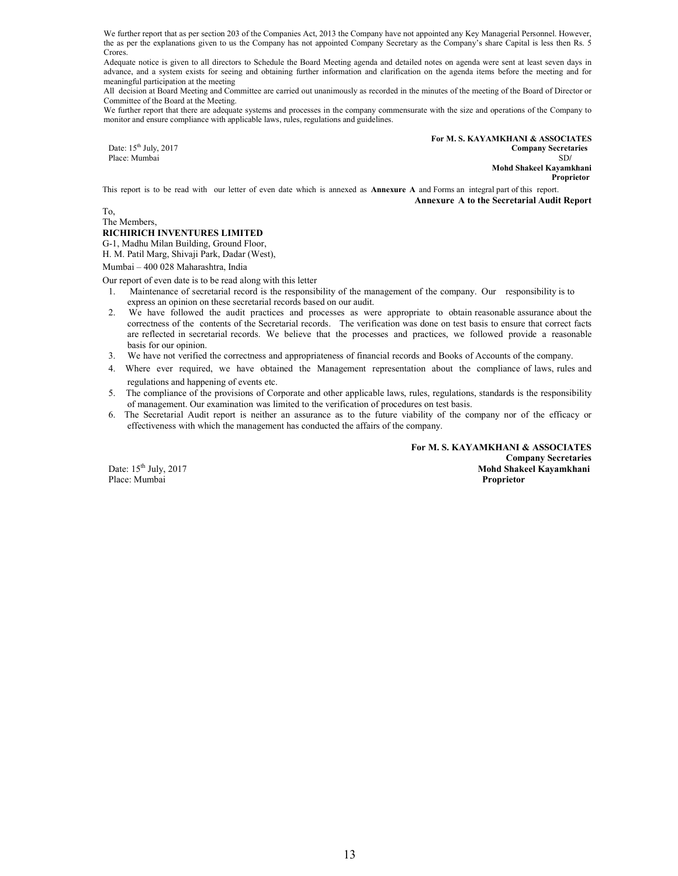We further report that as per section 203 of the Companies Act, 2013 the Company have not appointed any Key Managerial Personnel. However, the as per the explanations given to us the Company has not appointed Company Secretary as the Company's share Capital is less then Rs. 5 Crores.

Adequate notice is given to all directors to Schedule the Board Meeting agenda and detailed notes on agenda were sent at least seven days in advance, and a system exists for seeing and obtaining further information and clarification on the agenda items before the meeting and for meaningful participation at the meeting

All decision at Board Meeting and Committee are carried out unanimously as recorded in the minutes of the meeting of the Board of Director or Committee of the Board at the Meeting.

We further report that there are adequate systems and processes in the company commensurate with the size and operations of the Company to monitor and ensure compliance with applicable laws, rules, regulations and guidelines.

**For M. S. KAYAMKHANI & ASSOCIATES**<br> **For M. S. KAYAMKHANI & ASSOCIATES**<br> **Company Secretaries** Date: 15<sup>th</sup> July, 2017 **Company Secretaries Company Secretaries Company Secretaries Company Secretaries Company Secretaries** Place: Mumbai SD**/ Mohd Shakeel Kayamkhani Proprietor**

This report is to be read with our letter of even date which is annexed as **Annexure A** and Forms an integral part of this report. **Annexure A to the Secretarial Audit Report**

To, The Members,

### **RICHIRICH INVENTURES LIMITED**

G-1, Madhu Milan Building, Ground Floor,

H. M. Patil Marg, Shivaji Park, Dadar (West),

Mumbai – 400 028 Maharashtra, India

Our report of even date is to be read along with this letter

- 1. Maintenance of secretarial record is the responsibility of the management of the company. Our responsibility is to express an opinion on these secretarial records based on our audit.
- 2. We have followed the audit practices and processes as were appropriate to obtain reasonable assurance about the correctness of the contents of the Secretarial records. The verification was done on test basis to ensure that correct facts are reflected in secretarial records. We believe that the processes and practices, we followed provide a reasonable basis for our opinion.
- 3. We have not verified the correctness and appropriateness of financial records and Books of Accounts of the company.
- 4. Where ever required, we have obtained the Management representation about the compliance of laws, rules and regulations and happening of events etc.
- 5. The compliance of the provisions of Corporate and other applicable laws, rules, regulations, standards is the responsibility of management. Our examination was limited to the verification of procedures on test basis.
- 6. The Secretarial Audit report is neither an assurance as to the future viability of the company nor of the efficacy or effectiveness with which the management has conducted the affairs of the company.

 **For M. S. KAYAMKHANI & ASSOCIATES Company Secretaries**<br> **Example 15th July, 2017**<br> **Mohd Shakeel Kayamkhani Mohd Shakeel Kayamkhani<br>Proprietor** 

Place: Mumbai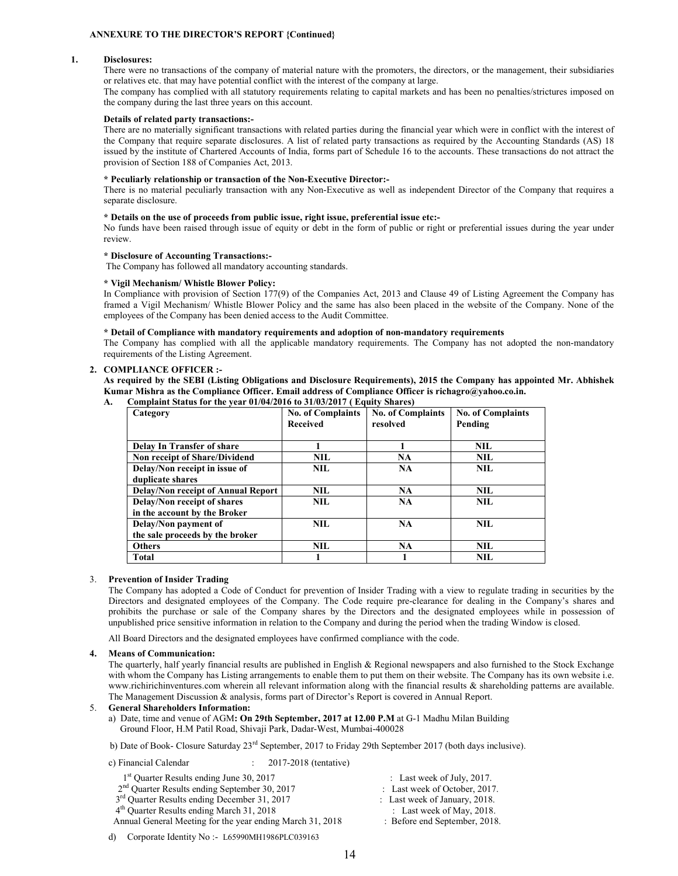#### **ANNEXURE TO THE DIRECTOR'S REPORT {Continued}**

#### **1. Disclosures:**

There were no transactions of the company of material nature with the promoters, the directors, or the management, their subsidiaries or relatives etc. that may have potential conflict with the interest of the company at large.

The company has complied with all statutory requirements relating to capital markets and has been no penalties/strictures imposed on the company during the last three years on this account.

#### **Details of related party transactions:-**

There are no materially significant transactions with related parties during the financial year which were in conflict with the interest of the Company that require separate disclosures. A list of related party transactions as required by the Accounting Standards (AS) 18 issued by the institute of Chartered Accounts of India, forms part of Schedule 16 to the accounts. These transactions do not attract the provision of Section 188 of Companies Act, 2013.

#### **\* Peculiarly relationship or transaction of the Non-Executive Director:-**

There is no material peculiarly transaction with any Non-Executive as well as independent Director of the Company that requires a separate disclosure.

#### **\* Details on the use of proceeds from public issue, right issue, preferential issue etc:-**

No funds have been raised through issue of equity or debt in the form of public or right or preferential issues during the year under review.

#### **\* Disclosure of Accounting Transactions:-**

The Company has followed all mandatory accounting standards.

#### **\* Vigil Mechanism/ Whistle Blower Policy:**

In Compliance with provision of Section 177(9) of the Companies Act, 2013 and Clause 49 of Listing Agreement the Company has framed a Vigil Mechanism/ Whistle Blower Policy and the same has also been placed in the website of the Company. None of the employees of the Company has been denied access to the Audit Committee.

#### **\* Detail of Compliance with mandatory requirements and adoption of non-mandatory requirements**

The Company has complied with all the applicable mandatory requirements. The Company has not adopted the non-mandatory requirements of the Listing Agreement.

### **2. COMPLIANCE OFFICER :-**

**As required by the SEBI (Listing Obligations and Disclosure Requirements), 2015 the Company has appointed Mr. Abhishek Kumar Mishra as the Compliance Officer. Email address of Compliance Officer is richagro@yahoo.co.in.** 

| Category                                  | <b>No. of Complaints</b> | <b>No. of Complaints</b> | <b>No. of Complaints</b> |
|-------------------------------------------|--------------------------|--------------------------|--------------------------|
|                                           | <b>Received</b>          | resolved                 | Pending                  |
|                                           |                          |                          |                          |
| Delay In Transfer of share                |                          |                          | NIL.                     |
| Non receipt of Share/Dividend             | NIL.                     | <b>NA</b>                | <b>NIL</b>               |
| Delay/Non receipt in issue of             | NIL.                     | <b>NA</b>                | <b>NIL</b>               |
| duplicate shares                          |                          |                          |                          |
| <b>Delay/Non receipt of Annual Report</b> | NIL.                     | <b>NA</b>                | NIL.                     |
| Delay/Non receipt of shares               | NIL.                     | <b>NA</b>                | <b>NIL</b>               |
| in the account by the Broker              |                          |                          |                          |
| Delay/Non payment of                      | NH.                      | <b>NA</b>                | <b>NIL</b>               |
| the sale proceeds by the broker           |                          |                          |                          |
| <b>Others</b>                             | <b>NIL</b>               | <b>NA</b>                | <b>NIL</b>               |
| <b>Total</b>                              |                          |                          | <b>NIL</b>               |

**A. Complaint Status for the year 01/04/2016 to 31/03/2017 ( Equity Shares)** 

#### 3. **Prevention of Insider Trading**

The Company has adopted a Code of Conduct for prevention of Insider Trading with a view to regulate trading in securities by the Directors and designated employees of the Company. The Code require pre-clearance for dealing in the Company's shares and prohibits the purchase or sale of the Company shares by the Directors and the designated employees while in possession of unpublished price sensitive information in relation to the Company and during the period when the trading Window is closed.

All Board Directors and the designated employees have confirmed compliance with the code.

#### **4. Means of Communication:**

The quarterly, half yearly financial results are published in English & Regional newspapers and also furnished to the Stock Exchange with whom the Company has Listing arrangements to enable them to put them on their website. The Company has its own website i.e. www.richirichinventures.com wherein all relevant information along with the financial results & shareholding patterns are available. The Management Discussion & analysis, forms part of Director's Report is covered in Annual Report.

#### 5. **General Shareholders Information:**

 a) Date, time and venue of AGM**: On 29th September, 2017 at 12.00 P.M** at G-1 Madhu Milan Building Ground Floor, H.M Patil Road, Shivaji Park, Dadar-West, Mumbai-400028

b) Date of Book- Closure Saturday 23rd September, 2017 to Friday 29th September 2017 (both days inclusive).

### c) Financial Calendar : 2017-2018 (tentative) 1<sup>st</sup> Quarter Results ending June 30, 2017 : Last week of July, 2017. 2<sup>nd</sup> Quarter Results ending September 30, 2017 : Last week of October, 2017.  $3<sup>rd</sup>$  Quarter Results ending December 31, 2017 : Last week of January, 2018. 4<sup>th</sup> Quarter Results ending March 31, 2018 : Last week of May, 2018. Annual General Meeting for the year ending March 31, 2018 : Before end September, 2018.

d) Corporate Identity No :- L65990MH1986PLC039163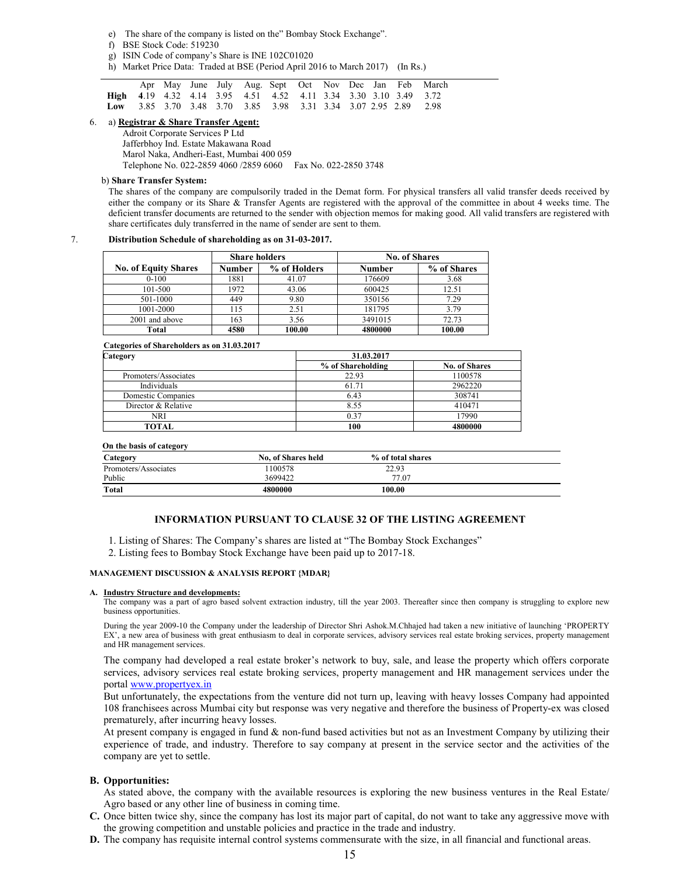- e) The share of the company is listed on the" Bombay Stock Exchange".
- f) BSE Stock Code: 519230
- g) ISIN Code of company's Share is INE 102C01020
- h) Market Price Data: Traded at BSE (Period April 2016 to March 2017) (In Rs.)

|                                                                                         |  |  |  |  |  | Apr May June July Aug. Sept Oct Nov Dec Jan Feb March |  |
|-----------------------------------------------------------------------------------------|--|--|--|--|--|-------------------------------------------------------|--|
| <b>High</b> 4.19 4.32 4.14 3.95 4.51 4.52 4.11 3.34 3.30 3.10 3.49 3.72                 |  |  |  |  |  |                                                       |  |
| Low $3.85$ $3.70$ $3.48$ $3.70$ $3.85$ $3.98$ $3.31$ $3.34$ $3.07$ $2.95$ $2.89$ $2.98$ |  |  |  |  |  |                                                       |  |

### 6. a) **Registrar & Share Transfer Agent:**

 Adroit Corporate Services P Ltd Jafferbhoy Ind. Estate Makawana Road Marol Naka, Andheri-East, Mumbai 400 059 Telephone No. 022-2859 4060 /2859 6060 Fax No. 022-2850 3748

#### b) **Share Transfer System:**

The shares of the company are compulsorily traded in the Demat form. For physical transfers all valid transfer deeds received by either the company or its Share & Transfer Agents are registered with the approval of the committee in about 4 weeks time. The deficient transfer documents are returned to the sender with objection memos for making good. All valid transfers are registered with share certificates duly transferred in the name of sender are sent to them.

### 7. **Distribution Schedule of shareholding as on 31-03-2017.**

|                             | <b>Share holders</b> |              | <b>No. of Shares</b> |             |
|-----------------------------|----------------------|--------------|----------------------|-------------|
| <b>No. of Equity Shares</b> | Number               | % of Holders | Number               | % of Shares |
| $0 - 100$                   | 1881                 | 41.07        | 176609               | 3.68        |
| 101-500                     | 1972                 | 43.06        | 600425               | 12.51       |
| 501-1000                    | 449                  | 9.80         | 350156               | 7.29        |
| 1001-2000                   | 115                  | 2.51         | 181795               | 3.79        |
| 2001 and above              | 163                  | 3.56         | 3491015              | 72.73       |
| Total                       | 4580                 | 100.00       | 4800000              | 100.00      |

### **Categories of Shareholders as on 31.03.2017**

| Category             | 31.03.2017        |                      |  |  |  |
|----------------------|-------------------|----------------------|--|--|--|
|                      | % of Shareholding | <b>No. of Shares</b> |  |  |  |
| Promoters/Associates | 22.93             | 1100578              |  |  |  |
| Individuals          | 61.71             | 2962220              |  |  |  |
| Domestic Companies   | 6.43              | 308741               |  |  |  |
| Director & Relative  | 8.55              | 410471               |  |  |  |
| NRI                  | 0.37              | 17990                |  |  |  |
| TOTAL                | 100               | 4800000              |  |  |  |

| On the basis of category |                           |                   |  |
|--------------------------|---------------------------|-------------------|--|
| Category                 | <b>No. of Shares held</b> | % of total shares |  |
| Promoters/Associates     | 1100578                   | 22.93             |  |
| Public                   | 3699422                   | 77.07             |  |
| Total                    | 4800000                   | 100.00            |  |

### **INFORMATION PURSUANT TO CLAUSE 32 OF THE LISTING AGREEMENT**

1. Listing of Shares: The Company's shares are listed at "The Bombay Stock Exchanges"

2. Listing fees to Bombay Stock Exchange have been paid up to 2017-18.

#### **MANAGEMENT DISCUSSION & ANALYSIS REPORT {MDAR}**

#### **A. Industry Structure and developments:**

The company was a part of agro based solvent extraction industry, till the year 2003. Thereafter since then company is struggling to explore new business opportunities.

During the year 2009-10 the Company under the leadership of Director Shri Ashok.M.Chhajed had taken a new initiative of launching 'PROPERTY EX', a new area of business with great enthusiasm to deal in corporate services, advisory services real estate broking services, property management and HR management services.

The company had developed a real estate broker's network to buy, sale, and lease the property which offers corporate services, advisory services real estate broking services, property management and HR management services under the portal www.propertyex.in

But unfortunately, the expectations from the venture did not turn up, leaving with heavy losses Company had appointed 108 franchisees across Mumbai city but response was very negative and therefore the business of Property-ex was closed prematurely, after incurring heavy losses.

At present company is engaged in fund  $\&$  non-fund based activities but not as an Investment Company by utilizing their experience of trade, and industry. Therefore to say company at present in the service sector and the activities of the company are yet to settle.

### **B. Opportunities:**

As stated above, the company with the available resources is exploring the new business ventures in the Real Estate/ Agro based or any other line of business in coming time.

- **C.** Once bitten twice shy, since the company has lost its major part of capital, do not want to take any aggressive move with the growing competition and unstable policies and practice in the trade and industry.
- **D.** The company has requisite internal control systems commensurate with the size, in all financial and functional areas.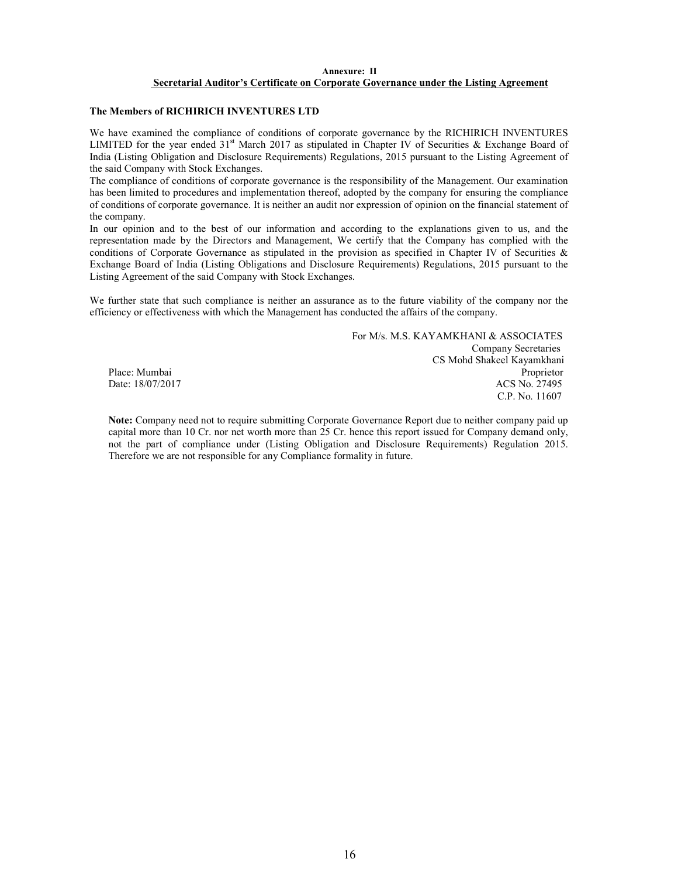### **Annexure: II Secretarial Auditor's Certificate on Corporate Governance under the Listing Agreement**

### **The Members of RICHIRICH INVENTURES LTD**

We have examined the compliance of conditions of corporate governance by the RICHIRICH INVENTURES LIMITED for the year ended  $31<sup>st</sup>$  March 2017 as stipulated in Chapter IV of Securities & Exchange Board of India (Listing Obligation and Disclosure Requirements) Regulations, 2015 pursuant to the Listing Agreement of the said Company with Stock Exchanges.

The compliance of conditions of corporate governance is the responsibility of the Management. Our examination has been limited to procedures and implementation thereof, adopted by the company for ensuring the compliance of conditions of corporate governance. It is neither an audit nor expression of opinion on the financial statement of the company.

In our opinion and to the best of our information and according to the explanations given to us, and the representation made by the Directors and Management, We certify that the Company has complied with the conditions of Corporate Governance as stipulated in the provision as specified in Chapter IV of Securities  $\&$ Exchange Board of India (Listing Obligations and Disclosure Requirements) Regulations, 2015 pursuant to the Listing Agreement of the said Company with Stock Exchanges.

We further state that such compliance is neither an assurance as to the future viability of the company nor the efficiency or effectiveness with which the Management has conducted the affairs of the company.

 For M/s. M.S. KAYAMKHANI & ASSOCIATES Company Secretaries CS Mohd Shakeel Kayamkhani Place: Mumbai Proprietor<br>
Date: 18/07/2017 ACS No. 27495 ACS No. 27495 C.P. No. 11607

**Note:** Company need not to require submitting Corporate Governance Report due to neither company paid up capital more than 10 Cr. nor net worth more than 25 Cr. hence this report issued for Company demand only, not the part of compliance under (Listing Obligation and Disclosure Requirements) Regulation 2015. Therefore we are not responsible for any Compliance formality in future.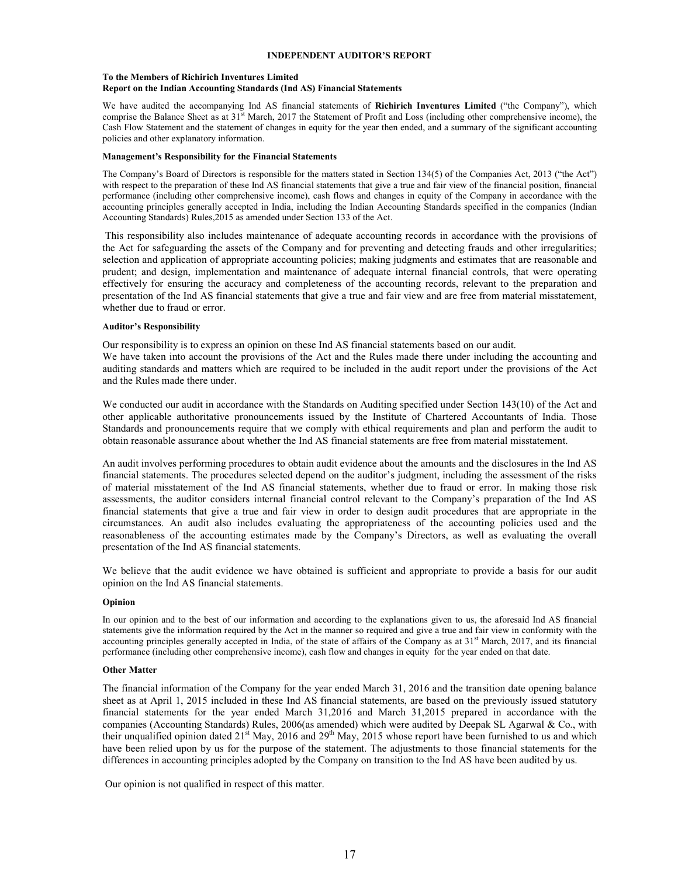### **INDEPENDENT AUDITOR'S REPORT**

#### **To the Members of Richirich Inventures Limited Report on the Indian Accounting Standards (Ind AS) Financial Statements**

We have audited the accompanying Ind AS financial statements of **Richirich Inventures Limited** ("the Company"), which comprise the Balance Sheet as at  $31<sup>st</sup>$  March, 2017 the Statement of Profit and Loss (including other comprehensive income), the Cash Flow Statement and the statement of changes in equity for the year then ended, and a summary of the significant accounting policies and other explanatory information.

#### **Management's Responsibility for the Financial Statements**

The Company's Board of Directors is responsible for the matters stated in Section 134(5) of the Companies Act, 2013 ("the Act") with respect to the preparation of these Ind AS financial statements that give a true and fair view of the financial position, financial performance (including other comprehensive income), cash flows and changes in equity of the Company in accordance with the accounting principles generally accepted in India, including the Indian Accounting Standards specified in the companies (Indian Accounting Standards) Rules,2015 as amended under Section 133 of the Act.

 This responsibility also includes maintenance of adequate accounting records in accordance with the provisions of the Act for safeguarding the assets of the Company and for preventing and detecting frauds and other irregularities; selection and application of appropriate accounting policies; making judgments and estimates that are reasonable and prudent; and design, implementation and maintenance of adequate internal financial controls, that were operating effectively for ensuring the accuracy and completeness of the accounting records, relevant to the preparation and presentation of the Ind AS financial statements that give a true and fair view and are free from material misstatement, whether due to fraud or error.

### **Auditor's Responsibility**

Our responsibility is to express an opinion on these Ind AS financial statements based on our audit. We have taken into account the provisions of the Act and the Rules made there under including the accounting and auditing standards and matters which are required to be included in the audit report under the provisions of the Act and the Rules made there under.

We conducted our audit in accordance with the Standards on Auditing specified under Section 143(10) of the Act and other applicable authoritative pronouncements issued by the Institute of Chartered Accountants of India. Those Standards and pronouncements require that we comply with ethical requirements and plan and perform the audit to obtain reasonable assurance about whether the Ind AS financial statements are free from material misstatement.

An audit involves performing procedures to obtain audit evidence about the amounts and the disclosures in the Ind AS financial statements. The procedures selected depend on the auditor's judgment, including the assessment of the risks of material misstatement of the Ind AS financial statements, whether due to fraud or error. In making those risk assessments, the auditor considers internal financial control relevant to the Company's preparation of the Ind AS financial statements that give a true and fair view in order to design audit procedures that are appropriate in the circumstances. An audit also includes evaluating the appropriateness of the accounting policies used and the reasonableness of the accounting estimates made by the Company's Directors, as well as evaluating the overall presentation of the Ind AS financial statements.

We believe that the audit evidence we have obtained is sufficient and appropriate to provide a basis for our audit opinion on the Ind AS financial statements.

### **Opinion**

In our opinion and to the best of our information and according to the explanations given to us, the aforesaid Ind AS financial statements give the information required by the Act in the manner so required and give a true and fair view in conformity with the accounting principles generally accepted in India, of the state of affairs of the Company as at  $31<sup>st</sup>$  March, 2017, and its financial performance (including other comprehensive income), cash flow and changes in equity for the year ended on that date.

### **Other Matter**

The financial information of the Company for the year ended March 31, 2016 and the transition date opening balance sheet as at April 1, 2015 included in these Ind AS financial statements, are based on the previously issued statutory financial statements for the year ended March 31,2016 and March 31,2015 prepared in accordance with the companies (Accounting Standards) Rules, 2006(as amended) which were audited by Deepak SL Agarwal & Co., with their unqualified opinion dated  $21<sup>st</sup>$  May,  $2016$  and  $29<sup>th</sup>$  May,  $2015$  whose report have been furnished to us and which have been relied upon by us for the purpose of the statement. The adjustments to those financial statements for the differences in accounting principles adopted by the Company on transition to the Ind AS have been audited by us.

Our opinion is not qualified in respect of this matter.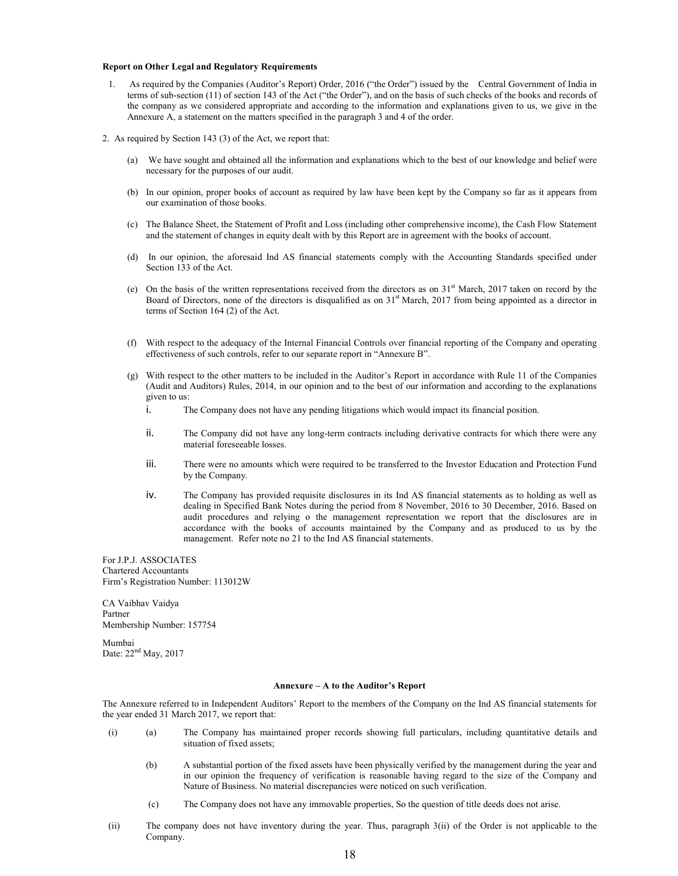#### **Report on Other Legal and Regulatory Requirements**

- 1. As required by the Companies (Auditor's Report) Order, 2016 ("the Order") issued by the Central Government of India in terms of sub-section (11) of section 143 of the Act ("the Order"), and on the basis of such checks of the books and records of the company as we considered appropriate and according to the information and explanations given to us, we give in the Annexure A, a statement on the matters specified in the paragraph 3 and 4 of the order.
- 2. As required by Section 143 (3) of the Act, we report that:
	- (a) We have sought and obtained all the information and explanations which to the best of our knowledge and belief were necessary for the purposes of our audit.
	- (b) In our opinion, proper books of account as required by law have been kept by the Company so far as it appears from our examination of those books.
	- (c) The Balance Sheet, the Statement of Profit and Loss (including other comprehensive income), the Cash Flow Statement and the statement of changes in equity dealt with by this Report are in agreement with the books of account.
	- (d) In our opinion, the aforesaid Ind AS financial statements comply with the Accounting Standards specified under Section 133 of the Act.
	- (e) On the basis of the written representations received from the directors as on  $31<sup>st</sup>$  March, 2017 taken on record by the Board of Directors, none of the directors is disqualified as on  $31<sup>st</sup>$  March, 2017 from being appointed as a director in terms of Section 164 (2) of the Act.
	- (f) With respect to the adequacy of the Internal Financial Controls over financial reporting of the Company and operating effectiveness of such controls, refer to our separate report in "Annexure B".
	- (g) With respect to the other matters to be included in the Auditor's Report in accordance with Rule 11 of the Companies (Audit and Auditors) Rules, 2014, in our opinion and to the best of our information and according to the explanations given to us:
		- i. The Company does not have any pending litigations which would impact its financial position.
		- ii. The Company did not have any long-term contracts including derivative contracts for which there were any material foreseeable losses.
		- iii. There were no amounts which were required to be transferred to the Investor Education and Protection Fund by the Company.
		- iv. The Company has provided requisite disclosures in its Ind AS financial statements as to holding as well as dealing in Specified Bank Notes during the period from 8 November, 2016 to 30 December, 2016. Based on audit procedures and relying o the management representation we report that the disclosures are in accordance with the books of accounts maintained by the Company and as produced to us by the management. Refer note no 21 to the Ind AS financial statements.

For J.P.J. ASSOCIATES Chartered Accountants Firm's Registration Number: 113012W

CA Vaibhav Vaidya Partner Membership Number: 157754

Mumbai Date: 22<sup>nd</sup> May, 2017

#### **Annexure – A to the Auditor's Report**

The Annexure referred to in Independent Auditors' Report to the members of the Company on the Ind AS financial statements for the year ended 31 March 2017, we report that:

- (i) (a) The Company has maintained proper records showing full particulars, including quantitative details and situation of fixed assets;
	- (b) A substantial portion of the fixed assets have been physically verified by the management during the year and in our opinion the frequency of verification is reasonable having regard to the size of the Company and Nature of Business. No material discrepancies were noticed on such verification.
	- (c) The Company does not have any immovable properties, So the question of title deeds does not arise.
- (ii) The company does not have inventory during the year. Thus, paragraph 3(ii) of the Order is not applicable to the Company.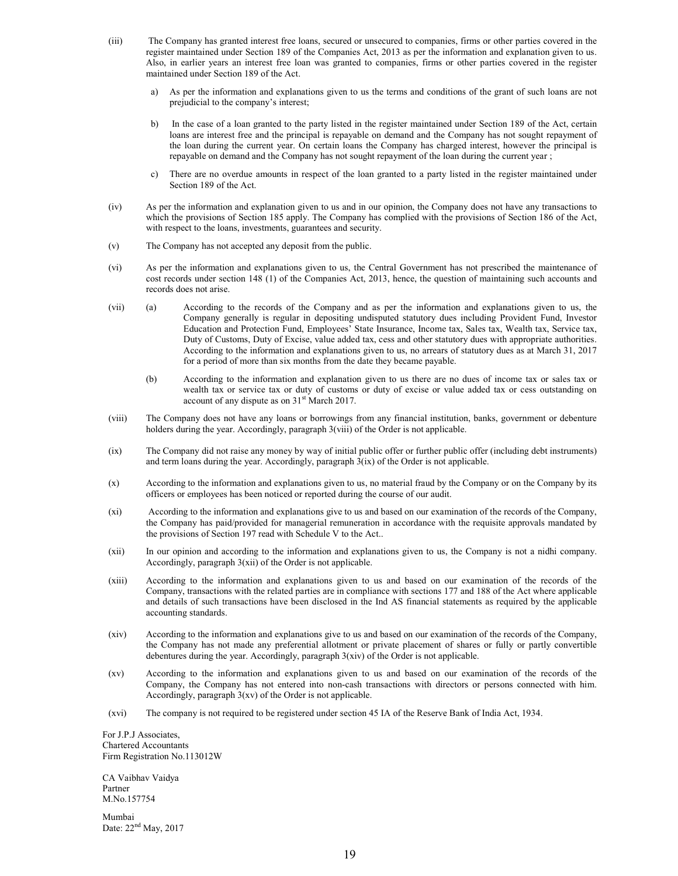- (iii) The Company has granted interest free loans, secured or unsecured to companies, firms or other parties covered in the register maintained under Section 189 of the Companies Act, 2013 as per the information and explanation given to us. Also, in earlier years an interest free loan was granted to companies, firms or other parties covered in the register maintained under Section 189 of the Act.
	- a) As per the information and explanations given to us the terms and conditions of the grant of such loans are not prejudicial to the company's interest;
	- b) In the case of a loan granted to the party listed in the register maintained under Section 189 of the Act, certain loans are interest free and the principal is repayable on demand and the Company has not sought repayment of the loan during the current year. On certain loans the Company has charged interest, however the principal is repayable on demand and the Company has not sought repayment of the loan during the current year ;
	- c) There are no overdue amounts in respect of the loan granted to a party listed in the register maintained under Section 189 of the Act.
- (iv) As per the information and explanation given to us and in our opinion, the Company does not have any transactions to which the provisions of Section 185 apply. The Company has complied with the provisions of Section 186 of the Act, with respect to the loans, investments, guarantees and security.
- (v) The Company has not accepted any deposit from the public.
- (vi) As per the information and explanations given to us, the Central Government has not prescribed the maintenance of cost records under section 148 (1) of the Companies Act, 2013, hence, the question of maintaining such accounts and records does not arise.
- (vii) (a) According to the records of the Company and as per the information and explanations given to us, the Company generally is regular in depositing undisputed statutory dues including Provident Fund, Investor Education and Protection Fund, Employees' State Insurance, Income tax, Sales tax, Wealth tax, Service tax, Duty of Customs, Duty of Excise, value added tax, cess and other statutory dues with appropriate authorities. According to the information and explanations given to us, no arrears of statutory dues as at March 31, 2017 for a period of more than six months from the date they became payable.
	- (b) According to the information and explanation given to us there are no dues of income tax or sales tax or wealth tax or service tax or duty of customs or duty of excise or value added tax or cess outstanding on account of any dispute as on 31<sup>st</sup> March 2017.
- (viii) The Company does not have any loans or borrowings from any financial institution, banks, government or debenture holders during the year. Accordingly, paragraph 3(viii) of the Order is not applicable.
- (ix) The Company did not raise any money by way of initial public offer or further public offer (including debt instruments) and term loans during the year. Accordingly, paragraph  $3(ix)$  of the Order is not applicable.
- (x) According to the information and explanations given to us, no material fraud by the Company or on the Company by its officers or employees has been noticed or reported during the course of our audit.
- (xi) According to the information and explanations give to us and based on our examination of the records of the Company, the Company has paid/provided for managerial remuneration in accordance with the requisite approvals mandated by the provisions of Section 197 read with Schedule V to the Act..
- (xii) In our opinion and according to the information and explanations given to us, the Company is not a nidhi company. Accordingly, paragraph 3(xii) of the Order is not applicable.
- (xiii) According to the information and explanations given to us and based on our examination of the records of the Company, transactions with the related parties are in compliance with sections 177 and 188 of the Act where applicable and details of such transactions have been disclosed in the Ind AS financial statements as required by the applicable accounting standards.
- (xiv) According to the information and explanations give to us and based on our examination of the records of the Company, the Company has not made any preferential allotment or private placement of shares or fully or partly convertible debentures during the year. Accordingly, paragraph 3(xiv) of the Order is not applicable.
- (xv) According to the information and explanations given to us and based on our examination of the records of the Company, the Company has not entered into non-cash transactions with directors or persons connected with him. Accordingly, paragraph 3(xv) of the Order is not applicable.
- (xvi) The company is not required to be registered under section 45 IA of the Reserve Bank of India Act, 1934.

For J.P.J Associates, Chartered Accountants Firm Registration No.113012W

CA Vaibhav Vaidya Partner M.No.157754

Mumbai Date: 22<sup>nd</sup> May, 2017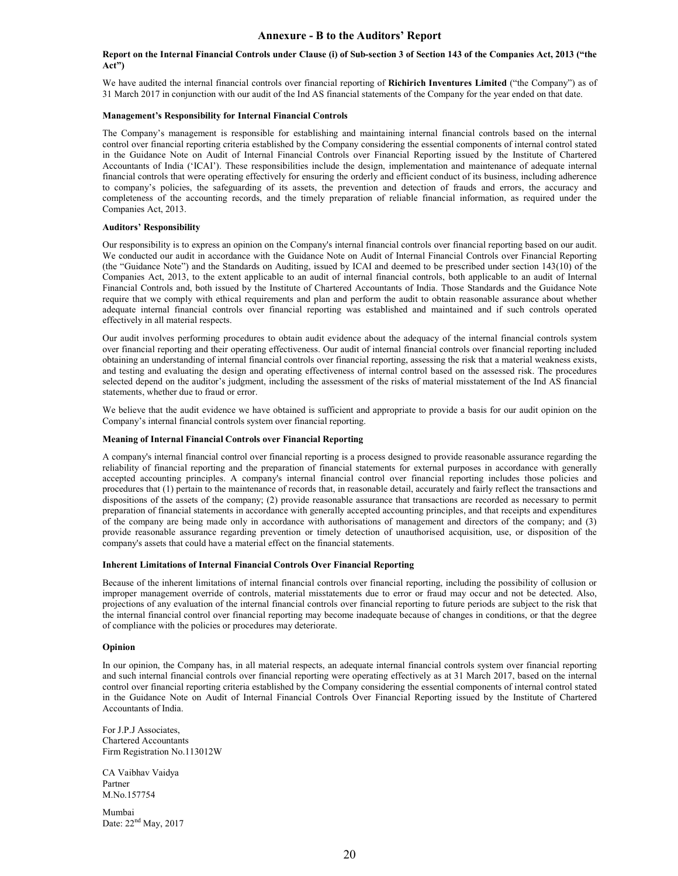#### **Report on the Internal Financial Controls under Clause (i) of Sub-section 3 of Section 143 of the Companies Act, 2013 ("the Act")**

We have audited the internal financial controls over financial reporting of **Richirich Inventures Limited** ("the Company") as of 31 March 2017 in conjunction with our audit of the Ind AS financial statements of the Company for the year ended on that date.

#### **Management's Responsibility for Internal Financial Controls**

The Company's management is responsible for establishing and maintaining internal financial controls based on the internal control over financial reporting criteria established by the Company considering the essential components of internal control stated in the Guidance Note on Audit of Internal Financial Controls over Financial Reporting issued by the Institute of Chartered Accountants of India ('ICAI'). These responsibilities include the design, implementation and maintenance of adequate internal financial controls that were operating effectively for ensuring the orderly and efficient conduct of its business, including adherence to company's policies, the safeguarding of its assets, the prevention and detection of frauds and errors, the accuracy and completeness of the accounting records, and the timely preparation of reliable financial information, as required under the Companies Act, 2013.

#### **Auditors' Responsibility**

Our responsibility is to express an opinion on the Company's internal financial controls over financial reporting based on our audit. We conducted our audit in accordance with the Guidance Note on Audit of Internal Financial Controls over Financial Reporting (the "Guidance Note") and the Standards on Auditing, issued by ICAI and deemed to be prescribed under section 143(10) of the Companies Act, 2013, to the extent applicable to an audit of internal financial controls, both applicable to an audit of Internal Financial Controls and, both issued by the Institute of Chartered Accountants of India. Those Standards and the Guidance Note require that we comply with ethical requirements and plan and perform the audit to obtain reasonable assurance about whether adequate internal financial controls over financial reporting was established and maintained and if such controls operated effectively in all material respects.

Our audit involves performing procedures to obtain audit evidence about the adequacy of the internal financial controls system over financial reporting and their operating effectiveness. Our audit of internal financial controls over financial reporting included obtaining an understanding of internal financial controls over financial reporting, assessing the risk that a material weakness exists, and testing and evaluating the design and operating effectiveness of internal control based on the assessed risk. The procedures selected depend on the auditor's judgment, including the assessment of the risks of material misstatement of the Ind AS financial statements, whether due to fraud or error.

We believe that the audit evidence we have obtained is sufficient and appropriate to provide a basis for our audit opinion on the Company's internal financial controls system over financial reporting.

#### **Meaning of Internal Financial Controls over Financial Reporting**

A company's internal financial control over financial reporting is a process designed to provide reasonable assurance regarding the reliability of financial reporting and the preparation of financial statements for external purposes in accordance with generally accepted accounting principles. A company's internal financial control over financial reporting includes those policies and procedures that (1) pertain to the maintenance of records that, in reasonable detail, accurately and fairly reflect the transactions and dispositions of the assets of the company; (2) provide reasonable assurance that transactions are recorded as necessary to permit preparation of financial statements in accordance with generally accepted accounting principles, and that receipts and expenditures of the company are being made only in accordance with authorisations of management and directors of the company; and (3) provide reasonable assurance regarding prevention or timely detection of unauthorised acquisition, use, or disposition of the company's assets that could have a material effect on the financial statements.

#### **Inherent Limitations of Internal Financial Controls Over Financial Reporting**

Because of the inherent limitations of internal financial controls over financial reporting, including the possibility of collusion or improper management override of controls, material misstatements due to error or fraud may occur and not be detected. Also, projections of any evaluation of the internal financial controls over financial reporting to future periods are subject to the risk that the internal financial control over financial reporting may become inadequate because of changes in conditions, or that the degree of compliance with the policies or procedures may deteriorate.

#### **Opinion**

In our opinion, the Company has, in all material respects, an adequate internal financial controls system over financial reporting and such internal financial controls over financial reporting were operating effectively as at 31 March 2017, based on the internal control over financial reporting criteria established by the Company considering the essential components of internal control stated in the Guidance Note on Audit of Internal Financial Controls Over Financial Reporting issued by the Institute of Chartered Accountants of India.

For J.P.J Associates, Chartered Accountants Firm Registration No.113012W

CA Vaibhav Vaidya Partner M.No.157754

Mumbai Date: 22<sup>nd</sup> May, 2017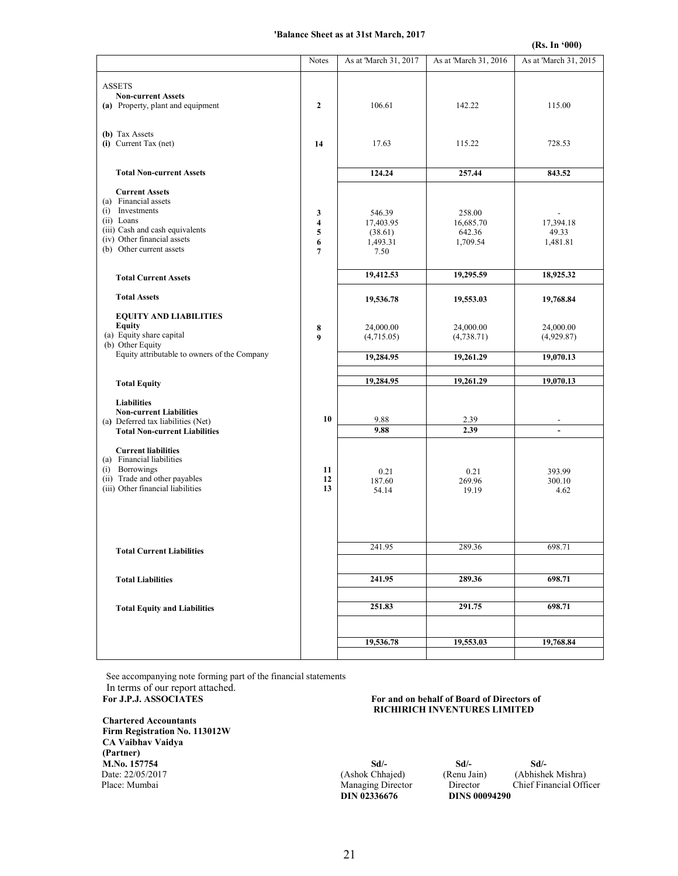#### **'Balance Sheet as at 31st March, 2017**

|                                                                                                                                                                              |                                    |                                                    |                                           | (Rs. In '000)                        |
|------------------------------------------------------------------------------------------------------------------------------------------------------------------------------|------------------------------------|----------------------------------------------------|-------------------------------------------|--------------------------------------|
|                                                                                                                                                                              | Notes                              | As at 'March 31, 2017                              | As at 'March 31, 2016                     | As at 'March 31, 2015                |
| <b>ASSETS</b><br><b>Non-current Assets</b><br>(a) Property, plant and equipment                                                                                              | $\overline{2}$                     | 106.61                                             | 142.22                                    | 115.00                               |
| (b) Tax Assets<br>(i) Current Tax (net)                                                                                                                                      | 14                                 | 17.63                                              | 115.22                                    | 728.53                               |
| <b>Total Non-current Assets</b>                                                                                                                                              |                                    | 124.24                                             | 257.44                                    | 843.52                               |
| <b>Current Assets</b><br>(a) Financial assets<br>(i) Investments<br>(ii) Loans<br>(iii) Cash and cash equivalents<br>(iv) Other financial assets<br>(b) Other current assets | 3<br>4<br>5<br>6<br>$\overline{7}$ | 546.39<br>17,403.95<br>(38.61)<br>1,493.31<br>7.50 | 258.00<br>16,685.70<br>642.36<br>1,709.54 | 17,394.18<br>49.33<br>1,481.81       |
| <b>Total Current Assets</b>                                                                                                                                                  |                                    | 19,412.53                                          | 19,295.59                                 | 18,925.32                            |
| <b>Total Assets</b>                                                                                                                                                          |                                    | 19,536.78                                          | 19,553.03                                 | 19,768.84                            |
| <b>EQUITY AND LIABILITIES</b><br>Equity<br>(a) Equity share capital<br>(b) Other Equity<br>Equity attributable to owners of the Company                                      | 8<br>9                             | 24,000.00<br>(4,715.05)<br>19,284.95               | 24,000.00<br>(4,738.71)<br>19,261.29      | 24,000.00<br>(4,929.87)<br>19,070.13 |
|                                                                                                                                                                              |                                    |                                                    |                                           |                                      |
| <b>Total Equity</b>                                                                                                                                                          |                                    | 19,284.95                                          | 19,261.29                                 | 19,070.13                            |
| <b>Liabilities</b><br><b>Non-current Liabilities</b><br>(a) Deferred tax liabilities (Net)<br><b>Total Non-current Liabilities</b>                                           | 10                                 | 9.88<br>9.88                                       | 2.39<br>2.39                              | $\overline{a}$                       |
| <b>Current liabilities</b><br>(a) Financial liabilities<br>(i) Borrowings<br>(ii) Trade and other payables<br>(iii) Other financial liabilities                              | 11<br>12<br>13                     | 0.21<br>187.60<br>54.14                            | 0.21<br>269.96<br>19.19                   | 393.99<br>300.10<br>4.62             |
|                                                                                                                                                                              |                                    | 241.95                                             | 289.36                                    | 698.71                               |
| <b>Total Current Liabilities</b>                                                                                                                                             |                                    |                                                    |                                           |                                      |
| <b>Total Liabilities</b>                                                                                                                                                     |                                    | 241.95                                             | 289.36                                    | 698.71                               |
|                                                                                                                                                                              |                                    |                                                    |                                           |                                      |
| <b>Total Equity and Liabilities</b>                                                                                                                                          |                                    | 251.83                                             | 291.75                                    | 698.71                               |
|                                                                                                                                                                              |                                    |                                                    |                                           |                                      |
|                                                                                                                                                                              |                                    | 19,536.78                                          | 19,553.03                                 | 19,768.84                            |

 See accompanying note forming part of the financial statements In terms of our report attached.<br>For J.P.J. ASSOCIATES

**Chartered Accountants Firm Registration No. 113012W CA Vaibhav Vaidya (Partner) M.No. 157754 Sd/- Sd/- Sd/-** 

#### For and on behalf of Board of Directors of  **RICHIRICH INVENTURES LIMITED**

Date: 22/05/2017 (Ashok Chhajed) (Renu Jain) (Abhishek Mishra) Place: Mumbai Managing Director Director Chief Financial Officer<br>DIN 02336676 DINS 00094290 **DINS 00094290**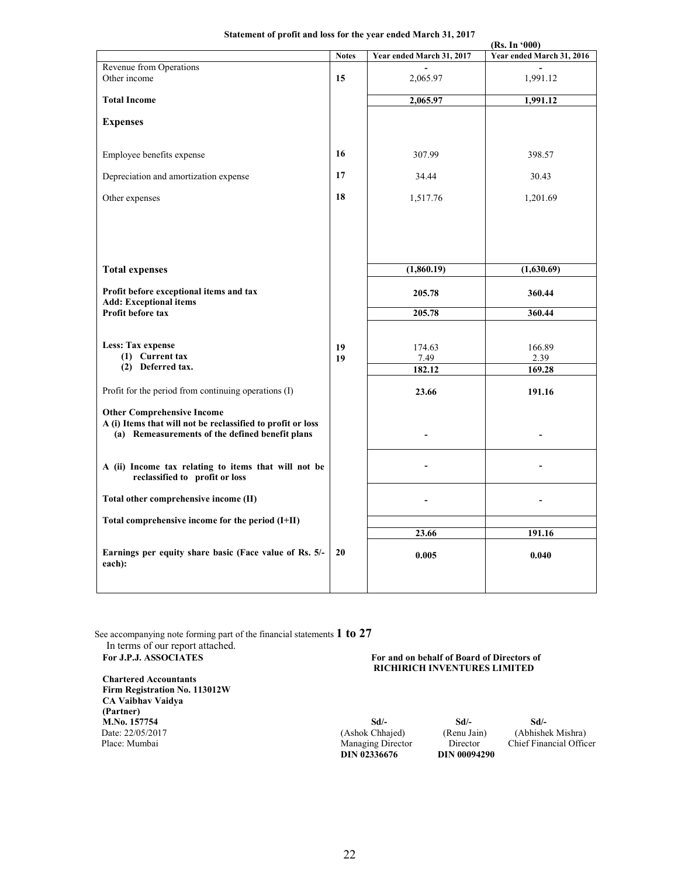### **Statement of profit and loss for the year ended March 31, 2017**

|                                                                                                                                                                                                                                                                                                                                                                    | (Rs. In '000) |                                   |                                    |  |
|--------------------------------------------------------------------------------------------------------------------------------------------------------------------------------------------------------------------------------------------------------------------------------------------------------------------------------------------------------------------|---------------|-----------------------------------|------------------------------------|--|
|                                                                                                                                                                                                                                                                                                                                                                    | <b>Notes</b>  | Year ended March 31, 2017         | Year ended March 31, 2016          |  |
| Revenue from Operations<br>Other income                                                                                                                                                                                                                                                                                                                            | 15            | 2,065.97                          | 1,991.12                           |  |
| <b>Total Income</b>                                                                                                                                                                                                                                                                                                                                                |               | 2,065.97                          | 1,991.12                           |  |
| <b>Expenses</b>                                                                                                                                                                                                                                                                                                                                                    |               |                                   |                                    |  |
| Employee benefits expense                                                                                                                                                                                                                                                                                                                                          | 16            | 307.99                            | 398.57                             |  |
| Depreciation and amortization expense                                                                                                                                                                                                                                                                                                                              | 17            | 34.44                             | 30.43                              |  |
| Other expenses                                                                                                                                                                                                                                                                                                                                                     | 18            | 1,517.76                          | 1,201.69                           |  |
|                                                                                                                                                                                                                                                                                                                                                                    |               |                                   |                                    |  |
| <b>Total expenses</b>                                                                                                                                                                                                                                                                                                                                              |               | (1,860.19)                        | (1,630.69)                         |  |
| Profit before exceptional items and tax<br><b>Add: Exceptional items</b>                                                                                                                                                                                                                                                                                           |               | 205.78                            | 360.44                             |  |
| Profit before tax                                                                                                                                                                                                                                                                                                                                                  |               | 205.78                            | 360.44                             |  |
| Less: Tax expense<br>(1) Current tax<br>(2) Deferred tax.<br>Profit for the period from continuing operations (I)<br><b>Other Comprehensive Income</b><br>A (i) Items that will not be reclassified to profit or loss<br>(a) Remeasurements of the defined benefit plans<br>A (ii) Income tax relating to items that will not be<br>reclassified to profit or loss | 19<br>19      | 174.63<br>7.49<br>182.12<br>23.66 | 166.89<br>2.39<br>169.28<br>191.16 |  |
| Total other comprehensive income (II)                                                                                                                                                                                                                                                                                                                              |               |                                   |                                    |  |
| Total comprehensive income for the period (I+II)                                                                                                                                                                                                                                                                                                                   |               |                                   |                                    |  |
|                                                                                                                                                                                                                                                                                                                                                                    |               | 23.66                             | 191.16                             |  |
| Earnings per equity share basic (Face value of Rs. 5/-<br>each):                                                                                                                                                                                                                                                                                                   | 20            | 0.005                             | 0.040                              |  |
|                                                                                                                                                                                                                                                                                                                                                                    |               |                                   |                                    |  |

See accompanying note forming part of the financial statements **1 to 27**

In terms of our report attached.<br>For J.P.J. ASSOCIATES

**Chartered Accountants Firm Registration No. 113012W CA Vaibhav Vaidya (Partner) M.No. 157754** Sd/-<br>
Date: 22/05/2017 (Ashok Chhajed) (Renu Jain) (Abhishek Mishra) **Date: 22/05/2017** (Ashok Chhajed) (Renu Jain) (Ashok Chhajed) (Renu Jain) (Renu Jain) (Renu Jain) (Renu Jain) (Renu Jain) (Renu Jain) (Renu Jain) (Renu Jain) (Renu Jain) (Renu Jain) (Renu Jain) (Renu Jain) (Renu Jain) (Re

### For and on behalf of Board of Directors of  **RICHIRICH INVENTURES LIMITED**

**DIN 02336676** 

Director Chief Financial Officer<br>DIN 00094290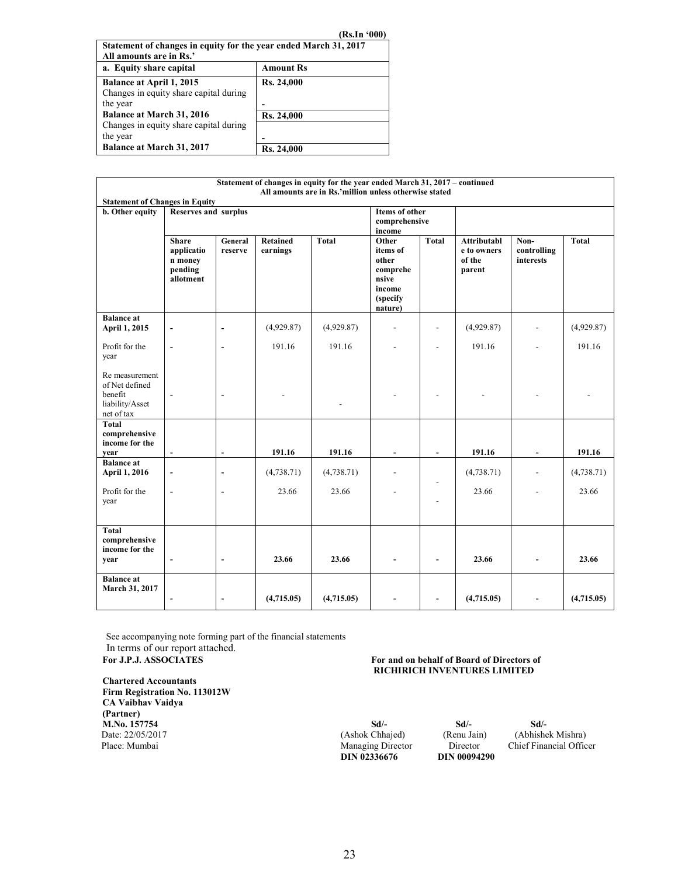| (Rs.In '000) |
|--------------|
|--------------|

| Statement of changes in equity for the year ended March 31, 2017<br>All amounts are in Rs.' |            |  |  |  |  |
|---------------------------------------------------------------------------------------------|------------|--|--|--|--|
| a. Equity share capital                                                                     | Amount Rs  |  |  |  |  |
| Balance at April 1, 2015                                                                    | Rs. 24,000 |  |  |  |  |
| Changes in equity share capital during                                                      |            |  |  |  |  |
| the year                                                                                    |            |  |  |  |  |
| <b>Balance at March 31, 2016</b>                                                            | Rs. 24,000 |  |  |  |  |
| Changes in equity share capital during                                                      |            |  |  |  |  |
| the year                                                                                    |            |  |  |  |  |
| <b>Balance at March 31, 2017</b>                                                            | Rs. 24,000 |  |  |  |  |

|                                                                              |                                                                                 |                              |                             | Statement of changes in equity for the year ended March 31, 2017 – continued<br>All amounts are in Rs.'million unless otherwise stated |                                                                                   |                          |                                                |                                  |            |
|------------------------------------------------------------------------------|---------------------------------------------------------------------------------|------------------------------|-----------------------------|----------------------------------------------------------------------------------------------------------------------------------------|-----------------------------------------------------------------------------------|--------------------------|------------------------------------------------|----------------------------------|------------|
| <b>Statement of Changes in Equity</b>                                        |                                                                                 |                              |                             |                                                                                                                                        |                                                                                   |                          |                                                |                                  |            |
| <b>b.</b> Other equity                                                       | <b>Items of other</b><br><b>Reserves and surplus</b><br>comprehensive<br>income |                              |                             |                                                                                                                                        |                                                                                   |                          |                                                |                                  |            |
|                                                                              | <b>Share</b><br>applicatio<br>n money<br>pending<br>allotment                   | General<br>reserve           | <b>Retained</b><br>earnings | <b>Total</b>                                                                                                                           | Other<br>items of<br>other<br>comprehe<br>nsive<br>income<br>(specify)<br>nature) | <b>Total</b>             | Attributabl<br>e to owners<br>of the<br>parent | Non-<br>controlling<br>interests | Total      |
| <b>Balance</b> at<br>April 1, 2015                                           | $\overline{\phantom{a}}$                                                        | $\frac{1}{2}$                | (4,929.87)                  | (4,929.87)                                                                                                                             | $\overline{\phantom{a}}$                                                          |                          | (4,929.87)                                     | $\overline{\phantom{a}}$         | (4,929.87) |
| Profit for the<br>year                                                       | $\overline{\phantom{a}}$                                                        | $\frac{1}{2}$                | 191.16                      | 191.16                                                                                                                                 |                                                                                   | $\overline{a}$           | 191.16                                         |                                  | 191.16     |
| Re measurement<br>of Net defined<br>benefit<br>liability/Asset<br>net of tax |                                                                                 | ٠                            |                             |                                                                                                                                        |                                                                                   |                          |                                                |                                  |            |
| Total<br>comprehensive<br>income for the<br>year                             |                                                                                 | $\overline{\phantom{a}}$     | 191.16                      | 191.16                                                                                                                                 | Ξ.                                                                                |                          | 191.16                                         | $\overline{\phantom{a}}$         | 191.16     |
| <b>Balance</b> at                                                            |                                                                                 |                              |                             |                                                                                                                                        |                                                                                   |                          |                                                |                                  |            |
| April 1, 2016                                                                | $\blacksquare$                                                                  | $\overline{\phantom{a}}$     | (4,738.71)                  | (4, 738.71)                                                                                                                            |                                                                                   |                          | (4,738.71)                                     | $\blacksquare$                   | (4,738.71) |
| Profit for the<br>year                                                       | $\overline{\phantom{a}}$                                                        | $\overline{\phantom{a}}$     | 23.66                       | 23.66                                                                                                                                  |                                                                                   |                          | 23.66                                          | $\overline{a}$                   | 23.66      |
| <b>Total</b><br>comprehensive<br>income for the<br>year                      | $\blacksquare$                                                                  | $\qquad \qquad \blacksquare$ | 23.66                       | 23.66                                                                                                                                  |                                                                                   | $\overline{\phantom{a}}$ | 23.66                                          |                                  | 23.66      |
| <b>Balance</b> at<br>March 31, 2017                                          |                                                                                 | $\overline{a}$               | (4,715.05)                  | (4,715.05)                                                                                                                             |                                                                                   |                          | (4,715.05)                                     |                                  | (4,715.05) |

 See accompanying note forming part of the financial statements In terms of our report attached.<br>For J.P.J. ASSOCIATES

### **Chartered Accountants Firm Registration No. 113012W CA Vaibhav Vaidya (Partner) M.No. 157754 Sd**/- **Sd**/- **Sd**/- **Sd**/- **Sd**/- **Sd**/- **Sd**/- **Sd**/- **Contract 22/05/2017** (Ashok Chhajed) (Renu Jain) (Abhishe **Date: 22/05/2017** (Ashok Chhajed) (Ashok Chhajed) (Renu Jain) (Abhishek Mishra) Place: Mumbai Managing Director Chief Financial Offic

### For and on behalf of Board of Directors of  **RICHIRICH INVENTURES LIMITED**

**DIN 02336676 DIN 00094290**

Chief Financial Officer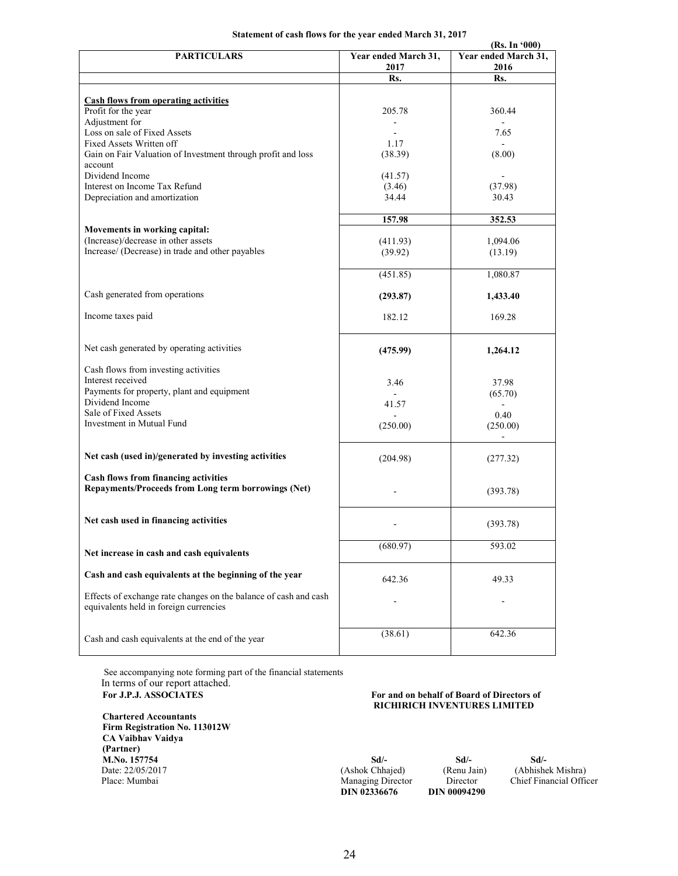### **Statement of cash flows for the year ended March 31, 2017**

|                                                                  |                              | (Rs. In '000)                |  |
|------------------------------------------------------------------|------------------------------|------------------------------|--|
| <b>PARTICULARS</b>                                               | Year ended March 31,<br>2017 | Year ended March 31,<br>2016 |  |
|                                                                  | Rs.                          | Rs.                          |  |
|                                                                  |                              |                              |  |
| <b>Cash flows from operating activities</b>                      |                              |                              |  |
| Profit for the year                                              | 205.78                       | 360.44                       |  |
| Adjustment for                                                   |                              |                              |  |
| Loss on sale of Fixed Assets                                     |                              | 7.65                         |  |
| Fixed Assets Written off                                         | 1.17                         |                              |  |
| Gain on Fair Valuation of Investment through profit and loss     | (38.39)                      | (8.00)                       |  |
| account                                                          |                              |                              |  |
| Dividend Income                                                  | (41.57)                      |                              |  |
| Interest on Income Tax Refund                                    | (3.46)                       | (37.98)                      |  |
| Depreciation and amortization                                    | 34.44                        | 30.43                        |  |
|                                                                  |                              |                              |  |
|                                                                  | 157.98                       | 352.53                       |  |
| Movements in working capital:                                    |                              |                              |  |
| (Increase)/decrease in other assets                              | (411.93)                     | 1,094.06                     |  |
| Increase/ (Decrease) in trade and other payables                 | (39.92)                      | (13.19)                      |  |
|                                                                  |                              |                              |  |
|                                                                  | (451.85)                     | 1,080.87                     |  |
|                                                                  |                              |                              |  |
| Cash generated from operations                                   | (293.87)                     | 1,433.40                     |  |
|                                                                  |                              |                              |  |
| Income taxes paid                                                | 182.12                       | 169.28                       |  |
|                                                                  |                              |                              |  |
|                                                                  |                              |                              |  |
| Net cash generated by operating activities                       | (475.99)                     | 1,264.12                     |  |
| Cash flows from investing activities                             |                              |                              |  |
| Interest received                                                |                              |                              |  |
| Payments for property, plant and equipment                       | 3.46                         | 37.98                        |  |
| Dividend Income                                                  | 41.57                        | (65.70)                      |  |
| Sale of Fixed Assets                                             |                              | 0.40                         |  |
| Investment in Mutual Fund                                        | (250.00)                     | (250.00)                     |  |
|                                                                  |                              |                              |  |
|                                                                  |                              |                              |  |
| Net cash (used in)/generated by investing activities             | (204.98)                     | (277.32)                     |  |
|                                                                  |                              |                              |  |
| <b>Cash flows from financing activities</b>                      |                              |                              |  |
| Repayments/Proceeds from Long term borrowings (Net)              |                              | (393.78)                     |  |
|                                                                  |                              |                              |  |
|                                                                  |                              |                              |  |
| Net cash used in financing activities                            |                              | (393.78)                     |  |
|                                                                  |                              |                              |  |
|                                                                  | (680.97)                     | 593.02                       |  |
| Net increase in cash and cash equivalents                        |                              |                              |  |
|                                                                  |                              |                              |  |
| Cash and cash equivalents at the beginning of the year           | 642.36                       | 49.33                        |  |
| Effects of exchange rate changes on the balance of cash and cash |                              |                              |  |
| equivalents held in foreign currencies                           |                              |                              |  |
|                                                                  |                              |                              |  |
|                                                                  |                              |                              |  |
| Cash and cash equivalents at the end of the year                 | (38.61)                      | 642.36                       |  |
|                                                                  |                              |                              |  |

 See accompanying note forming part of the financial statements In terms of our report attached.<br>For J.P.J. ASSOCIATES

**Chartered Accountants Firm Registration No. 113012W CA Vaibhav Vaidya (Partner) M.No. 157754 Sd/- Sd/- Sd/- Date: 22/05/2017** (Ashok Chhajed) (Ashok Chhajed) (Renu Jain) (Abhishek Mishra)<br>Place: Mumbai Managing Director Chief Financial Offic

For and on behalf of Board of Directors of  **RICHIRICH INVENTURES LIMITED** 

| M.No. 157754     | Sd/-                     | Sd/-                |
|------------------|--------------------------|---------------------|
| Date: 22/05/2017 | (Ashok Chhajed)          | (Renu Jain)         |
| Place: Mumbai    | <b>Managing Director</b> | Director            |
|                  | DIN 02336676             | <b>DIN 00094290</b> |

etor Chief Financial Officer<br>94290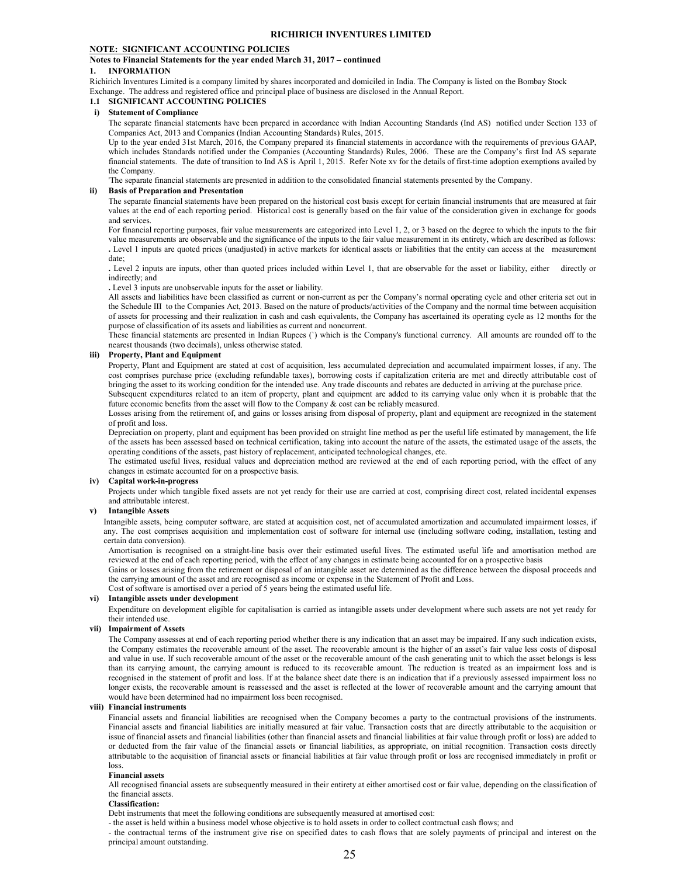#### **NOTE: SIGNIFICANT ACCOUNTING POLICIES**

#### **Notes to Financial Statements for the year ended March 31, 2017 – continued**

#### **1. INFORMATION**

Richirich Inventures Limited is a company limited by shares incorporated and domiciled in India. The Company is listed on the Bombay Stock Exchange. The address and registered office and principal place of business are disclosed in the Annual Report.

#### **1.1 SIGNIFICANT ACCOUNTING POLICIES**

#### **i) Statement of Compliance**

The separate financial statements have been prepared in accordance with Indian Accounting Standards (Ind AS) notified under Section 133 of Companies Act, 2013 and Companies (Indian Accounting Standards) Rules, 2015.

Up to the year ended 31st March, 2016, the Company prepared its financial statements in accordance with the requirements of previous GAAP, which includes Standards notified under the Companies (Accounting Standards) Rules, 2006. These are the Company's first Ind AS separate financial statements. The date of transition to Ind AS is April 1, 2015. Refer Note xv for the details of first-time adoption exemptions availed by the Company.

'The separate financial statements are presented in addition to the consolidated financial statements presented by the Company.

#### **ii) Basis of Preparation and Presentation**

The separate financial statements have been prepared on the historical cost basis except for certain financial instruments that are measured at fair values at the end of each reporting period. Historical cost is generally based on the fair value of the consideration given in exchange for goods and services.

For financial reporting purposes, fair value measurements are categorized into Level 1, 2, or 3 based on the degree to which the inputs to the fair value measurements are observable and the significance of the inputs to the fair value measurement in its entirety, which are described as follows: **.** Level 1 inputs are quoted prices (unadjusted) in active markets for identical assets or liabilities that the entity can access at the measurement date;

**.** Level 2 inputs are inputs, other than quoted prices included within Level 1, that are observable for the asset or liability, either directly or indirectly; and

**.** Level 3 inputs are unobservable inputs for the asset or liability.

All assets and liabilities have been classified as current or non-current as per the Company's normal operating cycle and other criteria set out in the Schedule III to the Companies Act, 2013. Based on the nature of products/activities of the Company and the normal time between acquisition of assets for processing and their realization in cash and cash equivalents, the Company has ascertained its operating cycle as 12 months for the purpose of classification of its assets and liabilities as current and noncurrent.

These financial statements are presented in Indian Rupees (`) which is the Company's functional currency. All amounts are rounded off to the nearest thousands (two decimals), unless otherwise stated.

#### **iii) Property, Plant and Equipment**

Property, Plant and Equipment are stated at cost of acquisition, less accumulated depreciation and accumulated impairment losses, if any. The cost comprises purchase price (excluding refundable taxes), borrowing costs if capitalization criteria are met and directly attributable cost of bringing the asset to its working condition for the intended use. Any trade discounts and rebates are deducted in arriving at the purchase price. Subsequent expenditures related to an item of property, plant and equipment are added to its carrying value only when it is probable that the

future economic benefits from the asset will flow to the Company & cost can be reliably measured. Losses arising from the retirement of, and gains or losses arising from disposal of property, plant and equipment are recognized in the statement of profit and loss.

Depreciation on property, plant and equipment has been provided on straight line method as per the useful life estimated by management, the life of the assets has been assessed based on technical certification, taking into account the nature of the assets, the estimated usage of the assets, the operating conditions of the assets, past history of replacement, anticipated technological changes, etc.

The estimated useful lives, residual values and depreciation method are reviewed at the end of each reporting period, with the effect of any changes in estimate accounted for on a prospective basis.

#### **iv) Capital work-in-progress**

Projects under which tangible fixed assets are not yet ready for their use are carried at cost, comprising direct cost, related incidental expenses and attributable interest.

#### **v) Intangible Assets**

Intangible assets, being computer software, are stated at acquisition cost, net of accumulated amortization and accumulated impairment losses, if any. The cost comprises acquisition and implementation cost of software for internal use (including software coding, installation, testing and certain data conversion).

Amortisation is recognised on a straight-line basis over their estimated useful lives. The estimated useful life and amortisation method are reviewed at the end of each reporting period, with the effect of any changes in estimate being accounted for on a prospective basis

Gains or losses arising from the retirement or disposal of an intangible asset are determined as the difference between the disposal proceeds and the carrying amount of the asset and are recognised as income or expense in the Statement of Profit and Loss.

Cost of software is amortised over a period of 5 years being the estimated useful life.

#### **vi) Intangible assets under development**

Expenditure on development eligible for capitalisation is carried as intangible assets under development where such assets are not yet ready for their intended use.

#### **vii) Impairment of Assets**

The Company assesses at end of each reporting period whether there is any indication that an asset may be impaired. If any such indication exists, the Company estimates the recoverable amount of the asset. The recoverable amount is the higher of an asset's fair value less costs of disposal and value in use. If such recoverable amount of the asset or the recoverable amount of the cash generating unit to which the asset belongs is less than its carrying amount, the carrying amount is reduced to its recoverable amount. The reduction is treated as an impairment loss and is recognised in the statement of profit and loss. If at the balance sheet date there is an indication that if a previously assessed impairment loss no longer exists, the recoverable amount is reassessed and the asset is reflected at the lower of recoverable amount and the carrying amount that would have been determined had no impairment loss been recognised.

#### **viii) Financial instruments**

Financial assets and financial liabilities are recognised when the Company becomes a party to the contractual provisions of the instruments. Financial assets and financial liabilities are initially measured at fair value. Transaction costs that are directly attributable to the acquisition or issue of financial assets and financial liabilities (other than financial assets and financial liabilities at fair value through profit or loss) are added to or deducted from the fair value of the financial assets or financial liabilities, as appropriate, on initial recognition. Transaction costs directly attributable to the acquisition of financial assets or financial liabilities at fair value through profit or loss are recognised immediately in profit or loss.

#### **Financial assets**

All recognised financial assets are subsequently measured in their entirety at either amortised cost or fair value, depending on the classification of the financial assets.

#### **Classification:**

Debt instruments that meet the following conditions are subsequently measured at amortised cost:

- the asset is held within a business model whose objective is to hold assets in order to collect contractual cash flows; and

- the contractual terms of the instrument give rise on specified dates to cash flows that are solely payments of principal and interest on the

principal amount outstanding.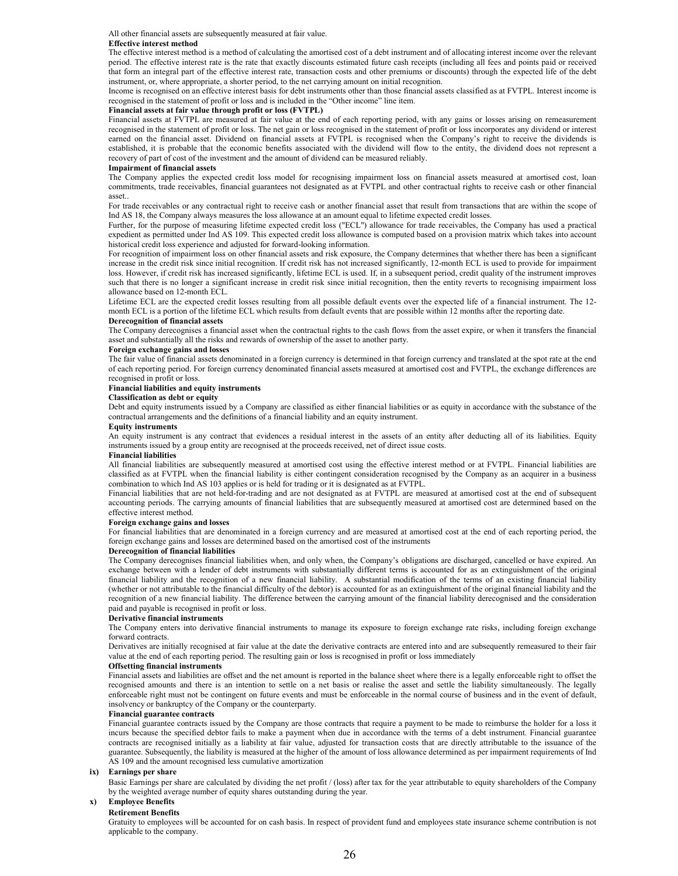All other financial assets are subsequently measured at fair value.

#### **Effective interest method**

The effective interest method is a method of calculating the amortised cost of a debt instrument and of allocating interest income over the relevant period. The effective interest rate is the rate that exactly discounts estimated future cash receipts (including all fees and points paid or received that form an integral part of the effective interest rate, transaction costs and other premiums or discounts) through the expected life of the debt instrument, or, where appropriate, a shorter period, to the net carrying amount on initial recognition.

Income is recognised on an effective interest basis for debt instruments other than those financial assets classified as at FVTPL. Interest income is recognised in the statement of profit or loss and is included in the "Other income" line item.

#### **Financial assets at fair value through profit or loss (FVTPL)**

Financial assets at FVTPL are measured at fair value at the end of each reporting period, with any gains or losses arising on remeasurement recognised in the statement of profit or loss. The net gain or loss recognised in the statement of profit or loss incorporates any dividend or interest earned on the financial asset. Dividend on financial assets at FVTPL is recognised when the Company's right to receive the dividends is established, it is probable that the economic benefits associated with the dividend will flow to the entity, the dividend does not represent a recovery of part of cost of the investment and the amount of dividend can be measured reliably.

#### **Impairment of financial assets**

The Company applies the expected credit loss model for recognising impairment loss on financial assets measured at amortised cost, loan commitments, trade receivables, financial guarantees not designated as at FVTPL and other contractual rights to receive cash or other financial asset..

For trade receivables or any contractual right to receive cash or another financial asset that result from transactions that are within the scope of Ind AS 18, the Company always measures the loss allowance at an amount equal to lifetime expected credit losses.

Further, for the purpose of measuring lifetime expected credit loss ("ECL") allowance for trade receivables, the Company has used a practical expedient as permitted under Ind AS 109. This expected credit loss allowance is computed based on a provision matrix which takes into account historical credit loss experience and adjusted for forward-looking information.

For recognition of impairment loss on other financial assets and risk exposure, the Company determines that whether there has been a significant increase in the credit risk since initial recognition. If credit risk has not increased significantly, 12-month ECL is used to provide for impairment loss. However, if credit risk has increased significantly, lifetime ECL is used. If, in a subsequent period, credit quality of the instrument improves such that there is no longer a significant increase in credit risk since initial recognition, then the entity reverts to recognising impairment loss allowance based on 12-month ECL.

Lifetime ECL are the expected credit losses resulting from all possible default events over the expected life of a financial instrument. The 12 month ECL is a portion of the lifetime ECL which results from default events that are possible within 12 months after the reporting date.

#### **Derecognition of financial assets**

The Company derecognises a financial asset when the contractual rights to the cash flows from the asset expire, or when it transfers the financial asset and substantially all the risks and rewards of ownership of the asset to another party.

#### **Foreign exchange gains and losses**

The fair value of financial assets denominated in a foreign currency is determined in that foreign currency and translated at the spot rate at the end of each reporting period. For foreign currency denominated financial assets measured at amortised cost and FVTPL, the exchange differences are recognised in profit or loss.

#### **Financial liabilities and equity instruments**

**Classification as debt or equity** 

Debt and equity instruments issued by a Company are classified as either financial liabilities or as equity in accordance with the substance of the contractual arrangements and the definitions of a financial liability and an equity instrument.

#### **Equity instruments**

An equity instrument is any contract that evidences a residual interest in the assets of an entity after deducting all of its liabilities. Equity instruments issued by a group entity are recognised at the proceeds received, net of direct issue costs.

#### **Financial liabilities**

All financial liabilities are subsequently measured at amortised cost using the effective interest method or at FVTPL. Financial liabilities are classified as at FVTPL when the financial liability is either contingent consideration recognised by the Company as an acquirer in a business combination to which Ind AS 103 applies or is held for trading or it is designated as at FVTPL.

Financial liabilities that are not held-for-trading and are not designated as at FVTPL are measured at amortised cost at the end of subsequent accounting periods. The carrying amounts of financial liabilities that are subsequently measured at amortised cost are determined based on the effective interest method.

#### **Foreign exchange gains and losses**

For financial liabilities that are denominated in a foreign currency and are measured at amortised cost at the end of each reporting period, the foreign exchange gains and losses are determined based on the amortised cost of the instruments

#### **Derecognition of financial liabilities**

The Company derecognises financial liabilities when, and only when, the Company's obligations are discharged, cancelled or have expired. An exchange between with a lender of debt instruments with substantially different terms is accounted for as an extinguishment of the original financial liability and the recognition of a new financial liability. A substantial modification of the terms of an existing financial liability (whether or not attributable to the financial difficulty of the debtor) is accounted for as an extinguishment of the original financial liability and the recognition of a new financial liability. The difference between the carrying amount of the financial liability derecognised and the consideration paid and payable is recognised in profit or loss.

#### **Derivative financial instruments**

The Company enters into derivative financial instruments to manage its exposure to foreign exchange rate risks, including foreign exchange forward contracts.

Derivatives are initially recognised at fair value at the date the derivative contracts are entered into and are subsequently remeasured to their fair value at the end of each reporting period. The resulting gain or loss is recognised in profit or loss immediately

#### **Offsetting financial instruments**

Financial assets and liabilities are offset and the net amount is reported in the balance sheet where there is a legally enforceable right to offset the recognised amounts and there is an intention to settle on a net basis or realise the asset and settle the liability simultaneously. The legally enforceable right must not be contingent on future events and must be enforceable in the normal course of business and in the event of default, insolvency or bankruptcy of the Company or the counterparty.

#### **Financial guarantee contracts**

Financial guarantee contracts issued by the Company are those contracts that require a payment to be made to reimburse the holder for a loss it incurs because the specified debtor fails to make a payment when due in accordance with the terms of a debt instrument. Financial guarantee contracts are recognised initially as a liability at fair value, adjusted for transaction costs that are directly attributable to the issuance of the guarantee. Subsequently, the liability is measured at the higher of the amount of loss allowance determined as per impairment requirements of Ind AS 109 and the amount recognised less cumulative amortization

#### **ix) Earnings per share**

Basic Earnings per share are calculated by dividing the net profit / (loss) after tax for the year attributable to equity shareholders of the Company by the weighted average number of equity shares outstanding during the year.

### **x) Employee Benefits**

#### **Retirement Benefits**

Gratuity to employees will be accounted for on cash basis. In respect of provident fund and employees state insurance scheme contribution is not applicable to the company.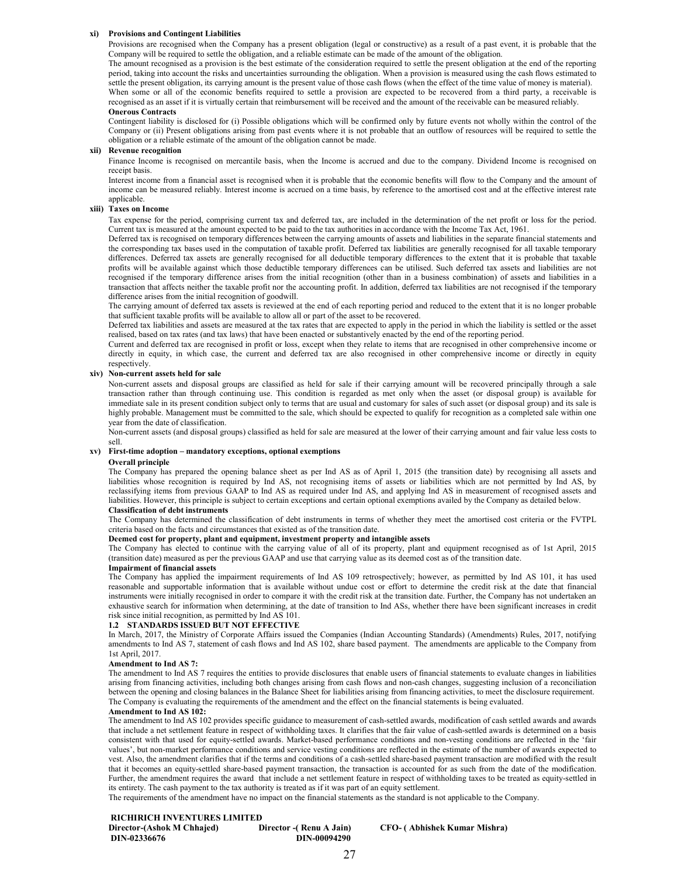#### **xi) Provisions and Contingent Liabilities**

Provisions are recognised when the Company has a present obligation (legal or constructive) as a result of a past event, it is probable that the Company will be required to settle the obligation, and a reliable estimate can be made of the amount of the obligation.

The amount recognised as a provision is the best estimate of the consideration required to settle the present obligation at the end of the reporting period, taking into account the risks and uncertainties surrounding the obligation. When a provision is measured using the cash flows estimated to settle the present obligation, its carrying amount is the present value of those cash flows (when the effect of the time value of money is material). When some or all of the economic benefits required to settle a provision are expected to be recovered from a third party, a receivable is recognised as an asset if it is virtually certain that reimbursement will be received and the amount of the receivable can be measured reliably.

#### **Onerous Contracts**

Contingent liability is disclosed for (i) Possible obligations which will be confirmed only by future events not wholly within the control of the Company or (ii) Present obligations arising from past events where it is not probable that an outflow of resources will be required to settle the obligation or a reliable estimate of the amount of the obligation cannot be made.

#### **xii) Revenue recognition**

Finance Income is recognised on mercantile basis, when the Income is accrued and due to the company. Dividend Income is recognised on receipt basis.

Interest income from a financial asset is recognised when it is probable that the economic benefits will flow to the Company and the amount of income can be measured reliably. Interest income is accrued on a time basis, by reference to the amortised cost and at the effective interest rate applicable.

#### **xiii) Taxes on Income**

Tax expense for the period, comprising current tax and deferred tax, are included in the determination of the net profit or loss for the period. Current tax is measured at the amount expected to be paid to the tax authorities in accordance with the Income Tax Act, 1961.

Deferred tax is recognised on temporary differences between the carrying amounts of assets and liabilities in the separate financial statements and the corresponding tax bases used in the computation of taxable profit. Deferred tax liabilities are generally recognised for all taxable temporary differences. Deferred tax assets are generally recognised for all deductible temporary differences to the extent that it is probable that taxable profits will be available against which those deductible temporary differences can be utilised. Such deferred tax assets and liabilities are not recognised if the temporary difference arises from the initial recognition (other than in a business combination) of assets and liabilities in a transaction that affects neither the taxable profit nor the accounting profit. In addition, deferred tax liabilities are not recognised if the temporary difference arises from the initial recognition of goodwill.

The carrying amount of deferred tax assets is reviewed at the end of each reporting period and reduced to the extent that it is no longer probable that sufficient taxable profits will be available to allow all or part of the asset to be recovered.

Deferred tax liabilities and assets are measured at the tax rates that are expected to apply in the period in which the liability is settled or the asset realised, based on tax rates (and tax laws) that have been enacted or substantively enacted by the end of the reporting period.

Current and deferred tax are recognised in profit or loss, except when they relate to items that are recognised in other comprehensive income or directly in equity, in which case, the current and deferred tax are also recognised in other comprehensive income or directly in equity respectively.

#### **xiv) Non-current assets held for sale**

Non-current assets and disposal groups are classified as held for sale if their carrying amount will be recovered principally through a sale transaction rather than through continuing use. This condition is regarded as met only when the asset (or disposal group) is available for immediate sale in its present condition subject only to terms that are usual and customary for sales of such asset (or disposal group) and its sale is highly probable. Management must be committed to the sale, which should be expected to qualify for recognition as a completed sale within one year from the date of classification.

Non-current assets (and disposal groups) classified as held for sale are measured at the lower of their carrying amount and fair value less costs to sell.

#### **xv) First-time adoption – mandatory exceptions, optional exemptions**

#### **Overall principle**

The Company has prepared the opening balance sheet as per Ind AS as of April 1, 2015 (the transition date) by recognising all assets and liabilities whose recognition is required by Ind AS, not recognising items of assets or liabilities which are not permitted by Ind AS, by reclassifying items from previous GAAP to Ind AS as required under Ind AS, and applying Ind AS in measurement of recognised assets and liabilities. However, this principle is subject to certain exceptions and certain optional exemptions availed by the Company as detailed below.

#### **Classification of debt instruments**

The Company has determined the classification of debt instruments in terms of whether they meet the amortised cost criteria or the FVTPL criteria based on the facts and circumstances that existed as of the transition date.

#### **Deemed cost for property, plant and equipment, investment property and intangible assets**

The Company has elected to continue with the carrying value of all of its property, plant and equipment recognised as of 1st April, 2015 (transition date) measured as per the previous GAAP and use that carrying value as its deemed cost as of the transition date.

#### **Impairment of financial assets**

The Company has applied the impairment requirements of Ind AS 109 retrospectively; however, as permitted by Ind AS 101, it has used reasonable and supportable information that is available without undue cost or effort to determine the credit risk at the date that financial instruments were initially recognised in order to compare it with the credit risk at the transition date. Further, the Company has not undertaken an exhaustive search for information when determining, at the date of transition to Ind ASs, whether there have been significant increases in credit risk since initial recognition, as permitted by Ind AS 101.

#### **1.2 STANDARDS ISSUED BUT NOT EFFECTIVE**

In March, 2017, the Ministry of Corporate Affairs issued the Companies (Indian Accounting Standards) (Amendments) Rules, 2017, notifying amendments to Ind AS 7, statement of cash flows and Ind AS 102, share based payment. The amendments are applicable to the Company from 1st April, 2017.

#### **Amendment to Ind AS 7:**

The amendment to Ind AS 7 requires the entities to provide disclosures that enable users of financial statements to evaluate changes in liabilities arising from financing activities, including both changes arising from cash flows and non-cash changes, suggesting inclusion of a reconciliation between the opening and closing balances in the Balance Sheet for liabilities arising from financing activities, to meet the disclosure requirement. The Company is evaluating the requirements of the amendment and the effect on the financial statements is being evaluated.

#### **Amendment to Ind AS 102:**

The amendment to Ind AS 102 provides specific guidance to measurement of cash-settled awards, modification of cash settled awards and awards that include a net settlement feature in respect of withholding taxes. It clarifies that the fair value of cash-settled awards is determined on a basis consistent with that used for equity-settled awards. Market-based performance conditions and non-vesting conditions are reflected in the 'fair values', but non-market performance conditions and service vesting conditions are reflected in the estimate of the number of awards expected to vest. Also, the amendment clarifies that if the terms and conditions of a cash-settled share-based payment transaction are modified with the result that it becomes an equity-settled share-based payment transaction, the transaction is accounted for as such from the date of the modification. Further, the amendment requires the award that include a net settlement feature in respect of withholding taxes to be treated as equity-settled in its entirety. The cash payment to the tax authority is treated as if it was part of an equity settlement.

The requirements of the amendment have no impact on the financial statements as the standard is not applicable to the Company.

#### **RICHIRICH INVENTURES LIMITED**

**Director-(Ashok M Chhajed) Director -( Renu A Jain) CFO- ( Abhishek Kumar Mishra) DIN-02336676 DIN-00094290**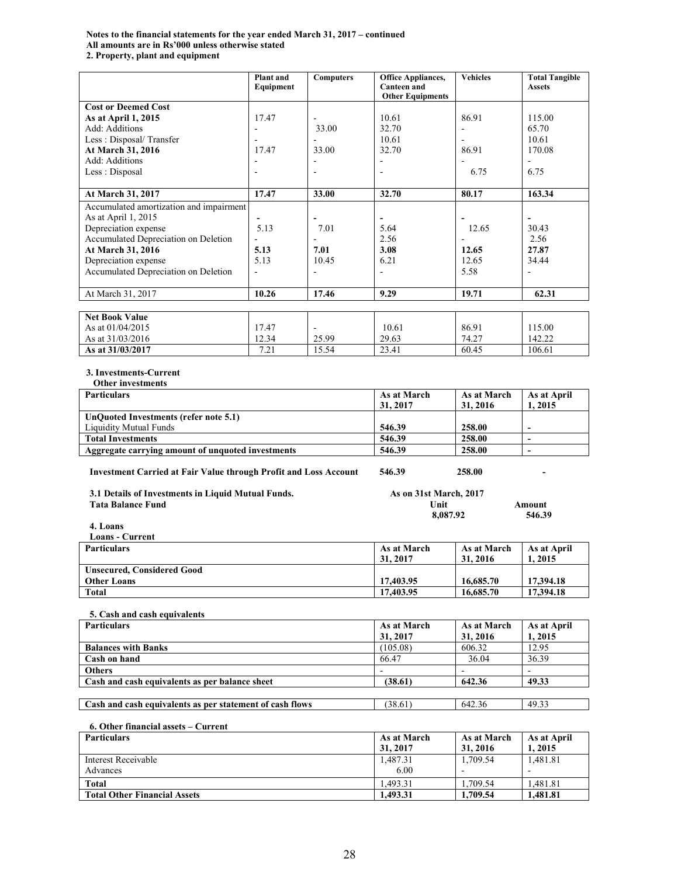### **Notes to the financial statements for the year ended March 31, 2017 – continued All amounts are in Rs'000 unless otherwise stated 2. Property, plant and equipment**

|                                         | Plant and<br>Equipment   | <b>Computers</b> | <b>Office Appliances,</b><br><b>Canteen</b> and | <b>Vehicles</b> | <b>Total Tangible</b><br><b>Assets</b> |
|-----------------------------------------|--------------------------|------------------|-------------------------------------------------|-----------------|----------------------------------------|
|                                         |                          |                  | <b>Other Equipments</b>                         |                 |                                        |
| <b>Cost or Deemed Cost</b>              |                          |                  |                                                 |                 |                                        |
| As at April 1, 2015                     | 17.47                    |                  | 10.61                                           | 86.91           | 115.00                                 |
| Add: Additions                          | ۰                        | 33.00            | 32.70                                           |                 | 65.70                                  |
| Less: Disposal/Transfer                 | $\blacksquare$           |                  | 10.61                                           | ٠               | 10.61                                  |
| At March 31, 2016                       | 17.47                    | 33.00            | 32.70                                           | 86.91           | 170.08                                 |
| Add: Additions                          |                          |                  |                                                 |                 |                                        |
| Less : Disposal                         |                          |                  |                                                 | 6.75            | 6.75                                   |
|                                         |                          |                  |                                                 |                 |                                        |
| At March 31, 2017                       | 17.47                    | 33.00            | 32.70                                           | 80.17           | 163.34                                 |
| Accumulated amortization and impairment |                          |                  |                                                 |                 |                                        |
| As at April 1, 2015                     | $\overline{\phantom{0}}$ |                  | $\overline{\phantom{a}}$                        |                 | $\overline{\phantom{a}}$               |
| Depreciation expense                    | 5.13                     | 7.01             | 5.64                                            | 12.65           | 30.43                                  |
| Accumulated Depreciation on Deletion    |                          |                  | 2.56                                            |                 | 2.56                                   |
| At March 31, 2016                       | 5.13                     | 7.01             | 3.08                                            | 12.65           | 27.87                                  |
| Depreciation expense                    | 5.13                     | 10.45            | 6.21                                            | 12.65           | 34.44                                  |
| Accumulated Depreciation on Deletion    | ÷,                       |                  |                                                 | 5.58            |                                        |
|                                         |                          |                  |                                                 |                 |                                        |
| At March 31, 2017                       | 10.26                    | 17.46            | 9.29                                            | 19.71           | 62.31                                  |
|                                         |                          |                  |                                                 |                 |                                        |
| <b>Net Book Value</b>                   |                          |                  |                                                 |                 |                                        |
| As at 01/04/2015                        | 17.47                    |                  | 10.61                                           | 86.91           | 115.00                                 |
| As at 31/03/2016                        | 12.34                    | 25.99            | 29.63                                           | 74.27           | 142.22                                 |
| As at 31/03/2017                        | 7.21                     | 15.54            | 23.41                                           | 60.45           | 106.61                                 |

### **3. Investments-Current**

| <b>Other investments</b>                                                |                        |             |                          |
|-------------------------------------------------------------------------|------------------------|-------------|--------------------------|
| <b>Particulars</b>                                                      | As at March            | As at March | As at April              |
|                                                                         | 31, 2017               | 31, 2016    | 1, 2015                  |
| UnQuoted Investments (refer note 5.1)                                   |                        |             |                          |
| <b>Liquidity Mutual Funds</b>                                           | 546.39                 | 258.00      | $\blacksquare$           |
| <b>Total Investments</b>                                                | 546.39                 | 258.00      |                          |
| Aggregate carrying amount of unquoted investments                       | 546.39                 | 258.00      | $\overline{\phantom{a}}$ |
| <b>Investment Carried at Fair Value through Profit and Loss Account</b> | 546.39                 | 258.00      |                          |
| 3.1 Details of Investments in Liquid Mutual Funds.                      | As on 31st March, 2017 |             |                          |
| <b>Tata Balance Fund</b>                                                | Unit<br><b>Amount</b>  |             |                          |
|                                                                         | 546.39<br>8,087.92     |             |                          |
| 4. Loans                                                                |                        |             |                          |
| <b>Loans - Current</b>                                                  |                        |             |                          |
| <b>Particulars</b>                                                      | As at March            | As at March | As at April              |
|                                                                         | 31, 2017               | 31, 2016    | 1, 2015                  |
| <b>Unsecured, Considered Good</b>                                       |                        |             |                          |
| <b>Other Loans</b>                                                      | 17,403.95              | 16,685.70   | 17,394.18                |
| <b>Total</b>                                                            | 17,403.95              | 16,685.70   | 17,394.18                |
| 5. Cash and cash equivalents                                            |                        |             |                          |
| <b>Particulars</b>                                                      | As at March            | As at March | As at April              |

| <b>Particulars</b>                                       | As at March    | As at March | As at April |
|----------------------------------------------------------|----------------|-------------|-------------|
|                                                          | 31, 2017       | 31, 2016    | 1, 2015     |
| <b>Balances with Banks</b>                               | (105.08)       | 606.32      | 12.95       |
| Cash on hand                                             | 66.47          | 36.04       | 36.39       |
| <b>Others</b>                                            | $\overline{a}$ |             |             |
| Cash and cash equivalents as per balance sheet           | (38.61)        | 642.36      | 49.33       |
|                                                          |                |             |             |
| Cash and cash equivalents as per statement of cash flows | (38.61)        | 642.36      | 49.33       |

### **6. Other financial assets – Current**

| <b>Particulars</b>                  | As at March | As at March              | As at April |
|-------------------------------------|-------------|--------------------------|-------------|
|                                     | 31, 2017    | 31, 2016                 | 1, 2015     |
| Interest Receivable                 | 1.487.31    | 1.709.54                 | 1.481.81    |
| Advances                            | 6.00        | $\overline{\phantom{0}}$ |             |
| <b>Total</b>                        | 1.493.31    | .709.54                  | 1.481.81    |
| <b>Total Other Financial Assets</b> | 1.493.31    | 1,709.54                 | 1.481.81    |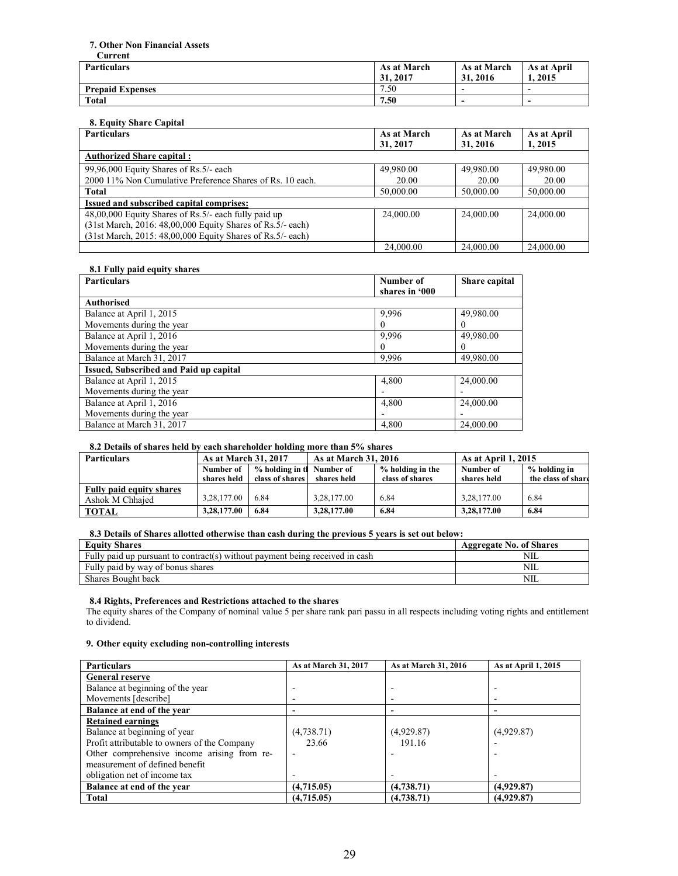#### **7. Other Non Financial Assets Current**

| Նա ւշու                 |             |                          |                          |
|-------------------------|-------------|--------------------------|--------------------------|
| <b>Particulars</b>      | As at March | As at March              | As at April              |
|                         | 31, 2017    | 31, 2016                 | 1.2015                   |
| <b>Prepaid Expenses</b> | 7.50        | $\overline{\phantom{0}}$ | $\overline{\phantom{0}}$ |
| <b>Total</b>            | 7.50        | $\overline{\phantom{0}}$ | -                        |

### **8. Equity Share Capital**

| <b>Particulars</b>                                          | As at March | As at March | As at April |
|-------------------------------------------------------------|-------------|-------------|-------------|
|                                                             | 31, 2017    | 31, 2016    | 1, 2015     |
| <b>Authorized Share capital:</b>                            |             |             |             |
| 99,96,000 Equity Shares of Rs.5/- each                      | 49,980.00   | 49,980.00   | 49,980.00   |
| 2000 11% Non Cumulative Preference Shares of Rs. 10 each.   | 20.00       | 20.00       | 20.00       |
| <b>Total</b>                                                | 50,000.00   | 50,000.00   | 50,000.00   |
| Issued and subscribed capital comprises:                    |             |             |             |
| 48,00,000 Equity Shares of Rs.5/- each fully paid up        | 24,000.00   | 24,000.00   | 24,000.00   |
| (31st March, 2016: 48,00,000 Equity Shares of Rs.5/- each)  |             |             |             |
| (31st March, 2015: 48,00,000 Equity Shares of Rs. 5/- each) |             |             |             |
|                                                             | 24,000.00   | 24,000.00   | 24,000.00   |

### **8.1 Fully paid equity shares**

| <b>Particulars</b>                     | Number of      | Share capital |
|----------------------------------------|----------------|---------------|
|                                        | shares in '000 |               |
| <b>Authorised</b>                      |                |               |
| Balance at April 1, 2015               | 9.996          | 49,980.00     |
| Movements during the year              | $_{0}$         | O             |
| Balance at April 1, 2016               | 9.996          | 49,980.00     |
| Movements during the year              | $_{0}$         | $_{0}$        |
| Balance at March 31, 2017              | 9.996          | 49,980.00     |
| Issued, Subscribed and Paid up capital |                |               |
| Balance at April 1, 2015               | 4,800          | 24,000.00     |
| Movements during the year              |                |               |
| Balance at April 1, 2016               | 4,800          | 24,000.00     |
| Movements during the year              |                |               |
| Balance at March 31, 2017              | 4,800          | 24,000.00     |

### **8.2 Details of shares held by each shareholder holding more than 5% shares**

| <b>Particulars</b>              |             | <b>As at March 31, 2016</b><br><b>As at March 31, 2017</b><br><b>As at April 1, 2015</b> |             |                  |             |                    |
|---------------------------------|-------------|------------------------------------------------------------------------------------------|-------------|------------------|-------------|--------------------|
|                                 | Number of   | % holding in the Number of                                                               |             | % holding in the | Number of   | % holding in       |
|                                 | shares held | class of shares                                                                          | shares held | class of shares  | shares held | the class of share |
| <b>Fully paid equity shares</b> |             |                                                                                          |             |                  |             |                    |
| Ashok M Chhaied                 | 3,28,177.00 | 6.84                                                                                     | 3,28,177.00 | 6.84             | 3,28,177.00 | 6.84               |
| <b>TOTAL</b>                    | 3,28,177.00 | 6.84                                                                                     | 3,28,177.00 | 6.84             | 3,28,177.00 | 6.84               |

### **8.3 Details of Shares allotted otherwise than cash during the previous 5 years is set out below:**

| <b>Equity Shares</b>                                                         | <b>Aggregate No. of Shares</b> |
|------------------------------------------------------------------------------|--------------------------------|
| Fully paid up pursuant to contract(s) without payment being received in cash | NII.                           |
| Fully paid by way of bonus shares                                            | NIL                            |
| Shares Bought back                                                           | NIL                            |

#### **8.4 Rights, Preferences and Restrictions attached to the shares**

The equity shares of the Company of nominal value 5 per share rank pari passu in all respects including voting rights and entitlement to dividend.

### **9. Other equity excluding non-controlling interests**

| <b>Particulars</b>                           | As at March 31, 2017 | As at March 31, 2016 | As at April 1, 2015 |
|----------------------------------------------|----------------------|----------------------|---------------------|
| <b>General reserve</b>                       |                      |                      |                     |
| Balance at beginning of the year             |                      |                      |                     |
| Movements [describe]                         |                      |                      |                     |
| Balance at end of the year                   |                      |                      |                     |
| <b>Retained earnings</b>                     |                      |                      |                     |
| Balance at beginning of year                 | (4,738.71)           | (4,929.87)           | (4,929.87)          |
| Profit attributable to owners of the Company | 23.66                | 191.16               |                     |
| Other comprehensive income arising from re-  |                      |                      |                     |
| measurement of defined benefit               |                      |                      |                     |
| obligation net of income tax                 |                      |                      |                     |
| Balance at end of the year                   | (4,715.05)           | (4,738.71)           | (4,929.87)          |
| <b>Total</b>                                 | (4,715.05)           | (4,738.71)           | (4,929.87)          |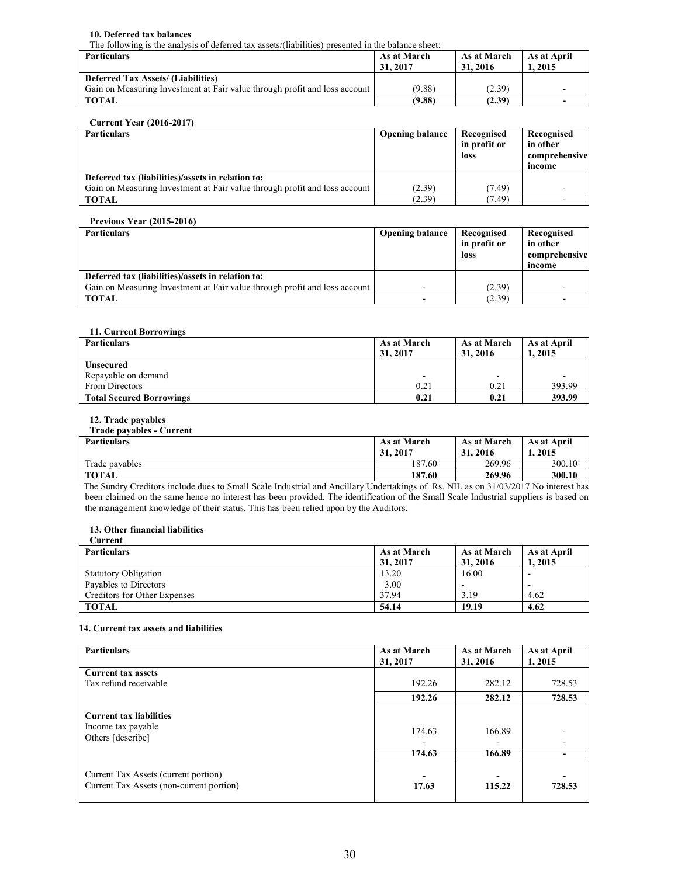### **10. Deferred tax balances**

The following is the analysis of deferred tax assets/(liabilities) presented in the balance sheet:

| <b>Particulars</b>                                                         | As at March<br>31, 2017 | As at March<br>31, 2016 | As at April<br>.2015 |
|----------------------------------------------------------------------------|-------------------------|-------------------------|----------------------|
| <b>Deferred Tax Assets/ (Liabilities)</b>                                  |                         |                         |                      |
| Gain on Measuring Investment at Fair value through profit and loss account | (9.88)                  | (2.39)                  |                      |
| <b>TOTAL</b>                                                               | (9.88)                  | (2.39)                  |                      |

### **Current Year (2016-2017)**

| <b>Particulars</b>                                                         | <b>Opening balance</b> | Recognised<br>in profit or<br>loss | Recognised<br>in other<br>comprehensive<br>income |
|----------------------------------------------------------------------------|------------------------|------------------------------------|---------------------------------------------------|
| Deferred tax (liabilities)/assets in relation to:                          |                        |                                    |                                                   |
| Gain on Measuring Investment at Fair value through profit and loss account | (2.39)                 | (7.49)                             |                                                   |
| TOTAL                                                                      | (2.39)                 | (7.49)                             |                                                   |

### **Previous Year (2015-2016)**

| <b>Particulars</b>                                                         | <b>Opening balance</b>   | Recognised<br>in profit or<br>loss | Recognised<br>in other<br>comprehensive<br>income |
|----------------------------------------------------------------------------|--------------------------|------------------------------------|---------------------------------------------------|
| Deferred tax (liabilities)/assets in relation to:                          |                          |                                    |                                                   |
| Gain on Measuring Investment at Fair value through profit and loss account | -                        | (2.39)                             |                                                   |
| <b>TOTAL</b>                                                               | $\overline{\phantom{0}}$ | (2.39)                             |                                                   |

### **11. Current Borrowings**

| <b>Particulars</b>              | As at March<br>31, 2017  | As at March<br>31, 2016  | As at April<br>2015 |
|---------------------------------|--------------------------|--------------------------|---------------------|
| <b>Unsecured</b>                |                          |                          |                     |
| Repayable on demand             | $\overline{\phantom{a}}$ | $\overline{\phantom{a}}$ |                     |
| From Directors                  | 0.21                     | 0.21                     | 393.99              |
| <b>Total Secured Borrowings</b> | 0.21                     | 0.21                     | 393.99              |

### **12. Trade payables**

### **Trade payables - Current**

| <b>Particulars</b> | As at March<br>31, 2017 | As at March<br>31, 2016 | As at April<br>1. 2015 |
|--------------------|-------------------------|-------------------------|------------------------|
| Trade payables     | 187.60                  | 269.96                  | 300.10                 |
| <b>TOTAL</b>       | 187.60                  | 269.96                  | 300.10                 |

 The Sundry Creditors include dues to Small Scale Industrial and Ancillary Undertakings of Rs. NIL as on 31/03/2017 No interest has been claimed on the same hence no interest has been provided. The identification of the Small Scale Industrial suppliers is based on the management knowledge of their status. This has been relied upon by the Auditors.

#### **13. Other financial liabilities Current**

| $\sim$ and $\sim$ and $\sim$        |                         |                         |                       |
|-------------------------------------|-------------------------|-------------------------|-----------------------|
| <b>Particulars</b>                  | As at March<br>31, 2017 | As at March<br>31, 2016 | As at April<br>1.2015 |
| <b>Statutory Obligation</b>         | 13.20                   | 16.00                   |                       |
| Payables to Directors               | 3.00                    | -                       |                       |
| <b>Creditors for Other Expenses</b> | 37.94                   | 3.19                    | 4.62                  |
| <b>TOTAL</b>                        | 54.14                   | 19.19                   | 4.62                  |

### **14. Current tax assets and liabilities**

| Particulars                                                                      | As at March<br>31, 2017 | As at March<br>31, 2016 | As at April<br>1,2015 |
|----------------------------------------------------------------------------------|-------------------------|-------------------------|-----------------------|
| <b>Current tax assets</b>                                                        |                         |                         |                       |
| Tax refund receivable                                                            | 192.26                  | 282.12                  | 728.53                |
|                                                                                  | 192.26                  | 282.12                  | 728.53                |
| <b>Current tax liabilities</b><br>Income tax payable                             |                         |                         |                       |
| Others [describe]                                                                | 174.63                  | 166.89                  |                       |
|                                                                                  | 174.63                  | 166.89                  |                       |
| Current Tax Assets (current portion)<br>Current Tax Assets (non-current portion) | 17.63                   | 115.22                  | 728.53                |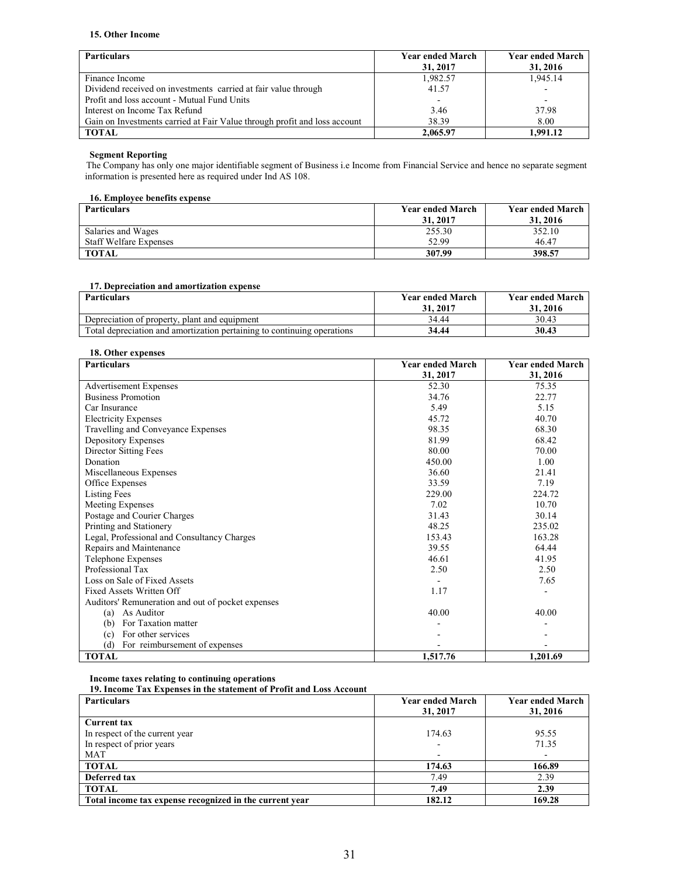### **15. Other Income**

| <b>Particulars</b>                                                        | <b>Year ended March</b><br>31, 2017 | <b>Year ended March</b><br>31, 2016 |
|---------------------------------------------------------------------------|-------------------------------------|-------------------------------------|
| Finance Income                                                            | 1,982.57                            | 1.945.14                            |
| Dividend received on investments carried at fair value through            | 41.57                               | $\blacksquare$                      |
| Profit and loss account - Mutual Fund Units                               |                                     | $\overline{\phantom{a}}$            |
| Interest on Income Tax Refund                                             | 3.46                                | 37.98                               |
| Gain on Investments carried at Fair Value through profit and loss account | 38.39                               | 8.00                                |
| <b>TOTAL</b>                                                              | 2,065.97                            | 1.991.12                            |

### **Segment Reporting**

The Company has only one major identifiable segment of Business i.e Income from Financial Service and hence no separate segment information is presented here as required under Ind AS 108.

### **16. Employee benefits expense**

| <b>Particulars</b>            | <b>Year ended March</b> | <b>Year ended March</b> |
|-------------------------------|-------------------------|-------------------------|
|                               | 31, 2017                | 31, 2016                |
| Salaries and Wages            | 255.30                  | 352.10                  |
| <b>Staff Welfare Expenses</b> | 52.99                   | 46.47                   |
| <b>TOTAL</b>                  | 307.99                  | 398.57                  |

### **17. Depreciation and amortization expense**

| <b>Particulars</b>                                                      | <b>Year ended March</b><br>31, 2017 | <b>Year ended March</b><br>31.2016 |
|-------------------------------------------------------------------------|-------------------------------------|------------------------------------|
| Depreciation of property, plant and equipment                           | 34.44                               | 30.43                              |
| Total depreciation and amortization pertaining to continuing operations | 34.44                               | 30.43                              |

### **18. Other expenses**

| <b>Particulars</b>                                | <b>Year ended March</b> | <b>Year ended March</b> |
|---------------------------------------------------|-------------------------|-------------------------|
|                                                   | 31, 2017                | 31, 2016                |
| Advertisement Expenses                            | 52.30                   | 75.35                   |
| <b>Business Promotion</b>                         | 34.76                   | 22.77                   |
| Car Insurance                                     | 5.49                    | 5.15                    |
| <b>Electricity Expenses</b>                       | 45.72                   | 40.70                   |
| Travelling and Conveyance Expenses                | 98.35                   | 68.30                   |
| Depository Expenses                               | 81.99                   | 68.42                   |
| Director Sitting Fees                             | 80.00                   | 70.00                   |
| Donation                                          | 450.00                  | 1.00                    |
| Miscellaneous Expenses                            | 36.60                   | 21.41                   |
| Office Expenses                                   | 33.59                   | 7.19                    |
| <b>Listing Fees</b>                               | 229.00                  | 224.72                  |
| Meeting Expenses                                  | 7.02                    | 10.70                   |
| Postage and Courier Charges                       | 31.43                   | 30.14                   |
| Printing and Stationery                           | 48.25                   | 235.02                  |
| Legal, Professional and Consultancy Charges       | 153.43                  | 163.28                  |
| Repairs and Maintenance                           | 39.55                   | 64.44                   |
| Telephone Expenses                                | 46.61                   | 41.95                   |
| Professional Tax                                  | 2.50                    | 2.50                    |
| Loss on Sale of Fixed Assets                      |                         | 7.65                    |
| Fixed Assets Written Off                          | 1.17                    |                         |
| Auditors' Remuneration and out of pocket expenses |                         |                         |
| As Auditor<br>(a)                                 | 40.00                   | 40.00                   |
| For Taxation matter<br>(b)                        |                         |                         |
| For other services<br>(c)                         |                         |                         |
| (d)<br>For reimbursement of expenses              |                         |                         |
| <b>TOTAL</b>                                      | 1,517.76                | 1,201.69                |

**Income taxes relating to continuing operations** 

**19. Income Tax Expenses in the statement of Profit and Loss Account** 

| <b>Particulars</b>                                      | <b>Year ended March</b> | <b>Year ended March</b> |
|---------------------------------------------------------|-------------------------|-------------------------|
|                                                         | 31, 2017                | 31, 2016                |
| <b>Current tax</b>                                      |                         |                         |
| In respect of the current year                          | 174.63                  | 95.55                   |
| In respect of prior years                               |                         | 71.35                   |
| <b>MAT</b>                                              |                         |                         |
| <b>TOTAL</b>                                            | 174.63                  | 166.89                  |
| Deferred tax                                            | 7.49                    | 2.39                    |
| <b>TOTAL</b>                                            | 7.49                    | 2.39                    |
| Total income tax expense recognized in the current year | 182.12                  | 169.28                  |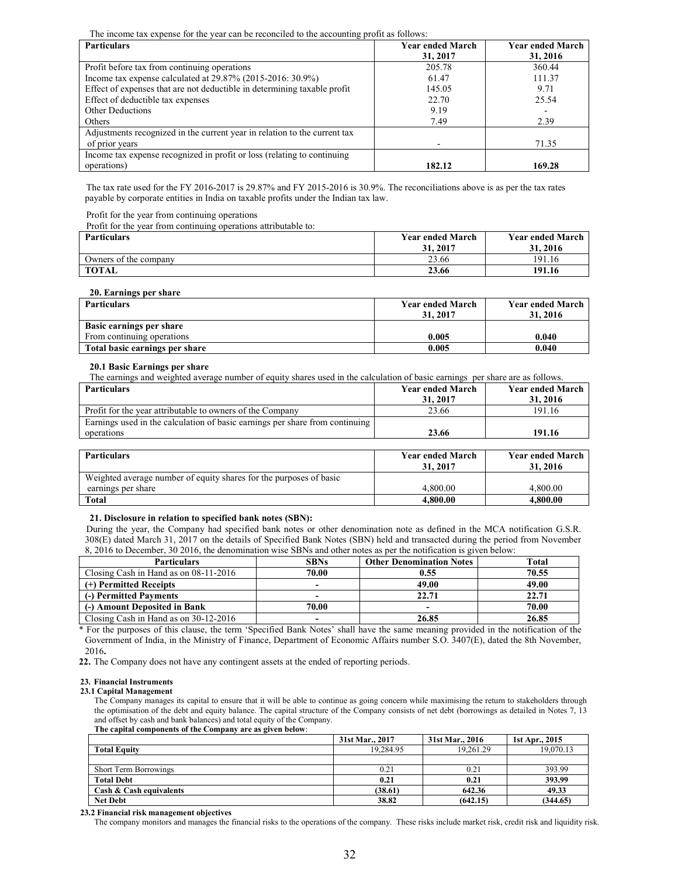The income tax expense for the year can be reconciled to the accounting profit as follows:

| <b>Particulars</b>                                                        | <b>Year ended March</b> | <b>Year ended March</b> |
|---------------------------------------------------------------------------|-------------------------|-------------------------|
|                                                                           | 31, 2017                | 31, 2016                |
| Profit before tax from continuing operations                              | 205.78                  | 360.44                  |
| Income tax expense calculated at $29.87\%$ (2015-2016: 30.9%)             | 61.47                   | 111.37                  |
| Effect of expenses that are not deductible in determining taxable profit  | 145.05                  | 9.71                    |
| Effect of deductible tax expenses                                         | 22.70                   | 25.54                   |
| <b>Other Deductions</b>                                                   | 9.19                    |                         |
| Others                                                                    | 7.49                    | 2.39                    |
| Adjustments recognized in the current year in relation to the current tax |                         |                         |
| of prior years                                                            |                         | 71.35                   |
| Income tax expense recognized in profit or loss (relating to continuing   |                         |                         |
| operations)                                                               | 182.12                  | 169.28                  |

The tax rate used for the FY 2016-2017 is 29.87% and FY 2015-2016 is 30.9%. The reconciliations above is as per the tax rates payable by corporate entities in India on taxable profits under the Indian tax law.

Profit for the year from continuing operations

Profit for the year from continuing operations attributable to:

| <b>Particulars</b>    | <b>Year ended March</b> | <b>Year ended March</b> |
|-----------------------|-------------------------|-------------------------|
|                       | 31, 2017                | 31.2016                 |
| Owners of the company | 23.66                   | 191.16                  |
| <b>TOTAL</b>          | 23.66                   | 191.16                  |

#### **20. Earnings per share**

| <b>Particulars</b>             | <b>Year ended March</b><br>31, 2017 | <b>Year ended March</b><br>31, 2016 |
|--------------------------------|-------------------------------------|-------------------------------------|
| Basic earnings per share       |                                     |                                     |
| From continuing operations     | 0.005                               | 0.040                               |
| Total basic earnings per share | 0.005                               | 0.040                               |

#### **20.1 Basic Earnings per share**

| The earnings and weighted average number of equity shares used in the calculation of basic earnings per share are as follows. |                                     |                                     |
|-------------------------------------------------------------------------------------------------------------------------------|-------------------------------------|-------------------------------------|
| <b>Particulars</b>                                                                                                            | <b>Year ended March</b><br>31, 2017 | <b>Year ended March</b><br>31, 2016 |
| Profit for the year attributable to owners of the Company                                                                     | 23.66                               | 191.16                              |
| Earnings used in the calculation of basic earnings per share from continuing                                                  |                                     |                                     |
| operations                                                                                                                    | 23.66                               | 191.16                              |
|                                                                                                                               |                                     |                                     |

| <b>Particulars</b>                                                 | <b>Year ended March</b> | <b>Year ended March</b> |
|--------------------------------------------------------------------|-------------------------|-------------------------|
|                                                                    | 31, 2017                | 31, 2016                |
| Weighted average number of equity shares for the purposes of basic |                         |                         |
| earnings per share                                                 | 4.800.00                | 4.800.00                |
| Total                                                              | 4.800.00                | 4.800.00                |

### **21. Disclosure in relation to specified bank notes (SBN):**

During the year, the Company had specified bank notes or other denomination note as defined in the MCA notification G.S.R. 308(E) dated March 31, 2017 on the details of Specified Bank Notes (SBN) held and transacted during the period from November 8, 2016 to December, 30 2016, the denomination wise SBNs and other notes as per the notification is given below:

| <b>Particulars</b>                    | <b>SBNs</b>              | <b>Other Denomination Notes</b> | <b>Total</b> |
|---------------------------------------|--------------------------|---------------------------------|--------------|
| Closing Cash in Hand as on 08-11-2016 | 70.00                    | 0.55                            | 70.55        |
| (+) Permitted Receipts                | -                        | 49.00                           | 49.00        |
| (-) Permitted Payments                | $\overline{\phantom{0}}$ | 22.71                           | 22.71        |
| (-) Amount Deposited in Bank          | 70.00                    |                                 | 70.00        |
| Closing Cash in Hand as on 30-12-2016 | -                        | 26.85                           | 26.85        |

\* For the purposes of this clause, the term 'Specified Bank Notes' shall have the same meaning provided in the notification of the Government of India, in the Ministry of Finance, Department of Economic Affairs number S.O. 3407(E), dated the 8th November, 2016**.** 

**22.** The Company does not have any contingent assets at the ended of reporting periods.

#### **23. Financial Instruments**

### **23.1 Capital Management**

The Company manages its capital to ensure that it will be able to continue as going concern while maximising the return to stakeholders through the optimisation of the debt and equity balance. The capital structure of the Company consists of net debt (borrowings as detailed in Notes 7, 13 and offset by cash and bank balances) and total equity of the Company.

**The capital components of the Company are as given below**:

|                              | 31st Mar., 2017 | 31st Mar., 2016 | 1st Apr., 2015 |
|------------------------------|-----------------|-----------------|----------------|
| <b>Total Equity</b>          | 19.284.95       | 19.261.29       | 19.070.13      |
|                              |                 |                 |                |
| <b>Short Term Borrowings</b> | 0.21            | 0.21            | 393.99         |
| <b>Total Debt</b>            | 0.21            | 0.21            | 393.99         |
| Cash & Cash equivalents      | (38.61)         | 642.36          | 49.33          |
| <b>Net Debt</b>              | 38.82           | (642.15)        | (344.65)       |

#### **23.2 Financial risk management objectives**

The company monitors and manages the financial risks to the operations of the company. These risks include market risk, credit risk and liquidity risk.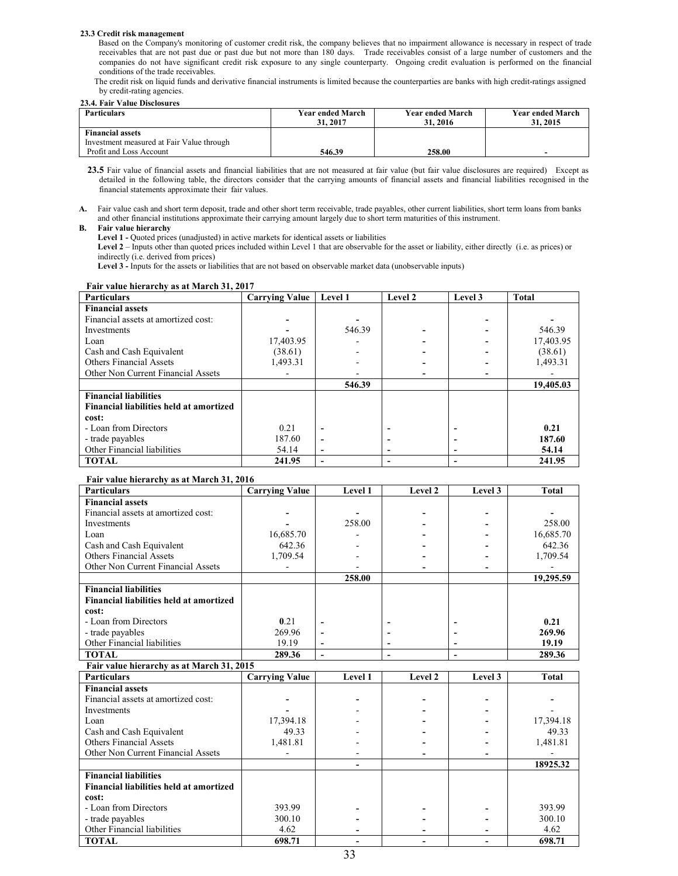#### **23.3 Credit risk management**

 Based on the Company's monitoring of customer credit risk, the company believes that no impairment allowance is necessary in respect of trade receivables that are not past due or past due but not more than 180 days. Trade receivables consist of a large number of customers and the companies do not have significant credit risk exposure to any single counterparty. Ongoing credit evaluation is performed on the financial conditions of the trade receivables.

The credit risk on liquid funds and derivative financial instruments is limited because the counterparties are banks with high credit-ratings assigned by credit-rating agencies.

#### **23.4. Fair Value Disclosures**

| <b>Particulars</b>                        | <b>Year ended March</b><br>31.2017 | <b>Year ended March</b><br>31, 2016 | <b>Year ended March</b><br>31, 2015 |
|-------------------------------------------|------------------------------------|-------------------------------------|-------------------------------------|
| <b>Financial assets</b>                   |                                    |                                     |                                     |
| Investment measured at Fair Value through |                                    |                                     |                                     |
| Profit and Loss Account                   | 546.39                             | 258.00                              |                                     |

23.5 Fair value of financial assets and financial liabilities that are not measured at fair value (but fair value disclosures are required) Except as detailed in the following table, the directors consider that the carrying amounts of financial assets and financial liabilities recognised in the financial statements approximate their fair values.

**A.** Fair value cash and short term deposit, trade and other short term receivable, trade payables, other current liabilities, short term loans from banks and other financial institutions approximate their carrying amount largely due to short term maturities of this instrument.

#### **B. Fair value hierarchy**

**Level 1 -** Quoted prices (unadjusted) in active markets for identical assets or liabilities

**Level 2** – Inputs other than quoted prices included within Level 1 that are observable for the asset or liability, either directly (i.e. as prices) or indirectly (i.e. derived from prices)

Level 3 - Inputs for the assets or liabilities that are not based on observable market data (unobservable inputs)

| <b>Particulars</b>                      | <b>Carrying Value</b> | Level 1                      | Level 2 | Level 3 | <b>Total</b> |
|-----------------------------------------|-----------------------|------------------------------|---------|---------|--------------|
| <b>Financial assets</b>                 |                       |                              |         |         |              |
| Financial assets at amortized cost:     |                       |                              |         |         |              |
| Investments                             |                       | 546.39                       |         |         | 546.39       |
| Loan                                    | 17,403.95             |                              |         |         | 17,403.95    |
| Cash and Cash Equivalent                | (38.61)               |                              |         |         | (38.61)      |
| <b>Others Financial Assets</b>          | 1,493.31              |                              |         |         | 1,493.31     |
| Other Non Current Financial Assets      |                       |                              |         |         |              |
|                                         |                       | 546.39                       |         |         | 19,405.03    |
| <b>Financial liabilities</b>            |                       |                              |         |         |              |
| Financial liabilities held at amortized |                       |                              |         |         |              |
| cost:                                   |                       |                              |         |         |              |
| - Loan from Directors                   | 0.21                  | ٠                            |         |         | 0.21         |
| - trade payables                        | 187.60                |                              |         |         | 187.60       |
| Other Financial liabilities             | 54.14                 | $\qquad \qquad \blacksquare$ | -       |         | 54.14        |
| <b>TOTAL</b>                            | 241.95                | ٠                            |         |         | 241.95       |

### **Fair value hierarchy as at March 31, 2017**

#### **Fair value hierarchy as at March 31, 2016**

| <b>Particulars</b>                        | <b>Carrying Value</b> | Level 1        | Level 2        | Level 3 | <b>Total</b> |
|-------------------------------------------|-----------------------|----------------|----------------|---------|--------------|
| <b>Financial assets</b>                   |                       |                |                |         |              |
| Financial assets at amortized cost:       |                       |                |                |         |              |
| <b>Investments</b>                        |                       | 258.00         |                |         | 258.00       |
| Loan                                      | 16,685.70             |                |                |         | 16,685.70    |
| Cash and Cash Equivalent                  | 642.36                |                |                |         | 642.36       |
| <b>Others Financial Assets</b>            | 1,709.54              |                |                |         | 1,709.54     |
| Other Non Current Financial Assets        |                       |                |                |         |              |
|                                           |                       | 258.00         |                |         | 19,295.59    |
| <b>Financial liabilities</b>              |                       |                |                |         |              |
| Financial liabilities held at amortized   |                       |                |                |         |              |
| cost:                                     |                       |                |                |         |              |
| - Loan from Directors                     | 0.21                  | $\blacksquare$ |                |         | 0.21         |
| - trade payables                          | 269.96                | $\overline{a}$ |                |         | 269.96       |
| Other Financial liabilities               | 19.19                 | $\blacksquare$ | ۰              |         | 19.19        |
| <b>TOTAL</b>                              | 289.36                | $\blacksquare$ | $\blacksquare$ |         | 289.36       |
| Fair value hierarchy as at March 31, 2015 |                       |                |                |         |              |
| <b>Particulars</b>                        | <b>Carrying Value</b> | Level 1        | Level 2        | Level 3 | <b>Total</b> |
| <b>Financial assets</b>                   |                       |                |                |         |              |
| Financial assets at amortized cost:       |                       |                |                |         |              |
| <b>Investments</b>                        |                       |                |                |         |              |
| Loan                                      | 17,394.18             |                |                |         | 17,394.18    |
| Cash and Cash Equivalent                  | 49.33                 |                |                |         | 49.33        |
| <b>Others Financial Assets</b>            | 1,481.81              |                |                |         | 1,481.81     |
| Other Non Current Financial Assets        |                       |                |                |         |              |
|                                           |                       |                |                |         | 18925.32     |
| <b>Financial liabilities</b>              |                       |                |                |         |              |
| Financial liabilities held at amortized   |                       |                |                |         |              |
| cost:                                     |                       |                |                |         |              |
| - Loan from Directors                     | 393.99                |                |                |         | 393.99       |
| - trade payables                          | 300.10                |                |                |         | 300.10       |
| Other Financial liabilities               | 4.62                  |                |                |         | 4.62         |
| <b>TOTAL</b>                              | 698.71                |                |                |         | 698.71       |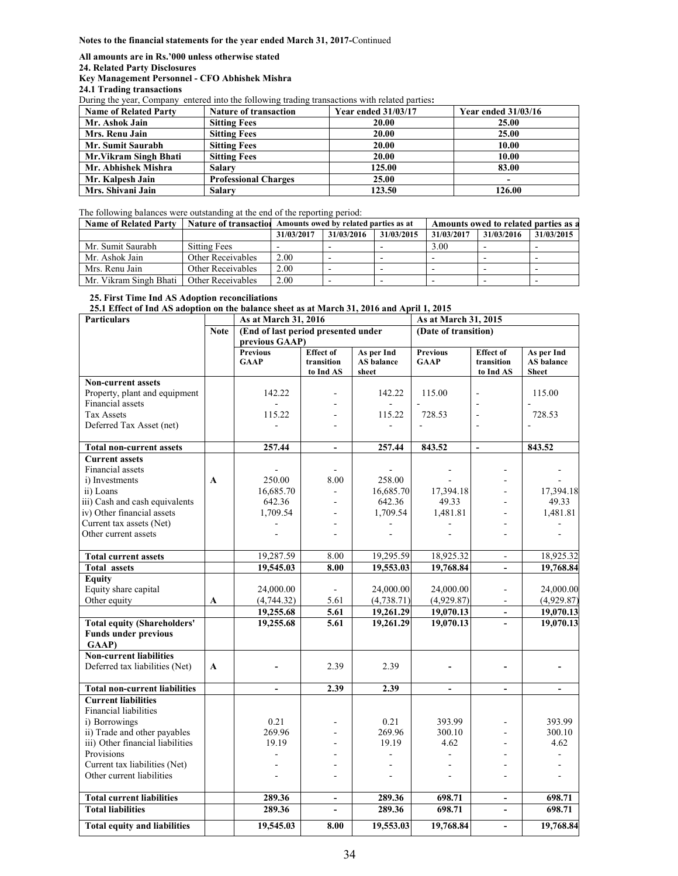#### **Notes to the financial statements for the year ended March 31, 2017-**Continued

**All amounts are in Rs.'000 unless otherwise stated** 

**24. Related Party Disclosures** 

### **Key Management Personnel - CFO Abhishek Mishra**

**24.1 Trading transactions** 

During the year, Company entered into the following trading transactions with related parties**:** 

| <b>Name of Related Party</b> | <b>Nature of transaction</b> | <b>Year ended 31/03/17</b> | Year ended $31/03/16$ |
|------------------------------|------------------------------|----------------------------|-----------------------|
| Mr. Ashok Jain               | <b>Sitting Fees</b>          | 20.00                      | <b>25.00</b>          |
| Mrs. Renu Jain               | <b>Sitting Fees</b>          | 20.00                      | 25.00                 |
| Mr. Sumit Saurabh            | <b>Sitting Fees</b>          | 20.00                      | 10.00                 |
| Mr. Vikram Singh Bhati       | <b>Sitting Fees</b>          | 20.00                      | 10.00                 |
| Mr. Abhishek Mishra          | <b>Salary</b>                | 125.00                     | 83.00                 |
| Mr. Kalpesh Jain             | <b>Professional Charges</b>  | 25.00                      |                       |
| Mrs. Shivani Jain            | <b>Salary</b>                | 123.50                     | 126.00                |

The following balances were outstanding at the end of the reporting period:

| <b>Name of Related Party</b> |                     | Nature of transaction Amounts owed by related parties as at |            |            |            | Amounts owed to related parties as a |            |
|------------------------------|---------------------|-------------------------------------------------------------|------------|------------|------------|--------------------------------------|------------|
|                              |                     | 31/03/2017                                                  | 31/03/2016 | 31/03/2015 | 31/03/2017 | 31/03/2016                           | 31/03/2015 |
| Mr. Sumit Saurabh            | <b>Sitting Fees</b> |                                                             |            |            | 3.00       |                                      |            |
| Mr. Ashok Jain               | Other Receivables   | 2.00                                                        |            | -          |            | $\overline{\phantom{0}}$             | -          |
| Mrs. Renu Jain               | Other Receivables   | 2.00                                                        |            |            |            |                                      |            |
| Mr. Vikram Singh Bhati       | Other Receivables   | 2.00                                                        |            | -          |            |                                      | -          |

### **25. First Time Ind AS Adoption reconciliations**

**25.1 Effect of Ind AS adoption on the balance sheet as at March 31, 2016 and April 1, 2015** 

| <b>Particulars</b>                                                         |             | As at March 31, 2016                |                                             |                                   | As at March 31, 2015           |                                             |                                          |
|----------------------------------------------------------------------------|-------------|-------------------------------------|---------------------------------------------|-----------------------------------|--------------------------------|---------------------------------------------|------------------------------------------|
|                                                                            | <b>Note</b> | (End of last period presented under |                                             |                                   | (Date of transition)           |                                             |                                          |
|                                                                            |             | previous GAAP)                      |                                             |                                   |                                |                                             |                                          |
|                                                                            |             | <b>Previous</b><br><b>GAAP</b>      | <b>Effect</b> of<br>transition<br>to Ind AS | As per Ind<br>AS balance<br>sheet | <b>Previous</b><br><b>GAAP</b> | <b>Effect</b> of<br>transition<br>to Ind AS | As per Ind<br>AS balance<br><b>Sheet</b> |
| <b>Non-current assets</b>                                                  |             |                                     |                                             |                                   |                                |                                             |                                          |
| Property, plant and equipment                                              |             | 142.22                              |                                             | 142.22                            | 115.00                         | $\blacksquare$                              | 115.00                                   |
| Financial assets                                                           |             |                                     |                                             | $\overline{a}$                    |                                |                                             |                                          |
| <b>Tax Assets</b>                                                          |             | 115.22                              |                                             | 115.22                            | 728.53                         | $\overline{\phantom{a}}$                    | 728.53                                   |
| Deferred Tax Asset (net)                                                   |             |                                     |                                             |                                   |                                |                                             |                                          |
| <b>Total non-current assets</b>                                            |             | 257.44                              | $\overline{a}$                              | 257.44                            | 843.52                         | L.                                          | 843.52                                   |
| <b>Current assets</b>                                                      |             |                                     |                                             |                                   |                                |                                             |                                          |
| Financial assets                                                           |             |                                     |                                             |                                   |                                |                                             |                                          |
| i) Investments                                                             | A           | 250.00                              | 8.00                                        | 258.00                            |                                |                                             |                                          |
| ii) Loans                                                                  |             | 16,685.70                           |                                             | 16,685.70                         | 17,394.18                      |                                             | 17,394.18                                |
| iii) Cash and cash equivalents<br>iv) Other financial assets               |             | 642.36                              |                                             | 642.36                            | 49.33                          | ÷                                           | 49.33                                    |
| Current tax assets (Net)                                                   |             | 1,709.54                            | L,                                          | 1,709.54                          | 1,481.81                       |                                             | 1,481.81                                 |
| Other current assets                                                       |             |                                     |                                             |                                   |                                |                                             |                                          |
|                                                                            |             |                                     |                                             |                                   |                                |                                             |                                          |
| <b>Total current assets</b>                                                |             | 19.287.59                           | 8.00                                        | 19.295.59                         | 18.925.32                      | $\mathbf{r}$                                | 18,925.32                                |
| <b>Total assets</b>                                                        |             | 19,545.03                           | 8.00                                        | 19,553.03                         | 19,768.84                      |                                             | 19,768.84                                |
| <b>Equity</b>                                                              |             |                                     |                                             |                                   |                                |                                             |                                          |
| Equity share capital                                                       |             | 24,000.00                           |                                             | 24,000.00                         | 24,000.00                      | $\blacksquare$                              | 24,000.00                                |
| Other equity                                                               | A           | (4,744.32)                          | 5.61                                        | (4, 738.71)                       | (4,929.87)                     | $\sim$                                      | (4,929.87)                               |
|                                                                            |             | 19,255.68                           | 5.61                                        | 19,261.29                         | 19,070.13                      | $\Delta$                                    | 19,070.13                                |
| <b>Total equity (Shareholders'</b><br><b>Funds under previous</b><br>GAAP) |             | 19,255.68                           | 5.61                                        | 19,261.29                         | 19,070.13                      | $\mathbf{r}$                                | 19,070.13                                |
| <b>Non-current liabilities</b><br>Deferred tax liabilities (Net)           | A           |                                     | 2.39                                        | 2.39                              |                                |                                             |                                          |
| <b>Total non-current liabilities</b>                                       |             | L.                                  | 2.39                                        | 2.39                              | $\overline{a}$                 | $\blacksquare$                              |                                          |
| <b>Current liabilities</b><br>Financial liabilities                        |             |                                     |                                             |                                   |                                |                                             |                                          |
| i) Borrowings                                                              |             | 0.21                                | $\blacksquare$                              | 0.21                              | 393.99                         | $\blacksquare$                              | 393.99                                   |
| ii) Trade and other payables<br>iii) Other financial liabilities           |             | 269.96<br>19.19                     |                                             | 269.96<br>19.19                   | 300.10                         |                                             | 300.10<br>4.62                           |
| Provisions                                                                 |             |                                     |                                             |                                   | 4.62<br>÷.                     |                                             |                                          |
| Current tax liabilities (Net)                                              |             |                                     |                                             |                                   |                                |                                             |                                          |
| Other current liabilities                                                  |             |                                     |                                             |                                   |                                |                                             |                                          |
|                                                                            |             |                                     |                                             |                                   |                                |                                             |                                          |
| <b>Total current liabilities</b>                                           |             | 289.36                              | $\blacksquare$                              | 289.36                            | 698.71                         | $\sim$                                      | 698.71                                   |
| <b>Total liabilities</b>                                                   |             | 289.36                              |                                             | 289.36                            | 698.71                         | $\sim$                                      | 698.71                                   |
| <b>Total equity and liabilities</b>                                        |             | 19,545.03                           | 8.00                                        | 19,553.03                         | 19,768.84                      | $\blacksquare$                              | 19,768.84                                |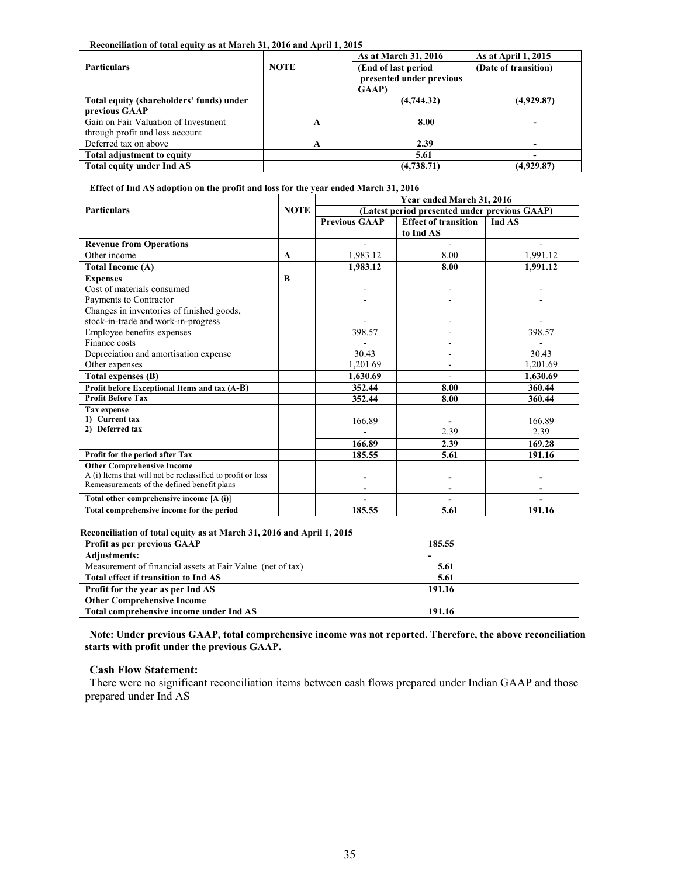### **Reconciliation of total equity as at March 31, 2016 and April 1, 2015**

| <b>Particulars</b>                       | <b>NOTE</b> | As at March 31, 2016<br>As at April 1, 2015<br>(End of last period)<br>(Date of transition)<br>presented under previous |            |
|------------------------------------------|-------------|-------------------------------------------------------------------------------------------------------------------------|------------|
|                                          |             | <b>GAAP</b> )                                                                                                           |            |
| Total equity (shareholders' funds) under |             | (4,744.32)                                                                                                              | (4,929.87) |
| previous GAAP                            |             |                                                                                                                         |            |
| Gain on Fair Valuation of Investment     | A           | 8.00                                                                                                                    |            |
| through profit and loss account          |             |                                                                                                                         |            |
| Deferred tax on above                    | A           | 2.39                                                                                                                    |            |
| Total adjustment to equity               |             | 5.61                                                                                                                    |            |
| Total equity under Ind AS                |             | (4,738.71)                                                                                                              | (4,929.87) |

### **Effect of Ind AS adoption on the profit and loss for the year ended March 31, 2016**

|                                                             |             | Year ended March 31, 2016                     |                                       |          |  |  |  |  |
|-------------------------------------------------------------|-------------|-----------------------------------------------|---------------------------------------|----------|--|--|--|--|
| <b>Particulars</b>                                          | <b>NOTE</b> | (Latest period presented under previous GAAP) |                                       |          |  |  |  |  |
|                                                             |             | <b>Previous GAAP</b>                          | <b>Effect of transition</b><br>Ind AS |          |  |  |  |  |
|                                                             |             |                                               | to Ind AS                             |          |  |  |  |  |
| <b>Revenue from Operations</b>                              |             |                                               |                                       |          |  |  |  |  |
| Other income                                                | A           | 1,983.12                                      | 8.00                                  | 1,991.12 |  |  |  |  |
| Total Income (A)                                            |             | 1,983.12                                      | 8.00                                  | 1,991.12 |  |  |  |  |
| <b>Expenses</b>                                             | B           |                                               |                                       |          |  |  |  |  |
| Cost of materials consumed                                  |             |                                               |                                       |          |  |  |  |  |
| Payments to Contractor                                      |             |                                               |                                       |          |  |  |  |  |
| Changes in inventories of finished goods,                   |             |                                               |                                       |          |  |  |  |  |
| stock-in-trade and work-in-progress                         |             |                                               |                                       |          |  |  |  |  |
| Employee benefits expenses                                  |             | 398.57                                        |                                       | 398.57   |  |  |  |  |
| Finance costs                                               |             |                                               |                                       |          |  |  |  |  |
| Depreciation and amortisation expense                       |             | 30.43                                         |                                       | 30.43    |  |  |  |  |
| Other expenses                                              |             | 1,201.69                                      |                                       | 1,201.69 |  |  |  |  |
| Total expenses (B)                                          |             | 1.630.69                                      |                                       | 1,630.69 |  |  |  |  |
| Profit before Exceptional Items and tax (A-B)               |             | 352.44                                        | 8.00                                  | 360.44   |  |  |  |  |
| <b>Profit Before Tax</b>                                    |             | 352.44                                        | 8.00                                  | 360.44   |  |  |  |  |
| <b>Tax expense</b>                                          |             |                                               |                                       |          |  |  |  |  |
| 1) Current tax                                              |             | 166.89                                        |                                       | 166.89   |  |  |  |  |
| 2) Deferred tax                                             |             |                                               | 2.39                                  | 2.39     |  |  |  |  |
|                                                             |             | 166.89                                        | 2.39                                  | 169.28   |  |  |  |  |
| Profit for the period after Tax                             |             | 185.55                                        | 5.61                                  | 191.16   |  |  |  |  |
| <b>Other Comprehensive Income</b>                           |             |                                               |                                       |          |  |  |  |  |
| A (i) Items that will not be reclassified to profit or loss |             |                                               |                                       |          |  |  |  |  |
| Remeasurements of the defined benefit plans                 |             |                                               |                                       |          |  |  |  |  |
| Total other comprehensive income [A (i)]                    |             | $\qquad \qquad \blacksquare$                  | $\blacksquare$                        |          |  |  |  |  |
| Total comprehensive income for the period                   |             | 185.55                                        | 5.61                                  | 191.16   |  |  |  |  |

**Reconciliation of total equity as at March 31, 2016 and April 1, 2015** 

| <b>Profit as per previous GAAP</b>                         | 185.55 |  |
|------------------------------------------------------------|--------|--|
| Adjustments:                                               | -      |  |
| Measurement of financial assets at Fair Value (net of tax) | 5.61   |  |
| Total effect if transition to Ind AS                       | 5.61   |  |
| Profit for the year as per Ind AS                          | 191.16 |  |
| <b>Other Comprehensive Income</b>                          |        |  |
| Total comprehensive income under Ind AS                    | 191.16 |  |

**Note: Under previous GAAP, total comprehensive income was not reported. Therefore, the above reconciliation starts with profit under the previous GAAP.** 

### **Cash Flow Statement:**

There were no significant reconciliation items between cash flows prepared under Indian GAAP and those prepared under Ind AS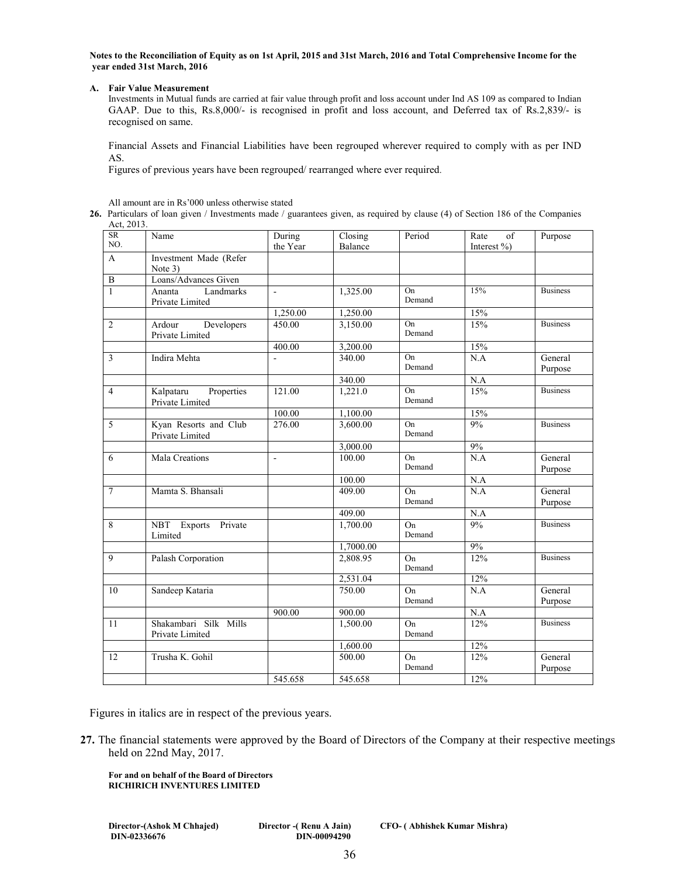**Notes to the Reconciliation of Equity as on 1st April, 2015 and 31st March, 2016 and Total Comprehensive Income for the year ended 31st March, 2016** 

### **A. Fair Value Measurement**

Investments in Mutual funds are carried at fair value through profit and loss account under Ind AS 109 as compared to Indian GAAP. Due to this, Rs.8,000/- is recognised in profit and loss account, and Deferred tax of Rs.2,839/- is recognised on same.

Financial Assets and Financial Liabilities have been regrouped wherever required to comply with as per IND AS.

Figures of previous years have been regrouped/ rearranged where ever required.

All amount are in Rs'000 unless otherwise stated

**26.** Particulars of loan given / Investments made / guarantees given, as required by clause (4) of Section 186 of the Companies  $Act$ , 2013

| $\Delta U, \angle \Delta U$<br>SR | Name                                       | During         | Closing   | Period                    | of<br>Rate  | Purpose            |
|-----------------------------------|--------------------------------------------|----------------|-----------|---------------------------|-------------|--------------------|
| NO.                               |                                            | the Year       | Balance   |                           | Interest %) |                    |
| $\mathbf{A}$                      | Investment Made (Refer                     |                |           |                           |             |                    |
|                                   | Note 3)                                    |                |           |                           |             |                    |
| $\, {\bf B}$                      | Loans/Advances Given                       |                |           |                           |             |                    |
| $\mathbf{1}$                      | Landmarks<br>Ananta<br>Private Limited     | ä,             | 1,325.00  | On<br>Demand              | 15%         | <b>Business</b>    |
|                                   |                                            | 1,250.00       | 1,250.00  |                           | 15%         |                    |
| $\overline{2}$                    | Developers<br>Ardour<br>Private Limited    | 450.00         | 3,150.00  | On<br>Demand              | 15%         | <b>Business</b>    |
|                                   |                                            | 400.00         | 3,200.00  |                           | 15%         |                    |
| 3                                 | Indira Mehta                               | $\overline{a}$ | 340.00    | On<br>Demand              | N.A         | General<br>Purpose |
|                                   |                                            |                | 340.00    |                           | $\rm N.A$   |                    |
| $\overline{4}$                    | Properties<br>Kalpataru<br>Private Limited | 121.00         | 1,221.0   | On<br>Demand              | 15%         | <b>Business</b>    |
|                                   |                                            | 100.00         | 1,100.00  |                           | 15%         |                    |
| 5                                 | Kyan Resorts and Club<br>Private Limited   | 276.00         | 3,600.00  | On<br>Demand              | 9%          | <b>Business</b>    |
|                                   |                                            |                | 3,000.00  |                           | 9%          |                    |
| 6                                 | <b>Mala Creations</b>                      | $\blacksquare$ | 100.00    | $\overline{On}$<br>Demand | N.A         | General<br>Purpose |
|                                   |                                            |                | 100.00    |                           | N.A         |                    |
| $\tau$                            | Mamta S. Bhansali                          |                | 409.00    | On<br>Demand              | N.A         | General<br>Purpose |
|                                   |                                            |                | 409.00    |                           | N.A         |                    |
| 8                                 | NBT Exports Private<br>Limited             |                | 1,700.00  | $\overline{On}$<br>Demand | 9%          | <b>Business</b>    |
|                                   |                                            |                | 1,7000.00 |                           | 9%          |                    |
| 9                                 | Palash Corporation                         |                | 2,808.95  | On<br>Demand              | 12%         | <b>Business</b>    |
|                                   |                                            |                | 2,531.04  |                           | 12%         |                    |
| 10                                | Sandeep Kataria                            |                | 750.00    | On<br>Demand              | N.A         | General<br>Purpose |
|                                   |                                            | 900.00         | 900.00    |                           | N.A         |                    |
| 11                                | Shakambari Silk Mills<br>Private Limited   |                | 1,500.00  | On<br>Demand              | 12%         | <b>Business</b>    |
|                                   |                                            |                | 1,600.00  |                           | 12%         |                    |
| 12                                | Trusha K. Gohil                            |                | 500.00    | On<br>Demand              | 12%         | General<br>Purpose |
|                                   |                                            | 545.658        | 545.658   |                           | 12%         |                    |

Figures in italics are in respect of the previous years.

**27.** The financial statements were approved by the Board of Directors of the Company at their respective meetings held on 22nd May, 2017.

**For and on behalf of the Board of Directors RICHIRICH INVENTURES LIMITED** 

**Director-(Ashok M Chhajed) Director -( Renu A Jain) CFO- ( Abhishek Kumar Mishra) DIN-02336676 DIN-00094290**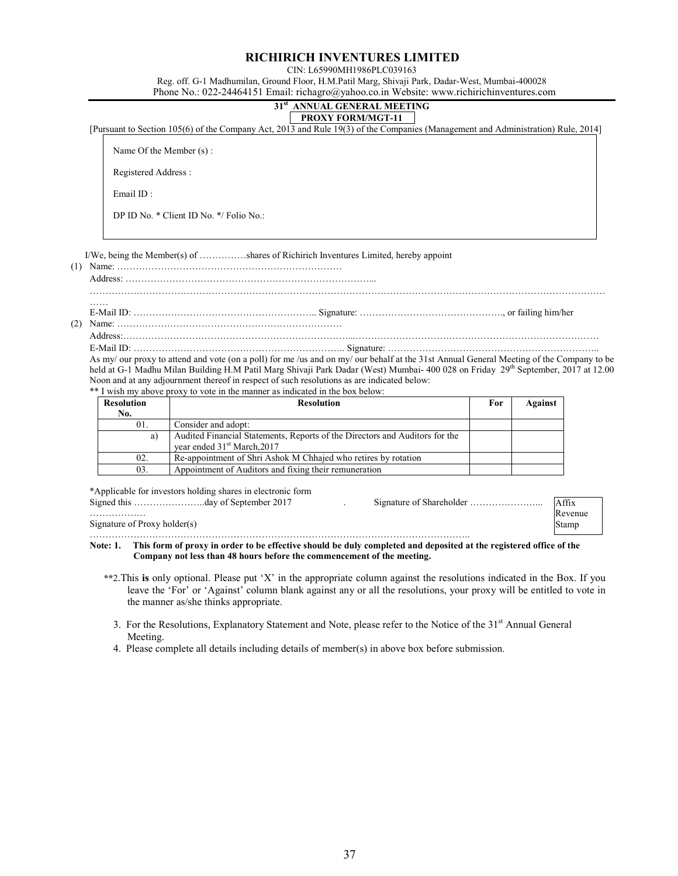### **RICHIRICH INVENTURES LIMITED**

CIN: L65990MH1986PLC039163

Reg. off. G-1 Madhumilan, Ground Floor, H.M.Patil Marg, Shivaji Park, Dadar-West, Mumbai-400028 Phone No.: 022-24464151 Email: richagro@yahoo.co.in Website: www.richirichinventures.com

### **31st ANNUAL GENERAL MEETING PROXY FORM/MGT-11**

[Pursuant to Section 105(6) of the Company Act, 2013 and Rule 19(3) of the Companies (Management and Administration) Rule, 2014]

Name Of the Member (s) :

Registered Address :

Email ID :

………………

Signature of Proxy holder(s)

DP ID No. \* Client ID No. \*/ Folio No.:

I/We, being the Member(s) of ……………shares of Richirich Inventures Limited, hereby appoint

(1) Name: ……………………………………………………………… Address: ……………………………………………………………………...

…………………………………………………………………………………………………………………………………………………

…… E-Mail ID: ………………………………………………….. Signature: ………………………………………., or failing him/her (2) Name: ………………………………………………………………

Address:………………………………………………………………...……………………………………………………………………

E-Mail ID: ………………………………………………………….. Signature: ………………………………………………………….. As my/ our proxy to attend and vote (on a poll) for me /us and on my/ our behalf at the 31st Annual General Meeting of the Company to be held at G-1 Madhu Milan Building H.M Patil Marg Shivaji Park Dadar (West) Mumbai- 400 028 on Friday 29<sup>th</sup> September, 2017 at 12.00 Noon and at any adjournment thereof in respect of such resolutions as are indicated below:

\*\* I wish my above proxy to vote in the manner as indicated in the box below:

| <b>Resolution</b><br>No. | <b>Resolution</b>                                                                                                      | For | Against |
|--------------------------|------------------------------------------------------------------------------------------------------------------------|-----|---------|
| 01.                      | Consider and adopt:                                                                                                    |     |         |
| a)                       | Audited Financial Statements, Reports of the Directors and Auditors for the<br>year ended 31 <sup>st</sup> March, 2017 |     |         |
| 02.                      | Re-appointment of Shri Ashok M Chhajed who retires by rotation                                                         |     |         |
| 03.                      | Appointment of Auditors and fixing their remuneration                                                                  |     |         |

\*Applicable for investors holding shares in electronic form

Signed this …………………………day of September 2017 . Signature of Shareholder ……………………… ………………………………………………………………………………………………………….. Affix Revenue Stamp

**Note: 1. This form of proxy in order to be effective should be duly completed and deposited at the registered office of the Company not less than 48 hours before the commencement of the meeting.** 

- **\*\***2.This **is** only optional. Please put 'X' in the appropriate column against the resolutions indicated in the Box. If you leave the 'For' or 'Against' column blank against any or all the resolutions, your proxy will be entitled to vote in the manner as/she thinks appropriate.
	- 3. For the Resolutions, Explanatory Statement and Note, please refer to the Notice of the 31<sup>st</sup> Annual General Meeting.
	- 4. Please complete all details including details of member(s) in above box before submission.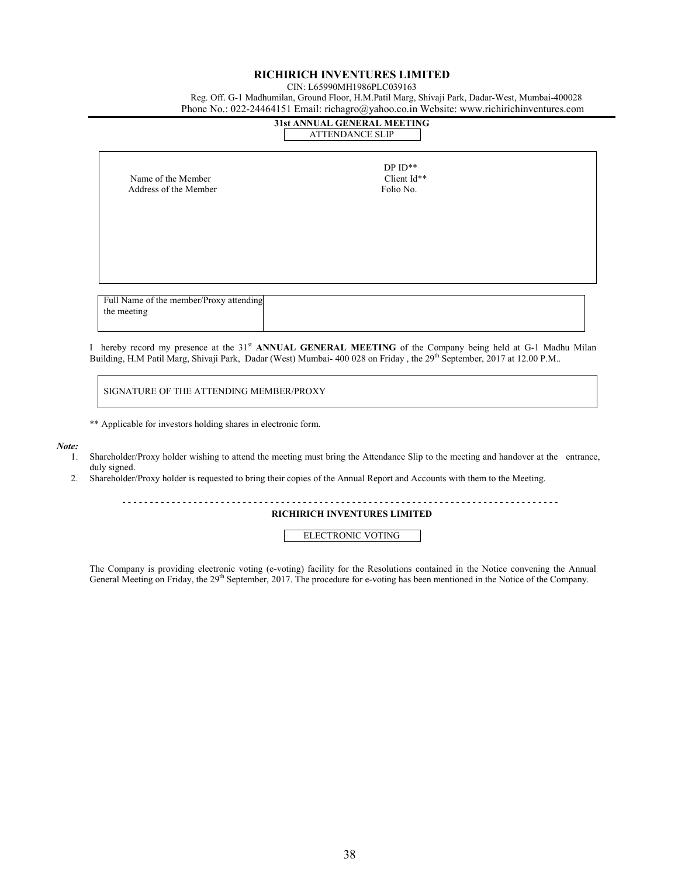### **RICHIRICH INVENTURES LIMITED**

CIN: L65990MH1986PLC039163

Reg. Off. G-1 Madhumilan, Ground Floor, H.M.Patil Marg, Shivaji Park, Dadar-West, Mumbai-400028

| Phone No.: 022-24464151 Email: richagro@yahoo.co.in Website: www.richirichinventures.com |                                                       |  |  |  |  |  |
|------------------------------------------------------------------------------------------|-------------------------------------------------------|--|--|--|--|--|
|                                                                                          | 31st ANNUAL GENERAL MEETING<br><b>ATTENDANCE SLIP</b> |  |  |  |  |  |
| Name of the Member<br>Address of the Member                                              | $DPID**$<br>Client Id**<br>Folio No.                  |  |  |  |  |  |
| Full Name of the member/Proxy attending                                                  |                                                       |  |  |  |  |  |

I hereby record my presence at the 31st **ANNUAL GENERAL MEETING** of the Company being held at G-1 Madhu Milan Building, H.M Patil Marg, Shivaji Park, Dadar (West) Mumbai- 400 028 on Friday, the 29th September, 2017 at 12.00 P.M..

SIGNATURE OF THE ATTENDING MEMBER/PROXY

\*\* Applicable for investors holding shares in electronic form.

#### *Note:*

the meeting

- 1. Shareholder/Proxy holder wishing to attend the meeting must bring the Attendance Slip to the meeting and handover at the entrance, duly signed.
- 2. Shareholder/Proxy holder is requested to bring their copies of the Annual Report and Accounts with them to the Meeting.

- - - - - - - - - - - - - - - - - - - - - - - - - - - - - - - - - - - - - - - - - - - - - - - - - - - - - - - - - - - - - - - - - - - - - - - - - - - - - - - -

**RICHIRICH INVENTURES LIMITED** 

ELECTRONIC VOTING

The Company is providing electronic voting (e-voting) facility for the Resolutions contained in the Notice convening the Annual General Meeting on Friday, the 29<sup>th</sup> September, 2017. The procedure for e-voting has been mentioned in the Notice of the Company.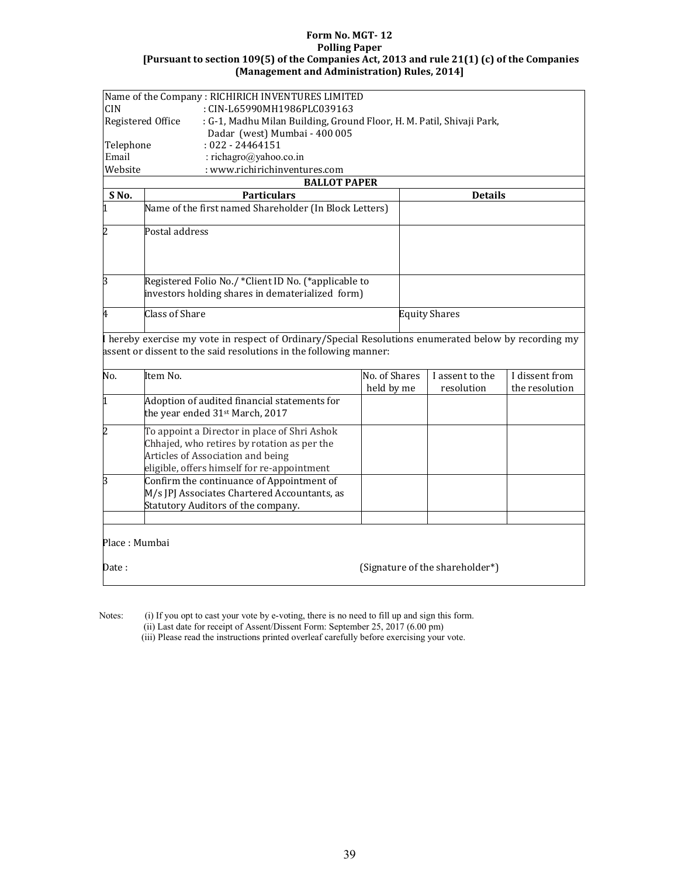### **Form No. MGT- 12 Polling Paper [Pursuant to section 109(5) of the Companies Act, 2013 and rule 21(1) (c) of the Companies (Management and Administration) Rules, 2014]**

|                                                                                            | Name of the Company: RICHIRICH INVENTURES LIMITED                                                                                                                               |                             |                                 |                               |                                  |  |  |  |
|--------------------------------------------------------------------------------------------|---------------------------------------------------------------------------------------------------------------------------------------------------------------------------------|-----------------------------|---------------------------------|-------------------------------|----------------------------------|--|--|--|
| <b>CIN</b>                                                                                 | : CIN-L65990MH1986PLC039163                                                                                                                                                     |                             |                                 |                               |                                  |  |  |  |
| Registered Office<br>: G-1, Madhu Milan Building, Ground Floor, H. M. Patil, Shivaji Park, |                                                                                                                                                                                 |                             |                                 |                               |                                  |  |  |  |
|                                                                                            | Dadar (west) Mumbai - 400 005                                                                                                                                                   |                             |                                 |                               |                                  |  |  |  |
| Telephone                                                                                  | $: 022 - 24464151$                                                                                                                                                              |                             |                                 |                               |                                  |  |  |  |
| Email                                                                                      | : richagro@yahoo.co.in                                                                                                                                                          |                             |                                 |                               |                                  |  |  |  |
| Website                                                                                    | : www.richirichinventures.com                                                                                                                                                   |                             |                                 |                               |                                  |  |  |  |
|                                                                                            | <b>BALLOT PAPER</b>                                                                                                                                                             |                             |                                 |                               |                                  |  |  |  |
| SNo.                                                                                       | <b>Particulars</b>                                                                                                                                                              |                             |                                 | <b>Details</b>                |                                  |  |  |  |
| 1                                                                                          | Name of the first named Shareholder (In Block Letters)                                                                                                                          |                             |                                 |                               |                                  |  |  |  |
| 2                                                                                          | Postal address                                                                                                                                                                  |                             |                                 |                               |                                  |  |  |  |
| 3                                                                                          | Registered Folio No./ *Client ID No. (*applicable to<br>investors holding shares in dematerialized form)                                                                        |                             |                                 |                               |                                  |  |  |  |
| 4                                                                                          | <b>Class of Share</b>                                                                                                                                                           |                             |                                 | <b>Equity Shares</b>          |                                  |  |  |  |
|                                                                                            | I hereby exercise my vote in respect of Ordinary/Special Resolutions enumerated below by recording my<br>assent or dissent to the said resolutions in the following manner:     |                             |                                 |                               |                                  |  |  |  |
| No.                                                                                        | Item No.                                                                                                                                                                        | No. of Shares<br>held by me |                                 | I assent to the<br>resolution | I dissent from<br>the resolution |  |  |  |
| 1                                                                                          | Adoption of audited financial statements for<br>the year ended 31st March, 2017                                                                                                 |                             |                                 |                               |                                  |  |  |  |
| 2                                                                                          | To appoint a Director in place of Shri Ashok<br>Chhajed, who retires by rotation as per the<br>Articles of Association and being<br>eligible, offers himself for re-appointment |                             |                                 |                               |                                  |  |  |  |
| 3                                                                                          | Confirm the continuance of Appointment of<br>M/s JPJ Associates Chartered Accountants, as<br>Statutory Auditors of the company.                                                 |                             |                                 |                               |                                  |  |  |  |
|                                                                                            |                                                                                                                                                                                 |                             |                                 |                               |                                  |  |  |  |
| Place: Mumbai                                                                              |                                                                                                                                                                                 |                             |                                 |                               |                                  |  |  |  |
| Date:                                                                                      |                                                                                                                                                                                 |                             | (Signature of the shareholder*) |                               |                                  |  |  |  |

Notes: (i) If you opt to cast your vote by e-voting, there is no need to fill up and sign this form.

(ii) Last date for receipt of Assent/Dissent Form: September 25, 2017 (6.00 pm)

(iii) Please read the instructions printed overleaf carefully before exercising your vote.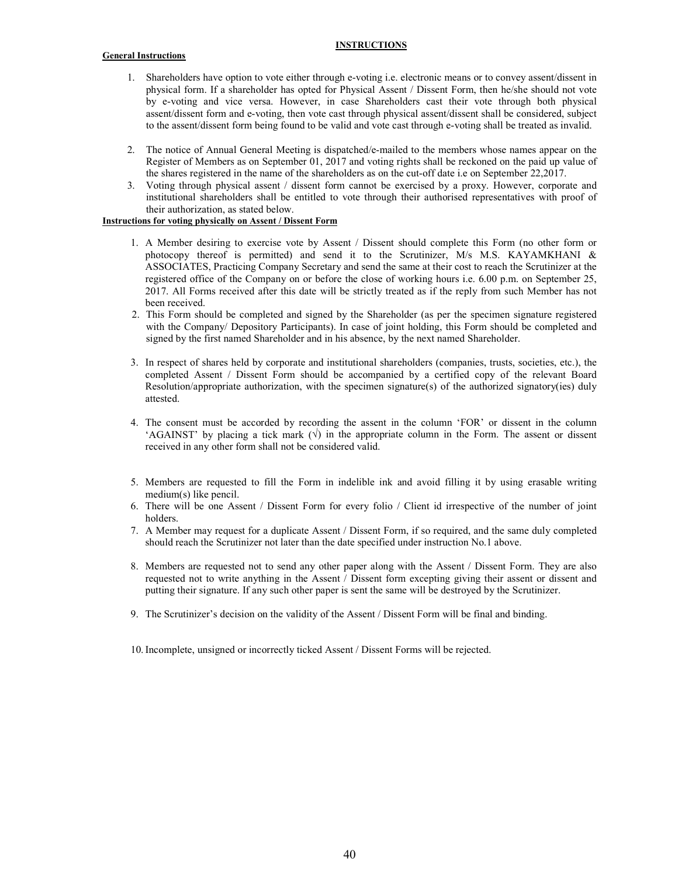### **INSTRUCTIONS**

### **General Instructions**

- 1. Shareholders have option to vote either through e-voting i.e. electronic means or to convey assent/dissent in physical form. If a shareholder has opted for Physical Assent / Dissent Form, then he/she should not vote by e-voting and vice versa. However, in case Shareholders cast their vote through both physical assent/dissent form and e-voting, then vote cast through physical assent/dissent shall be considered, subject to the assent/dissent form being found to be valid and vote cast through e-voting shall be treated as invalid.
- 2. The notice of Annual General Meeting is dispatched/e-mailed to the members whose names appear on the Register of Members as on September 01, 2017 and voting rights shall be reckoned on the paid up value of the shares registered in the name of the shareholders as on the cut-off date i.e on September 22,2017.
- 3. Voting through physical assent / dissent form cannot be exercised by a proxy. However, corporate and institutional shareholders shall be entitled to vote through their authorised representatives with proof of their authorization, as stated below.

### **Instructions for voting physically on Assent / Dissent Form**

- 1. A Member desiring to exercise vote by Assent / Dissent should complete this Form (no other form or photocopy thereof is permitted) and send it to the Scrutinizer, M/s M.S. KAYAMKHANI & ASSOCIATES, Practicing Company Secretary and send the same at their cost to reach the Scrutinizer at the registered office of the Company on or before the close of working hours i.e. 6.00 p.m. on September 25, 2017. All Forms received after this date will be strictly treated as if the reply from such Member has not been received.
- 2. This Form should be completed and signed by the Shareholder (as per the specimen signature registered with the Company/ Depository Participants). In case of joint holding, this Form should be completed and signed by the first named Shareholder and in his absence, by the next named Shareholder.
- 3. In respect of shares held by corporate and institutional shareholders (companies, trusts, societies, etc.), the completed Assent / Dissent Form should be accompanied by a certified copy of the relevant Board Resolution/appropriate authorization, with the specimen signature(s) of the authorized signatory(ies) duly attested.
- 4. The consent must be accorded by recording the assent in the column 'FOR' or dissent in the column 'AGAINST' by placing a tick mark  $(\sqrt{})$  in the appropriate column in the Form. The assent or dissent received in any other form shall not be considered valid.
- 5. Members are requested to fill the Form in indelible ink and avoid filling it by using erasable writing medium(s) like pencil.
- 6. There will be one Assent / Dissent Form for every folio / Client id irrespective of the number of joint holders.
- 7. A Member may request for a duplicate Assent / Dissent Form, if so required, and the same duly completed should reach the Scrutinizer not later than the date specified under instruction No.1 above.
- 8. Members are requested not to send any other paper along with the Assent / Dissent Form. They are also requested not to write anything in the Assent / Dissent form excepting giving their assent or dissent and putting their signature. If any such other paper is sent the same will be destroyed by the Scrutinizer.
- 9. The Scrutinizer's decision on the validity of the Assent / Dissent Form will be final and binding.
- 10. Incomplete, unsigned or incorrectly ticked Assent / Dissent Forms will be rejected.